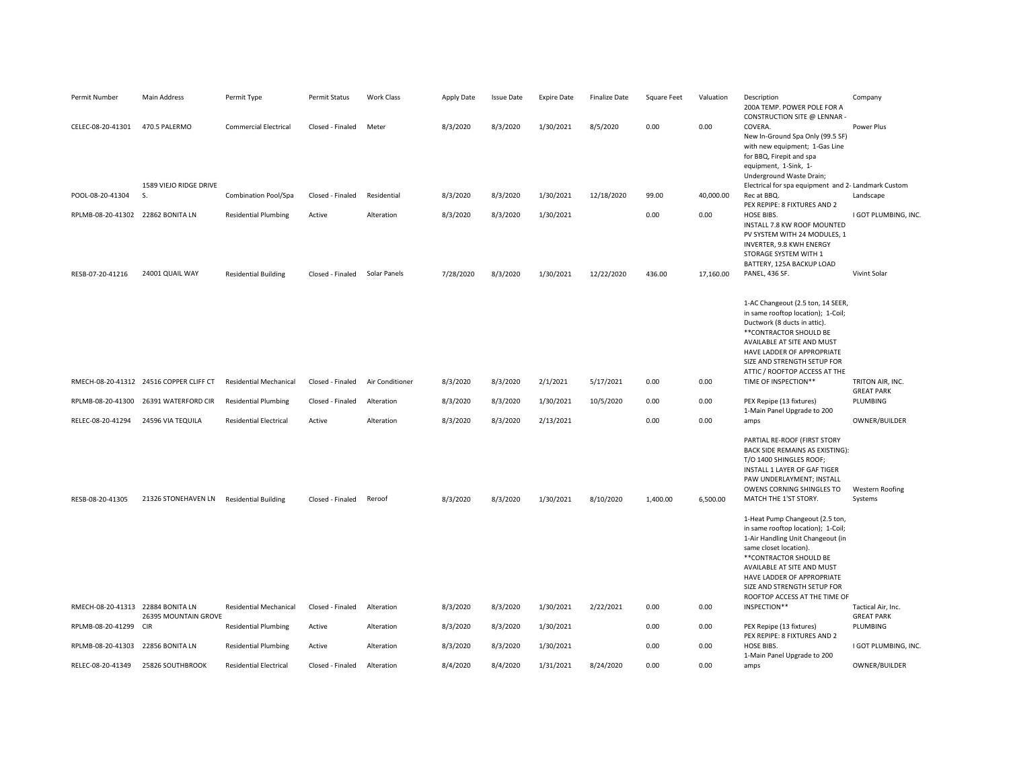| Permit Number                     | Main Address                            | Permit Type                   | Permit Status    | Work Class      | Apply Date | <b>Issue Date</b> | <b>Expire Date</b> | <b>Finalize Date</b> | Square Feet | Valuation | Description<br>200A TEMP. POWER POLE FOR A<br>CONSTRUCTION SITE @ LENNAR -                                                                                                                                                                                                                  | Company                                 |
|-----------------------------------|-----------------------------------------|-------------------------------|------------------|-----------------|------------|-------------------|--------------------|----------------------|-------------|-----------|---------------------------------------------------------------------------------------------------------------------------------------------------------------------------------------------------------------------------------------------------------------------------------------------|-----------------------------------------|
| CELEC-08-20-41301                 | 470.5 PALERMO                           | <b>Commercial Electrical</b>  | Closed - Finaled | Meter           | 8/3/2020   | 8/3/2020          | 1/30/2021          | 8/5/2020             | 0.00        | 0.00      | COVERA.<br>New In-Ground Spa Only (99.5 SF)<br>with new equipment; 1-Gas Line<br>for BBQ, Firepit and spa<br>equipment, 1-Sink, 1-<br>Underground Waste Drain;                                                                                                                              | Power Plus                              |
|                                   | 1589 VIEJO RIDGE DRIVE                  |                               |                  |                 |            |                   |                    |                      |             |           | Electrical for spa equipment and 2- Landmark Custom                                                                                                                                                                                                                                         |                                         |
| POOL-08-20-41304                  | S.                                      | Combination Pool/Spa          | Closed - Finaled | Residential     | 8/3/2020   | 8/3/2020          | 1/30/2021          | 12/18/2020           | 99.00       | 40,000.00 | Rec at BBQ.<br>PEX REPIPE: 8 FIXTURES AND 2                                                                                                                                                                                                                                                 | Landscape                               |
| RPLMB-08-20-41302 22862 BONITA LN |                                         | <b>Residential Plumbing</b>   | Active           | Alteration      | 8/3/2020   | 8/3/2020          | 1/30/2021          |                      | 0.00        | 0.00      | HOSE BIBS.<br>INSTALL 7.8 KW ROOF MOUNTED<br>PV SYSTEM WITH 24 MODULES, 1<br>INVERTER, 9.8 KWH ENERGY<br>STORAGE SYSTEM WITH 1<br>BATTERY, 125A BACKUP LOAD                                                                                                                                 | I GOT PLUMBING, INC.                    |
| RESB-07-20-41216                  | 24001 QUAIL WAY                         | <b>Residential Building</b>   | Closed - Finaled | Solar Panels    | 7/28/2020  | 8/3/2020          | 1/30/2021          | 12/22/2020           | 436.00      | 17,160.00 | PANEL, 436 SF.                                                                                                                                                                                                                                                                              | Vivint Solar                            |
|                                   |                                         |                               |                  |                 |            |                   |                    |                      |             |           | 1-AC Changeout (2.5 ton, 14 SEER,<br>in same rooftop location); 1-Coil;<br>Ductwork (8 ducts in attic).<br>** CONTRACTOR SHOULD BE<br>AVAILABLE AT SITE AND MUST<br>HAVE LADDER OF APPROPRIATE<br>SIZE AND STRENGTH SETUP FOR<br>ATTIC / ROOFTOP ACCESS AT THE                              |                                         |
|                                   | RMECH-08-20-41312 24516 COPPER CLIFF CT | <b>Residential Mechanical</b> | Closed - Finaled | Air Conditioner | 8/3/2020   | 8/3/2020          | 2/1/2021           | 5/17/2021            | 0.00        | 0.00      | TIME OF INSPECTION**                                                                                                                                                                                                                                                                        | TRITON AIR, INC.<br><b>GREAT PARK</b>   |
|                                   | RPLMB-08-20-41300 26391 WATERFORD CIR   | <b>Residential Plumbing</b>   | Closed - Finaled | Alteration      | 8/3/2020   | 8/3/2020          | 1/30/2021          | 10/5/2020            | 0.00        | 0.00      | PEX Repipe (13 fixtures)<br>1-Main Panel Upgrade to 200                                                                                                                                                                                                                                     | PLUMBING                                |
| RELEC-08-20-41294                 | 24596 VIA TEQUILA                       | <b>Residential Electrical</b> | Active           | Alteration      | 8/3/2020   | 8/3/2020          | 2/13/2021          |                      | 0.00        | 0.00      | amps                                                                                                                                                                                                                                                                                        | OWNER/BUILDER                           |
| RESB-08-20-41305                  | 21326 STONEHAVEN LN                     | <b>Residential Building</b>   | Closed - Finaled | Reroof          | 8/3/2020   | 8/3/2020          | 1/30/2021          | 8/10/2020            | 1,400.00    | 6,500.00  | PARTIAL RE-ROOF (FIRST STORY<br>BACK SIDE REMAINS AS EXISTING):<br>T/O 1400 SHINGLES ROOF;<br>INSTALL 1 LAYER OF GAF TIGER<br>PAW UNDERLAYMENT; INSTALL<br>OWENS CORNING SHINGLES TO<br>MATCH THE 1'ST STORY.                                                                               | Western Roofing<br>Systems              |
|                                   |                                         |                               |                  |                 |            |                   |                    |                      |             |           | 1-Heat Pump Changeout (2.5 ton,<br>in same rooftop location); 1-Coil;<br>1-Air Handling Unit Changeout (in<br>same closet location).<br>** CONTRACTOR SHOULD BE<br>AVAILABLE AT SITE AND MUST<br>HAVE LADDER OF APPROPRIATE<br>SIZE AND STRENGTH SETUP FOR<br>ROOFTOP ACCESS AT THE TIME OF |                                         |
| RMECH-08-20-41313 22884 BONITA LN | 26395 MOUNTAIN GROVE                    | <b>Residential Mechanical</b> | Closed - Finaled | Alteration      | 8/3/2020   | 8/3/2020          | 1/30/2021          | 2/22/2021            | 0.00        | 0.00      | INSPECTION**                                                                                                                                                                                                                                                                                | Tactical Air, Inc.<br><b>GREAT PARK</b> |
| RPLMB-08-20-41299 CIR             |                                         | <b>Residential Plumbing</b>   | Active           | Alteration      | 8/3/2020   | 8/3/2020          | 1/30/2021          |                      | 0.00        | 0.00      | PEX Repipe (13 fixtures)<br>PEX REPIPE: 8 FIXTURES AND 2                                                                                                                                                                                                                                    | <b>PLUMBING</b>                         |
| RPLMB-08-20-41303                 | 22856 BONITA LN                         | <b>Residential Plumbing</b>   | Active           | Alteration      | 8/3/2020   | 8/3/2020          | 1/30/2021          |                      | 0.00        | 0.00      | HOSE BIBS.<br>1-Main Panel Upgrade to 200                                                                                                                                                                                                                                                   | I GOT PLUMBING, INC.                    |
| RELEC-08-20-41349                 | 25826 SOUTHBROOK                        | <b>Residential Electrical</b> | Closed - Finaled | Alteration      | 8/4/2020   | 8/4/2020          | 1/31/2021          | 8/24/2020            | 0.00        | 0.00      | amps                                                                                                                                                                                                                                                                                        | OWNER/BUILDER                           |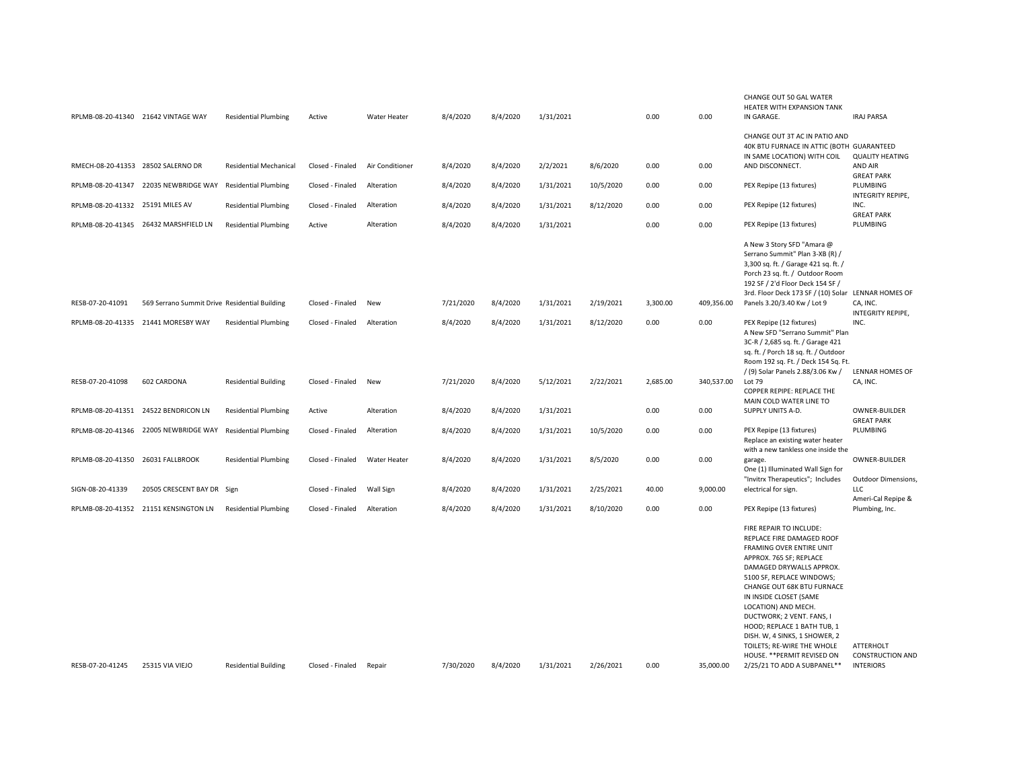|                                    | RPLMB-08-20-41340 21642 VINTAGE WAY           | <b>Residential Plumbing</b>   | Active           | Water Heater        | 8/4/2020  | 8/4/2020 | 1/31/2021 |           | 0.00     | 0.00       | CHANGE OUT 50 GAL WATER<br>HEATER WITH EXPANSION TANK<br>IN GARAGE.                                                                                                                                                                                                                                                                                                                                                                          | <b>IRAJ PARSA</b>                                               |
|------------------------------------|-----------------------------------------------|-------------------------------|------------------|---------------------|-----------|----------|-----------|-----------|----------|------------|----------------------------------------------------------------------------------------------------------------------------------------------------------------------------------------------------------------------------------------------------------------------------------------------------------------------------------------------------------------------------------------------------------------------------------------------|-----------------------------------------------------------------|
|                                    |                                               |                               |                  |                     |           |          |           |           |          |            | CHANGE OUT 3T AC IN PATIO AND                                                                                                                                                                                                                                                                                                                                                                                                                |                                                                 |
|                                    |                                               |                               |                  |                     |           |          |           |           |          |            | 40K BTU FURNACE IN ATTIC (BOTH GUARANTEED<br>IN SAME LOCATION) WITH COIL                                                                                                                                                                                                                                                                                                                                                                     | <b>QUALITY HEATING</b>                                          |
| RMECH-08-20-41353 28502 SALERNO DR |                                               | <b>Residential Mechanical</b> | Closed - Finaled | Air Conditioner     | 8/4/2020  | 8/4/2020 | 2/2/2021  | 8/6/2020  | 0.00     | 0.00       | AND DISCONNECT.                                                                                                                                                                                                                                                                                                                                                                                                                              | AND AIR                                                         |
|                                    | RPLMB-08-20-41347 22035 NEWBRIDGE WAY         | <b>Residential Plumbing</b>   | Closed - Finaled | Alteration          | 8/4/2020  | 8/4/2020 | 1/31/2021 | 10/5/2020 | 0.00     | 0.00       | PEX Repipe (13 fixtures)                                                                                                                                                                                                                                                                                                                                                                                                                     | <b>GREAT PARK</b><br>PLUMBING<br>INTEGRITY REPIPE,              |
| RPLMB-08-20-41332 25191 MILES AV   |                                               | <b>Residential Plumbing</b>   | Closed - Finaled | Alteration          | 8/4/2020  | 8/4/2020 | 1/31/2021 | 8/12/2020 | 0.00     | 0.00       | PEX Repipe (12 fixtures)                                                                                                                                                                                                                                                                                                                                                                                                                     | INC.<br><b>GREAT PARK</b>                                       |
|                                    | RPLMB-08-20-41345 26432 MARSHFIELD LN         | <b>Residential Plumbing</b>   | Active           | Alteration          | 8/4/2020  | 8/4/2020 | 1/31/2021 |           | 0.00     | 0.00       | PEX Repipe (13 fixtures)                                                                                                                                                                                                                                                                                                                                                                                                                     | PLUMBING                                                        |
|                                    |                                               |                               |                  |                     |           |          |           |           |          |            | A New 3 Story SFD "Amara @<br>Serrano Summit" Plan 3-XB (R) /<br>3,300 sq. ft. / Garage 421 sq. ft. /<br>Porch 23 sq. ft. / Outdoor Room<br>192 SF / 2'd Floor Deck 154 SF /<br>3rd. Floor Deck 173 SF / (10) Solar LENNAR HOMES OF                                                                                                                                                                                                          |                                                                 |
| RESB-07-20-41091                   | 569 Serrano Summit Drive Residential Building |                               | Closed - Finaled | New                 | 7/21/2020 | 8/4/2020 | 1/31/2021 | 2/19/2021 | 3,300.00 | 409,356.00 | Panels 3.20/3.40 Kw / Lot 9                                                                                                                                                                                                                                                                                                                                                                                                                  | CA, INC.<br>INTEGRITY REPIPE,                                   |
| RPLMB-08-20-41335                  | 21441 MORESBY WAY                             | <b>Residential Plumbing</b>   | Closed - Finaled | Alteration          | 8/4/2020  | 8/4/2020 | 1/31/2021 | 8/12/2020 | 0.00     | 0.00       | PEX Repipe (12 fixtures)<br>A New SFD "Serrano Summit" Plan<br>3C-R / 2,685 sq. ft. / Garage 421<br>sq. ft. / Porch 18 sq. ft. / Outdoor<br>Room 192 sq. Ft. / Deck 154 Sq. Ft.                                                                                                                                                                                                                                                              | INC.                                                            |
| RESB-07-20-41098                   | 602 CARDONA                                   | <b>Residential Building</b>   | Closed - Finaled | New                 | 7/21/2020 | 8/4/2020 | 5/12/2021 | 2/22/2021 | 2,685.00 | 340,537.00 | / (9) Solar Panels 2.88/3.06 Kw /<br>Lot 79<br>COPPER REPIPE: REPLACE THE<br>MAIN COLD WATER LINE TO                                                                                                                                                                                                                                                                                                                                         | LENNAR HOMES OF<br>CA, INC.                                     |
| RPLMB-08-20-41351                  | 24522 BENDRICON LN                            | <b>Residential Plumbing</b>   | Active           | Alteration          | 8/4/2020  | 8/4/2020 | 1/31/2021 |           | 0.00     | 0.00       | SUPPLY UNITS A-D.                                                                                                                                                                                                                                                                                                                                                                                                                            | OWNER-BUILDER                                                   |
| RPLMB-08-20-41346                  | 22005 NEWBRIDGE WAY                           | <b>Residential Plumbing</b>   | Closed - Finaled | Alteration          | 8/4/2020  | 8/4/2020 | 1/31/2021 | 10/5/2020 | 0.00     | 0.00       | PEX Repipe (13 fixtures)<br>Replace an existing water heater                                                                                                                                                                                                                                                                                                                                                                                 | <b>GREAT PARK</b><br>PLUMBING                                   |
| RPLMB-08-20-41350 26031 FALLBROOK  |                                               | <b>Residential Plumbing</b>   | Closed - Finaled | <b>Water Heater</b> | 8/4/2020  | 8/4/2020 | 1/31/2021 | 8/5/2020  | 0.00     | 0.00       | with a new tankless one inside the<br>garage.<br>One (1) Illuminated Wall Sign for                                                                                                                                                                                                                                                                                                                                                           | <b>OWNER-BUILDER</b>                                            |
| SIGN-08-20-41339                   | 20505 CRESCENT BAY DR Sign                    |                               | Closed - Finaled | Wall Sign           | 8/4/2020  | 8/4/2020 | 1/31/2021 | 2/25/2021 | 40.00    | 9,000.00   | "Invitrx Therapeutics"; Includes<br>electrical for sign.                                                                                                                                                                                                                                                                                                                                                                                     | Outdoor Dimensions,<br><b>LLC</b>                               |
|                                    | RPLMB-08-20-41352 21151 KENSINGTON LN         | <b>Residential Plumbing</b>   | Closed - Finaled | Alteration          | 8/4/2020  | 8/4/2020 | 1/31/2021 | 8/10/2020 | 0.00     | 0.00       | PEX Repipe (13 fixtures)                                                                                                                                                                                                                                                                                                                                                                                                                     | Ameri-Cal Repipe &<br>Plumbing, Inc.                            |
| RESB-07-20-41245                   | 25315 VIA VIEJO                               | <b>Residential Building</b>   | Closed - Finaled | Repair              | 7/30/2020 | 8/4/2020 | 1/31/2021 | 2/26/2021 | 0.00     | 35,000.00  | FIRE REPAIR TO INCLUDE:<br>REPLACE FIRE DAMAGED ROOF<br>FRAMING OVER ENTIRE UNIT<br>APPROX. 765 SF; REPLACE<br>DAMAGED DRYWALLS APPROX.<br>5100 SF, REPLACE WINDOWS;<br>CHANGE OUT 68K BTU FURNACE<br>IN INSIDE CLOSET (SAME<br>LOCATION) AND MECH.<br>DUCTWORK; 2 VENT. FANS, I<br>HOOD; REPLACE 1 BATH TUB, 1<br>DISH. W, 4 SINKS, 1 SHOWER, 2<br>TOILETS; RE-WIRE THE WHOLE<br>HOUSE. ** PERMIT REVISED ON<br>2/25/21 TO ADD A SUBPANEL** | <b>ATTERHOLT</b><br><b>CONSTRUCTION AND</b><br><b>INTERIORS</b> |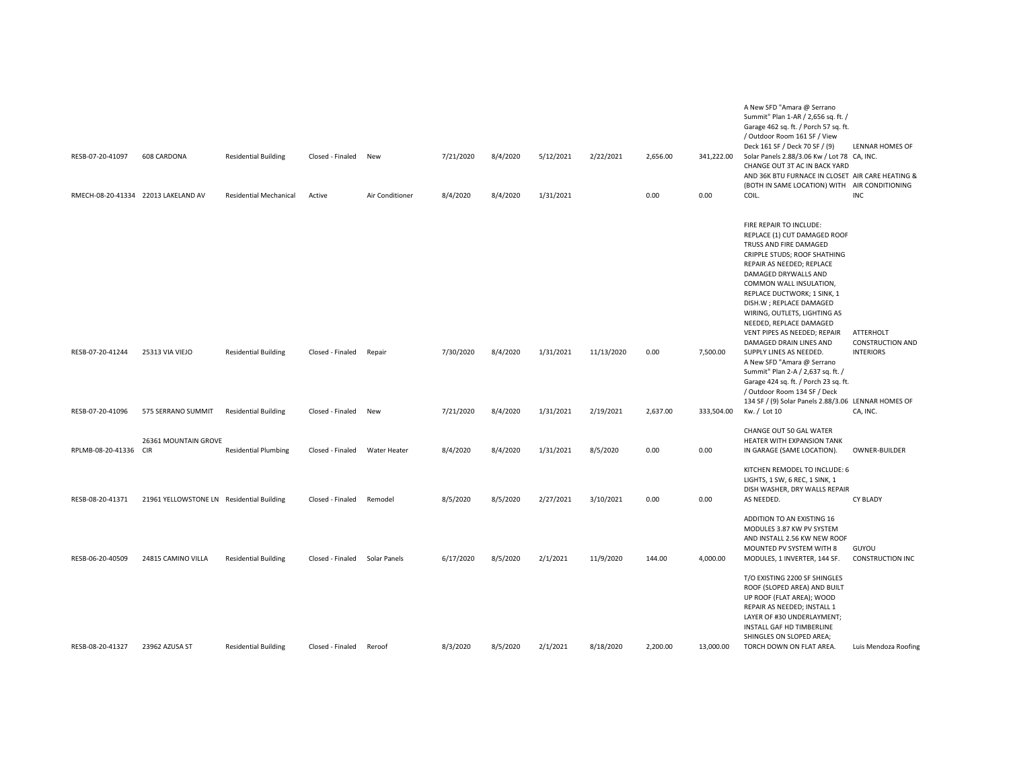| RESB-07-20-41097      | 608 CARDONA                               | <b>Residential Building</b> | Closed - Finaled New          |                 | 7/21/2020 | 8/4/2020 | 5/12/2021 | 2/22/2021  | 2,656.00 | 341,222.00 | A New SFD "Amara @ Serrano<br>Summit" Plan 1-AR / 2,656 sq. ft. /<br>Garage 462 sq. ft. / Porch 57 sq. ft.<br>/ Outdoor Room 161 SF / View<br>Deck 161 SF / Deck 70 SF / (9)<br>Solar Panels 2.88/3.06 Kw / Lot 78 CA, INC.<br>CHANGE OUT 3T AC IN BACK YARD<br>AND 36K BTU FURNACE IN CLOSET AIR CARE HEATING &                                                                                                                            | LENNAR HOMES OF                                          |
|-----------------------|-------------------------------------------|-----------------------------|-------------------------------|-----------------|-----------|----------|-----------|------------|----------|------------|---------------------------------------------------------------------------------------------------------------------------------------------------------------------------------------------------------------------------------------------------------------------------------------------------------------------------------------------------------------------------------------------------------------------------------------------|----------------------------------------------------------|
|                       | RMECH-08-20-41334 22013 LAKELAND AV       | Residential Mechanical      | Active                        | Air Conditioner | 8/4/2020  | 8/4/2020 | 1/31/2021 |            | 0.00     | 0.00       | (BOTH IN SAME LOCATION) WITH AIR CONDITIONING<br>COIL.                                                                                                                                                                                                                                                                                                                                                                                      | INC                                                      |
| RESB-07-20-41244      | 25313 VIA VIEJO                           | <b>Residential Building</b> | Closed - Finaled              | Repair          | 7/30/2020 | 8/4/2020 | 1/31/2021 | 11/13/2020 | 0.00     | 7,500.00   | FIRE REPAIR TO INCLUDE:<br>REPLACE (1) CUT DAMAGED ROOF<br>TRUSS AND FIRE DAMAGED<br>CRIPPLE STUDS; ROOF SHATHING<br>REPAIR AS NEEDED; REPLACE<br>DAMAGED DRYWALLS AND<br>COMMON WALL INSULATION,<br>REPLACE DUCTWORK; 1 SINK, 1<br>DISH.W ; REPLACE DAMAGED<br>WIRING, OUTLETS, LIGHTING AS<br>NEEDED, REPLACE DAMAGED<br>VENT PIPES AS NEEDED; REPAIR<br>DAMAGED DRAIN LINES AND<br>SUPPLY LINES AS NEEDED.<br>A New SFD "Amara @ Serrano | ATTERHOLT<br><b>CONSTRUCTION AND</b><br><b>INTERIORS</b> |
|                       |                                           |                             |                               |                 |           |          |           |            |          |            | Summit" Plan 2-A / 2,637 sq. ft. /<br>Garage 424 sq. ft. / Porch 23 sq. ft.<br>/ Outdoor Room 134 SF / Deck<br>134 SF / (9) Solar Panels 2.88/3.06 LENNAR HOMES OF                                                                                                                                                                                                                                                                          |                                                          |
| RESB-07-20-41096      | 575 SERRANO SUMMIT                        | <b>Residential Building</b> | Closed - Finaled              | New             | 7/21/2020 | 8/4/2020 | 1/31/2021 | 2/19/2021  | 2,637.00 | 333,504.00 | Kw. / Lot 10<br>CHANGE OUT 50 GAL WATER                                                                                                                                                                                                                                                                                                                                                                                                     | CA, INC.                                                 |
| RPLMB-08-20-41336 CIR | 26361 MOUNTAIN GROVE                      | <b>Residential Plumbing</b> | Closed - Finaled              | Water Heater    | 8/4/2020  | 8/4/2020 | 1/31/2021 | 8/5/2020   | 0.00     | 0.00       | HEATER WITH EXPANSION TANK<br>IN GARAGE (SAME LOCATION).                                                                                                                                                                                                                                                                                                                                                                                    | OWNER-BUILDER                                            |
| RESB-08-20-41371      | 21961 YELLOWSTONE LN Residential Building |                             | Closed - Finaled              | Remodel         | 8/5/2020  | 8/5/2020 | 2/27/2021 | 3/10/2021  | 0.00     | 0.00       | KITCHEN REMODEL TO INCLUDE: 6<br>LIGHTS, 1 SW, 6 REC, 1 SINK, 1<br>DISH WASHER, DRY WALLS REPAIR<br>AS NEEDED.                                                                                                                                                                                                                                                                                                                              | <b>CY BLADY</b>                                          |
| RESB-06-20-40509      | 24815 CAMINO VILLA                        | <b>Residential Building</b> | Closed - Finaled Solar Panels |                 | 6/17/2020 | 8/5/2020 | 2/1/2021  | 11/9/2020  | 144.00   | 4,000.00   | ADDITION TO AN EXISTING 16<br>MODULES 3.87 KW PV SYSTEM<br>AND INSTALL 2.56 KW NEW ROOF<br>MOUNTED PV SYSTEM WITH 8<br>MODULES, 1 INVERTER, 144 SF.                                                                                                                                                                                                                                                                                         | GUYOU<br><b>CONSTRUCTION INC</b>                         |
| RESB-08-20-41327      | 23962 AZUSA ST                            | <b>Residential Building</b> | Closed - Finaled              | Reroof          | 8/3/2020  | 8/5/2020 | 2/1/2021  | 8/18/2020  | 2,200.00 | 13,000.00  | T/O EXISTING 2200 SF SHINGLES<br>ROOF (SLOPED AREA) AND BUILT<br>UP ROOF (FLAT AREA); WOOD<br>REPAIR AS NEEDED; INSTALL 1<br>LAYER OF #30 UNDERLAYMENT;<br>INSTALL GAF HD TIMBERLINE<br>SHINGLES ON SLOPED AREA;<br>TORCH DOWN ON FLAT AREA.                                                                                                                                                                                                | Luis Mendoza Roofing                                     |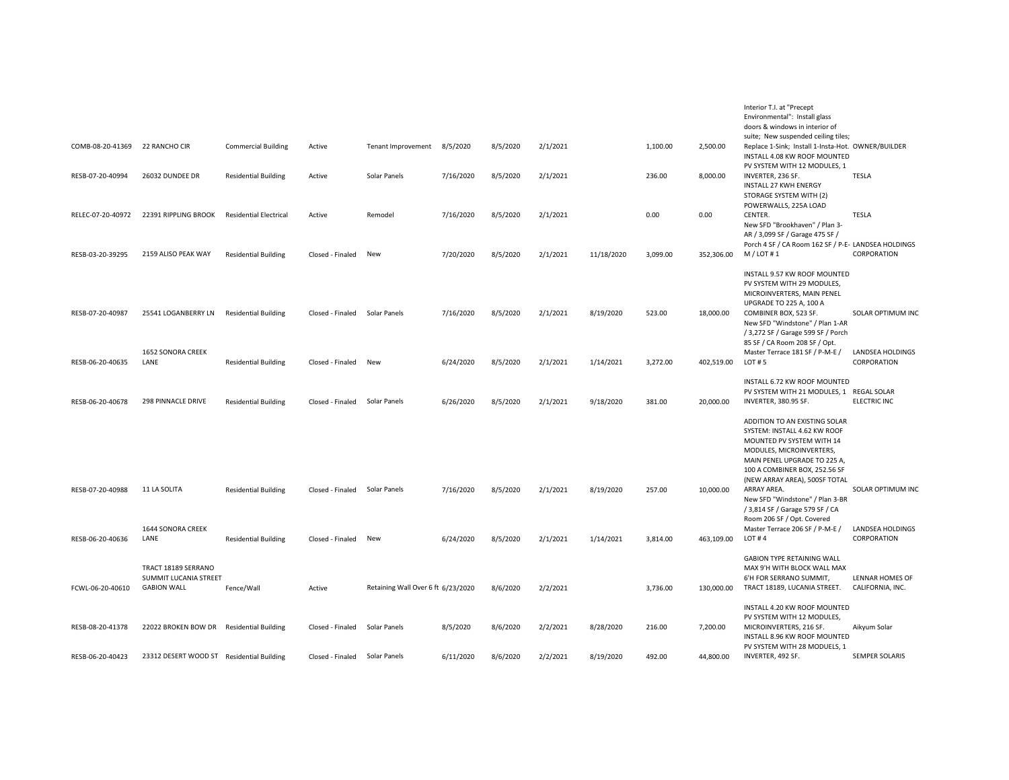|                   |                                           |                               |                               |                                    |           |          |          |            |          |            | Interior T.I. at "Precept                                             |                                 |
|-------------------|-------------------------------------------|-------------------------------|-------------------------------|------------------------------------|-----------|----------|----------|------------|----------|------------|-----------------------------------------------------------------------|---------------------------------|
|                   |                                           |                               |                               |                                    |           |          |          |            |          |            | Environmental": Install glass                                         |                                 |
|                   |                                           |                               |                               |                                    |           |          |          |            |          |            | doors & windows in interior of<br>suite; New suspended ceiling tiles; |                                 |
| COMB-08-20-41369  | 22 RANCHO CIR                             | <b>Commercial Building</b>    | Active                        | Tenant Improvement                 | 8/5/2020  | 8/5/2020 | 2/1/2021 |            | 1,100.00 | 2,500.00   | Replace 1-Sink; Install 1-Insta-Hot. OWNER/BUILDER                    |                                 |
|                   |                                           |                               |                               |                                    |           |          |          |            |          |            | INSTALL 4.08 KW ROOF MOUNTED                                          |                                 |
|                   |                                           |                               |                               |                                    |           |          |          |            |          |            | PV SYSTEM WITH 12 MODULES, 1                                          |                                 |
| RESB-07-20-40994  | 26032 DUNDEE DR                           | <b>Residential Building</b>   | Active                        | Solar Panels                       | 7/16/2020 | 8/5/2020 | 2/1/2021 |            | 236.00   | 8,000.00   | INVERTER, 236 SF.                                                     | <b>TESLA</b>                    |
|                   |                                           |                               |                               |                                    |           |          |          |            |          |            | <b>INSTALL 27 KWH ENERGY</b>                                          |                                 |
|                   |                                           |                               |                               |                                    |           |          |          |            |          |            | STORAGE SYSTEM WITH (2)                                               |                                 |
| RELEC-07-20-40972 | 22391 RIPPLING BROOK                      | <b>Residential Electrical</b> | Active                        | Remodel                            | 7/16/2020 | 8/5/2020 | 2/1/2021 |            | 0.00     | 0.00       | POWERWALLS, 225A LOAD<br>CENTER.                                      | <b>TESLA</b>                    |
|                   |                                           |                               |                               |                                    |           |          |          |            |          |            | New SFD "Brookhaven" / Plan 3-                                        |                                 |
|                   |                                           |                               |                               |                                    |           |          |          |            |          |            | AR / 3,099 SF / Garage 475 SF /                                       |                                 |
|                   |                                           |                               |                               |                                    |           |          |          |            |          |            | Porch 4 SF / CA Room 162 SF / P-E- LANDSEA HOLDINGS                   |                                 |
| RESB-03-20-39295  | 2159 ALISO PEAK WAY                       | <b>Residential Building</b>   | Closed - Finaled              | New                                | 7/20/2020 | 8/5/2020 | 2/1/2021 | 11/18/2020 | 3,099.00 | 352,306.00 | M / LOT# 1                                                            | CORPORATION                     |
|                   |                                           |                               |                               |                                    |           |          |          |            |          |            | INSTALL 9.57 KW ROOF MOUNTED                                          |                                 |
|                   |                                           |                               |                               |                                    |           |          |          |            |          |            | PV SYSTEM WITH 29 MODULES,                                            |                                 |
|                   |                                           |                               |                               |                                    |           |          |          |            |          |            | MICROINVERTERS, MAIN PENEL                                            |                                 |
|                   |                                           |                               |                               |                                    |           |          |          |            |          |            | UPGRADE TO 225 A, 100 A                                               |                                 |
| RESB-07-20-40987  | 25541 LOGANBERRY LN                       | <b>Residential Building</b>   | Closed - Finaled              | Solar Panels                       | 7/16/2020 | 8/5/2020 | 2/1/2021 | 8/19/2020  | 523.00   | 18,000.00  | COMBINER BOX, 523 SF.                                                 | SOLAR OPTIMUM INC               |
|                   |                                           |                               |                               |                                    |           |          |          |            |          |            | New SFD "Windstone" / Plan 1-AR                                       |                                 |
|                   |                                           |                               |                               |                                    |           |          |          |            |          |            | / 3,272 SF / Garage 599 SF / Porch<br>85 SF / CA Room 208 SF / Opt.   |                                 |
|                   | 1652 SONORA CREEK                         |                               |                               |                                    |           |          |          |            |          |            | Master Terrace 181 SF / P-M-E /                                       | LANDSEA HOLDINGS                |
| RESB-06-20-40635  | LANE                                      | <b>Residential Building</b>   | Closed - Finaled              | New                                | 6/24/2020 | 8/5/2020 | 2/1/2021 | 1/14/2021  | 3,272.00 | 402,519.00 | LOT # 5                                                               | CORPORATION                     |
|                   |                                           |                               |                               |                                    |           |          |          |            |          |            |                                                                       |                                 |
|                   |                                           |                               |                               |                                    |           |          |          |            |          |            | INSTALL 6.72 KW ROOF MOUNTED                                          |                                 |
| RESB-06-20-40678  | 298 PINNACLE DRIVE                        | <b>Residential Building</b>   | Closed - Finaled              | Solar Panels                       | 6/26/2020 | 8/5/2020 | 2/1/2021 | 9/18/2020  | 381.00   | 20,000.00  | PV SYSTEM WITH 21 MODULES, 1 REGAL SOLAR<br>INVERTER, 380.95 SF.      | <b>ELECTRIC INC</b>             |
|                   |                                           |                               |                               |                                    |           |          |          |            |          |            |                                                                       |                                 |
|                   |                                           |                               |                               |                                    |           |          |          |            |          |            | ADDITION TO AN EXISTING SOLAR                                         |                                 |
|                   |                                           |                               |                               |                                    |           |          |          |            |          |            | SYSTEM: INSTALL 4.62 KW ROOF                                          |                                 |
|                   |                                           |                               |                               |                                    |           |          |          |            |          |            | MOUNTED PV SYSTEM WITH 14                                             |                                 |
|                   |                                           |                               |                               |                                    |           |          |          |            |          |            | MODULES, MICROINVERTERS,                                              |                                 |
|                   |                                           |                               |                               |                                    |           |          |          |            |          |            | MAIN PENEL UPGRADE TO 225 A,<br>100 A COMBINER BOX, 252.56 SF         |                                 |
|                   |                                           |                               |                               |                                    |           |          |          |            |          |            | (NEW ARRAY AREA), 500SF TOTAL                                         |                                 |
| RESB-07-20-40988  | 11 LA SOLITA                              | <b>Residential Building</b>   | Closed - Finaled Solar Panels |                                    | 7/16/2020 | 8/5/2020 | 2/1/2021 | 8/19/2020  | 257.00   | 10,000.00  | ARRAY AREA.                                                           | SOLAR OPTIMUM INC               |
|                   |                                           |                               |                               |                                    |           |          |          |            |          |            | New SFD "Windstone" / Plan 3-BR                                       |                                 |
|                   |                                           |                               |                               |                                    |           |          |          |            |          |            | / 3,814 SF / Garage 579 SF / CA                                       |                                 |
|                   |                                           |                               |                               |                                    |           |          |          |            |          |            | Room 206 SF / Opt. Covered                                            |                                 |
| RESB-06-20-40636  | 1644 SONORA CREEK<br>LANE                 | <b>Residential Building</b>   | Closed - Finaled              | New                                | 6/24/2020 | 8/5/2020 | 2/1/2021 | 1/14/2021  | 3,814.00 | 463,109.00 | Master Terrace 206 SF / P-M-E /<br>LOT#4                              | LANDSEA HOLDINGS<br>CORPORATION |
|                   |                                           |                               |                               |                                    |           |          |          |            |          |            |                                                                       |                                 |
|                   |                                           |                               |                               |                                    |           |          |          |            |          |            | <b>GABION TYPE RETAINING WALL</b>                                     |                                 |
|                   | TRACT 18189 SERRANO                       |                               |                               |                                    |           |          |          |            |          |            | MAX 9'H WITH BLOCK WALL MAX                                           |                                 |
|                   | SUMMIT LUCANIA STREET                     |                               |                               |                                    |           |          |          |            |          |            | 6'H FOR SERRANO SUMMIT,                                               | LENNAR HOMES OF                 |
| FCWL-06-20-40610  | <b>GABION WALL</b>                        | Fence/Wall                    | Active                        | Retaining Wall Over 6 ft 6/23/2020 |           | 8/6/2020 | 2/2/2021 |            | 3,736.00 | 130,000.00 | TRACT 18189, LUCANIA STREET.                                          | CALIFORNIA, INC.                |
|                   |                                           |                               |                               |                                    |           |          |          |            |          |            | INSTALL 4.20 KW ROOF MOUNTED                                          |                                 |
|                   |                                           |                               |                               |                                    |           |          |          |            |          |            | PV SYSTEM WITH 12 MODULES,                                            |                                 |
| RESB-08-20-41378  | 22022 BROKEN BOW DR                       | <b>Residential Building</b>   | Closed - Finaled              | Solar Panels                       | 8/5/2020  | 8/6/2020 | 2/2/2021 | 8/28/2020  | 216.00   | 7,200.00   | MICROINVERTERS, 216 SF.                                               | Aikyum Solar                    |
|                   |                                           |                               |                               |                                    |           |          |          |            |          |            | INSTALL 8.96 KW ROOF MOUNTED                                          |                                 |
| RESB-06-20-40423  | 23312 DESERT WOOD ST Residential Building |                               | Closed - Finaled              | Solar Panels                       | 6/11/2020 | 8/6/2020 | 2/2/2021 | 8/19/2020  | 492.00   | 44,800.00  | PV SYSTEM WITH 28 MODUELS, 1<br>INVERTER, 492 SF.                     | SEMPER SOLARIS                  |
|                   |                                           |                               |                               |                                    |           |          |          |            |          |            |                                                                       |                                 |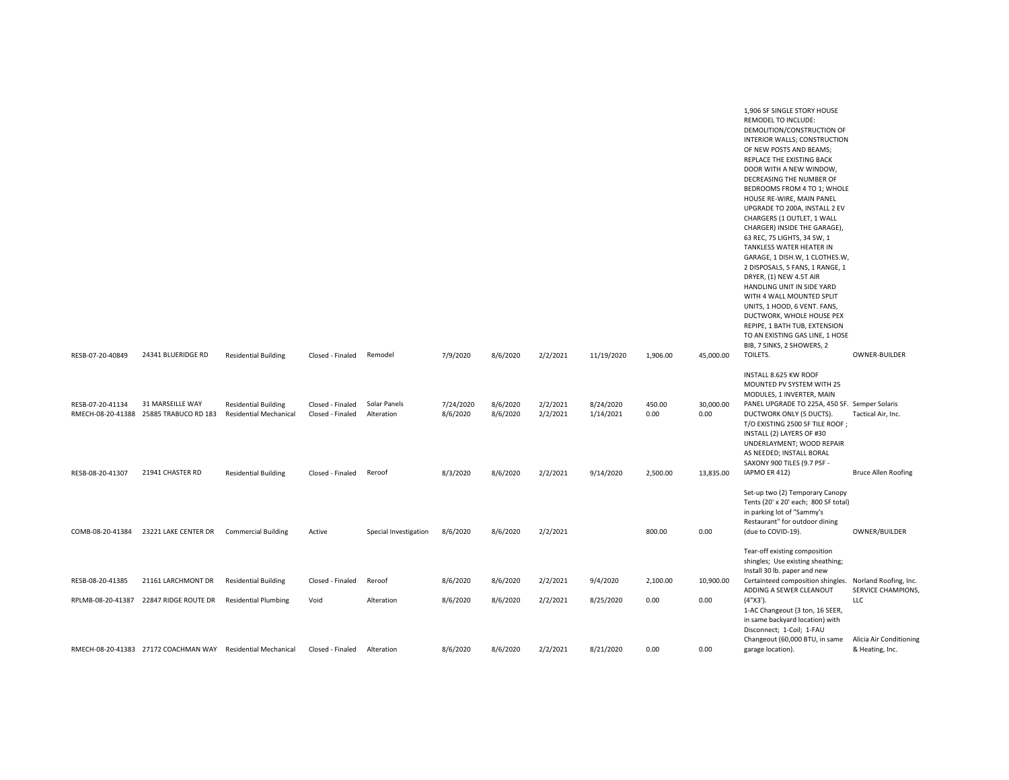|                                        |                                          |                               |                  |                       |           |          |          |            |          |           | 1,906 SF SINGLE STORY HOUSE                             |                         |
|----------------------------------------|------------------------------------------|-------------------------------|------------------|-----------------------|-----------|----------|----------|------------|----------|-----------|---------------------------------------------------------|-------------------------|
|                                        |                                          |                               |                  |                       |           |          |          |            |          |           | <b>REMODEL TO INCLUDE:</b>                              |                         |
|                                        |                                          |                               |                  |                       |           |          |          |            |          |           | DEMOLITION/CONSTRUCTION OF                              |                         |
|                                        |                                          |                               |                  |                       |           |          |          |            |          |           | INTERIOR WALLS; CONSTRUCTION                            |                         |
|                                        |                                          |                               |                  |                       |           |          |          |            |          |           |                                                         |                         |
|                                        |                                          |                               |                  |                       |           |          |          |            |          |           | OF NEW POSTS AND BEAMS;                                 |                         |
|                                        |                                          |                               |                  |                       |           |          |          |            |          |           | REPLACE THE EXISTING BACK                               |                         |
|                                        |                                          |                               |                  |                       |           |          |          |            |          |           | DOOR WITH A NEW WINDOW,                                 |                         |
|                                        |                                          |                               |                  |                       |           |          |          |            |          |           | DECREASING THE NUMBER OF                                |                         |
|                                        |                                          |                               |                  |                       |           |          |          |            |          |           | BEDROOMS FROM 4 TO 1; WHOLE                             |                         |
|                                        |                                          |                               |                  |                       |           |          |          |            |          |           | HOUSE RE-WIRE, MAIN PANEL                               |                         |
|                                        |                                          |                               |                  |                       |           |          |          |            |          |           | UPGRADE TO 200A, INSTALL 2 EV                           |                         |
|                                        |                                          |                               |                  |                       |           |          |          |            |          |           | CHARGERS (1 OUTLET, 1 WALL                              |                         |
|                                        |                                          |                               |                  |                       |           |          |          |            |          |           | CHARGER) INSIDE THE GARAGE),                            |                         |
|                                        |                                          |                               |                  |                       |           |          |          |            |          |           | 63 REC, 75 LIGHTS, 34 SW, 1                             |                         |
|                                        |                                          |                               |                  |                       |           |          |          |            |          |           | TANKLESS WATER HEATER IN                                |                         |
|                                        |                                          |                               |                  |                       |           |          |          |            |          |           | GARAGE, 1 DISH.W, 1 CLOTHES.W,                          |                         |
|                                        |                                          |                               |                  |                       |           |          |          |            |          |           | 2 DISPOSALS, 5 FANS, 1 RANGE, 1                         |                         |
|                                        |                                          |                               |                  |                       |           |          |          |            |          |           | DRYER, (1) NEW 4.5T AIR                                 |                         |
|                                        |                                          |                               |                  |                       |           |          |          |            |          |           | HANDLING UNIT IN SIDE YARD                              |                         |
|                                        |                                          |                               |                  |                       |           |          |          |            |          |           | WITH 4 WALL MOUNTED SPLIT                               |                         |
|                                        |                                          |                               |                  |                       |           |          |          |            |          |           | UNITS, 1 HOOD, 6 VENT. FANS,                            |                         |
|                                        |                                          |                               |                  |                       |           |          |          |            |          |           | DUCTWORK, WHOLE HOUSE PEX                               |                         |
|                                        |                                          |                               |                  |                       |           |          |          |            |          |           | REPIPE, 1 BATH TUB, EXTENSION                           |                         |
|                                        |                                          |                               |                  |                       |           |          |          |            |          |           | TO AN EXISTING GAS LINE, 1 HOSE                         |                         |
|                                        |                                          |                               |                  |                       |           |          |          |            |          |           | BIB, 7 SINKS, 2 SHOWERS, 2                              |                         |
| RESB-07-20-40849                       | 24341 BLUERIDGE RD                       | <b>Residential Building</b>   | Closed - Finaled | Remodel               | 7/9/2020  | 8/6/2020 | 2/2/2021 | 11/19/2020 | 1,906.00 | 45,000.00 | TOILETS.                                                | OWNER-BUILDER           |
|                                        |                                          |                               |                  |                       |           |          |          |            |          |           |                                                         |                         |
|                                        |                                          |                               |                  |                       |           |          |          |            |          |           | INSTALL 8.625 KW ROOF                                   |                         |
|                                        |                                          |                               |                  |                       |           |          |          |            |          |           | MOUNTED PV SYSTEM WITH 25                               |                         |
|                                        |                                          |                               |                  |                       |           |          |          |            |          |           | MODULES, 1 INVERTER, MAIN                               |                         |
| RESB-07-20-41134                       | 31 MARSEILLE WAY                         | <b>Residential Building</b>   | Closed - Finaled | Solar Panels          | 7/24/2020 | 8/6/2020 |          |            |          |           |                                                         |                         |
| RMECH-08-20-41388 25885 TRABUCO RD 183 |                                          |                               |                  |                       |           |          |          |            |          |           |                                                         |                         |
|                                        |                                          |                               |                  |                       |           |          | 2/2/2021 | 8/24/2020  | 450.00   | 30,000.00 | PANEL UPGRADE TO 225A, 450 SF. Semper Solaris           |                         |
|                                        |                                          | <b>Residential Mechanical</b> | Closed - Finaled | Alteration            | 8/6/2020  | 8/6/2020 | 2/2/2021 | 1/14/2021  | 0.00     | 0.00      | DUCTWORK ONLY (5 DUCTS).                                | Tactical Air, Inc.      |
|                                        |                                          |                               |                  |                       |           |          |          |            |          |           | T/O EXISTING 2500 SF TILE ROOF;                         |                         |
|                                        |                                          |                               |                  |                       |           |          |          |            |          |           | INSTALL (2) LAYERS OF #30                               |                         |
|                                        |                                          |                               |                  |                       |           |          |          |            |          |           | UNDERLAYMENT; WOOD REPAIR                               |                         |
|                                        |                                          |                               |                  |                       |           |          |          |            |          |           | AS NEEDED; INSTALL BORAL                                |                         |
|                                        |                                          |                               |                  |                       |           |          |          |            |          |           | SAXONY 900 TILES (9.7 PSF -                             |                         |
| RESB-08-20-41307                       | 21941 CHASTER RD                         | <b>Residential Building</b>   | Closed - Finaled | Reroof                | 8/3/2020  | 8/6/2020 | 2/2/2021 | 9/14/2020  | 2.500.00 | 13,835.00 | IAPMO ER 412)                                           | Bruce Allen Roofing     |
|                                        |                                          |                               |                  |                       |           |          |          |            |          |           |                                                         |                         |
|                                        |                                          |                               |                  |                       |           |          |          |            |          |           | Set-up two (2) Temporary Canopy                         |                         |
|                                        |                                          |                               |                  |                       |           |          |          |            |          |           | Tents (20' x 20' each; 800 SF total)                    |                         |
|                                        |                                          |                               |                  |                       |           |          |          |            |          |           | in parking lot of "Sammy's                              |                         |
|                                        |                                          |                               |                  |                       |           |          |          |            |          |           | Restaurant" for outdoor dining                          |                         |
| COMB-08-20-41384                       | 23221 LAKE CENTER DR Commercial Building |                               | Active           | Special Investigation | 8/6/2020  | 8/6/2020 | 2/2/2021 |            | 800.00   | 0.00      | (due to COVID-19).                                      | OWNER/BUILDER           |
|                                        |                                          |                               |                  |                       |           |          |          |            |          |           |                                                         |                         |
|                                        |                                          |                               |                  |                       |           |          |          |            |          |           | Tear-off existing composition                           |                         |
|                                        |                                          |                               |                  |                       |           |          |          |            |          |           | shingles; Use existing sheathing;                       |                         |
|                                        |                                          |                               |                  |                       |           |          |          |            |          |           | Install 30 lb. paper and new                            |                         |
| RESB-08-20-41385                       | 21161 LARCHMONT DR                       | <b>Residential Building</b>   | Closed - Finaled | Reroof                | 8/6/2020  | 8/6/2020 | 2/2/2021 | 9/4/2020   | 2,100.00 | 10,900.00 | Certainteed composition shingles. Norland Roofing, Inc. |                         |
|                                        |                                          |                               |                  |                       |           |          |          |            |          |           | ADDING A SEWER CLEANOUT                                 | SERVICE CHAMPIONS,      |
| RPLMB-08-20-41387                      | 22847 RIDGE ROUTE DR                     | <b>Residential Plumbing</b>   | Void             | Alteration            | 8/6/2020  | 8/6/2020 | 2/2/2021 | 8/25/2020  | 0.00     | 0.00      | $(4"X3')$ .                                             | LLC                     |
|                                        |                                          |                               |                  |                       |           |          |          |            |          |           | 1-AC Changeout (3 ton, 16 SEER,                         |                         |
|                                        |                                          |                               |                  |                       |           |          |          |            |          |           | in same backyard location) with                         |                         |
|                                        |                                          |                               |                  |                       |           |          |          |            |          |           | Disconnect; 1-Coil; 1-FAU                               |                         |
|                                        |                                          |                               |                  |                       |           |          |          |            |          |           | Changeout (60,000 BTU, in same                          | Alicia Air Conditioning |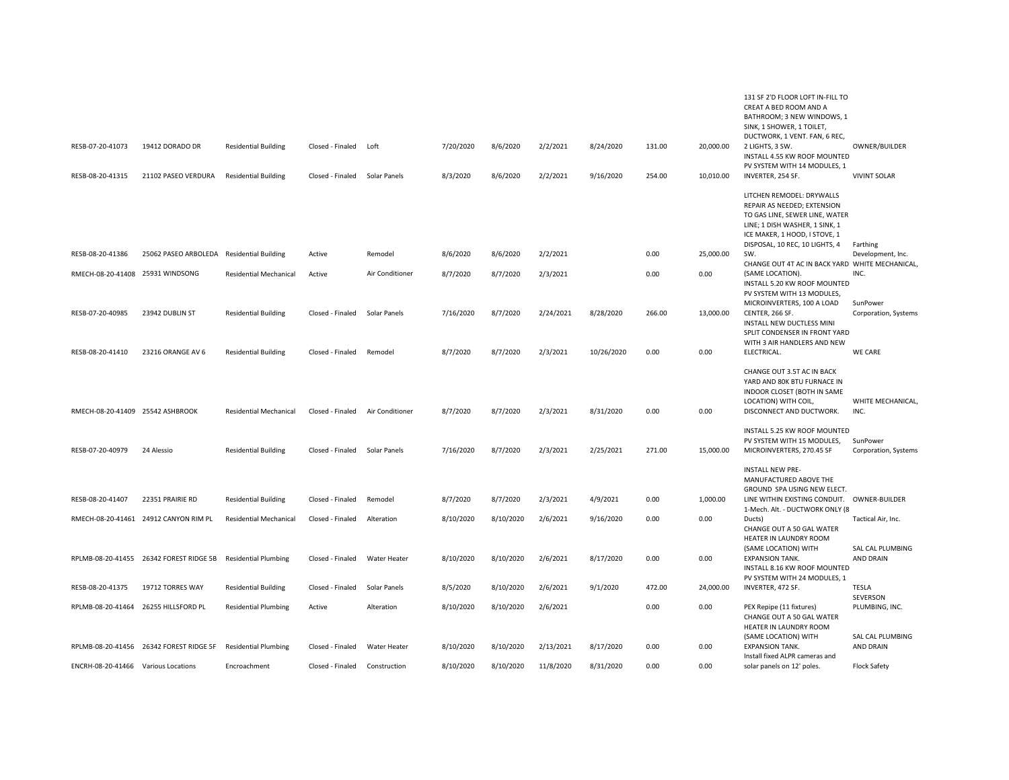|                                     |                                         |                               |                  |                 |           |           |           |            |        |           | 131 SF 2'D FLOOR LOFT IN-FILL TO                                 |                               |
|-------------------------------------|-----------------------------------------|-------------------------------|------------------|-----------------|-----------|-----------|-----------|------------|--------|-----------|------------------------------------------------------------------|-------------------------------|
|                                     |                                         |                               |                  |                 |           |           |           |            |        |           | CREAT A BED ROOM AND A                                           |                               |
|                                     |                                         |                               |                  |                 |           |           |           |            |        |           | BATHROOM; 3 NEW WINDOWS, 1                                       |                               |
|                                     |                                         |                               |                  |                 |           |           |           |            |        |           | SINK, 1 SHOWER, 1 TOILET,<br>DUCTWORK, 1 VENT. FAN, 6 REC,       |                               |
| RESB-07-20-41073                    | 19412 DORADO DR                         | <b>Residential Building</b>   | Closed - Finaled | Loft            | 7/20/2020 | 8/6/2020  | 2/2/2021  | 8/24/2020  | 131.00 | 20,000.00 | 2 LIGHTS, 3 SW.                                                  | OWNER/BUILDER                 |
|                                     |                                         |                               |                  |                 |           |           |           |            |        |           | INSTALL 4.55 KW ROOF MOUNTED                                     |                               |
|                                     |                                         |                               |                  |                 |           |           |           |            |        |           | PV SYSTEM WITH 14 MODULES, 1                                     |                               |
| RESB-08-20-41315                    | 21102 PASEO VERDURA                     | <b>Residential Building</b>   | Closed - Finaled | Solar Panels    | 8/3/2020  | 8/6/2020  | 2/2/2021  | 9/16/2020  | 254.00 | 10,010.00 | INVERTER, 254 SF.                                                | <b>VIVINT SOLAR</b>           |
|                                     |                                         |                               |                  |                 |           |           |           |            |        |           |                                                                  |                               |
|                                     |                                         |                               |                  |                 |           |           |           |            |        |           | LITCHEN REMODEL: DRYWALLS                                        |                               |
|                                     |                                         |                               |                  |                 |           |           |           |            |        |           | REPAIR AS NEEDED; EXTENSION                                      |                               |
|                                     |                                         |                               |                  |                 |           |           |           |            |        |           | TO GAS LINE, SEWER LINE, WATER<br>LINE; 1 DISH WASHER, 1 SINK, 1 |                               |
|                                     |                                         |                               |                  |                 |           |           |           |            |        |           | ICE MAKER, 1 HOOD, I STOVE, 1                                    |                               |
|                                     |                                         |                               |                  |                 |           |           |           |            |        |           | DISPOSAL, 10 REC, 10 LIGHTS, 4                                   | Farthing                      |
| RESB-08-20-41386                    | 25062 PASEO ARBOLEDA                    | <b>Residential Building</b>   | Active           | Remodel         | 8/6/2020  | 8/6/2020  | 2/2/2021  |            | 0.00   | 25,000.00 | SW.                                                              | Development, Inc.             |
|                                     |                                         |                               |                  |                 |           |           |           |            |        |           | CHANGE OUT 4T AC IN BACK YARD WHITE MECHANICAL,                  |                               |
| RMECH-08-20-41408 25931 WINDSONG    |                                         | <b>Residential Mechanical</b> | Active           | Air Conditioner | 8/7/2020  | 8/7/2020  | 2/3/2021  |            | 0.00   | 0.00      | (SAME LOCATION).                                                 | INC.                          |
|                                     |                                         |                               |                  |                 |           |           |           |            |        |           | INSTALL 5.20 KW ROOF MOUNTED<br>PV SYSTEM WITH 13 MODULES,       |                               |
|                                     |                                         |                               |                  |                 |           |           |           |            |        |           | MICROINVERTERS, 100 A LOAD                                       | SunPower                      |
| RESB-07-20-40985                    | 23942 DUBLIN ST                         | <b>Residential Building</b>   | Closed - Finaled | Solar Panels    | 7/16/2020 | 8/7/2020  | 2/24/2021 | 8/28/2020  | 266.00 | 13,000.00 | CENTER, 266 SF.                                                  | Corporation, Systems          |
|                                     |                                         |                               |                  |                 |           |           |           |            |        |           | INSTALL NEW DUCTLESS MINI                                        |                               |
|                                     |                                         |                               |                  |                 |           |           |           |            |        |           | SPLIT CONDENSER IN FRONT YARD                                    |                               |
|                                     |                                         |                               |                  |                 |           |           |           |            |        |           | WITH 3 AIR HANDLERS AND NEW                                      |                               |
| RESB-08-20-41410                    | 23216 ORANGE AV 6                       | <b>Residential Building</b>   | Closed - Finaled | Remodel         | 8/7/2020  | 8/7/2020  | 2/3/2021  | 10/26/2020 | 0.00   | 0.00      | ELECTRICAL.                                                      | <b>WE CARE</b>                |
|                                     |                                         |                               |                  |                 |           |           |           |            |        |           | CHANGE OUT 3.5T AC IN BACK                                       |                               |
|                                     |                                         |                               |                  |                 |           |           |           |            |        |           | YARD AND 80K BTU FURNACE IN                                      |                               |
|                                     |                                         |                               |                  |                 |           |           |           |            |        |           | INDOOR CLOSET (BOTH IN SAME                                      |                               |
|                                     |                                         |                               |                  |                 |           |           |           |            |        |           | LOCATION) WITH COIL,                                             | WHITE MECHANICAL,             |
| RMECH-08-20-41409 25542 ASHBROOK    |                                         | <b>Residential Mechanical</b> | Closed - Finaled | Air Conditioner | 8/7/2020  | 8/7/2020  | 2/3/2021  | 8/31/2020  | 0.00   | 0.00      | DISCONNECT AND DUCTWORK.                                         | INC.                          |
|                                     |                                         |                               |                  |                 |           |           |           |            |        |           | INSTALL 5.25 KW ROOF MOUNTED                                     |                               |
|                                     |                                         |                               |                  |                 |           |           |           |            |        |           | PV SYSTEM WITH 15 MODULES,                                       | SunPower                      |
| RESB-07-20-40979                    | 24 Alessio                              | <b>Residential Building</b>   | Closed - Finaled | Solar Panels    | 7/16/2020 | 8/7/2020  | 2/3/2021  | 2/25/2021  | 271.00 | 15,000.00 | MICROINVERTERS, 270.45 SF                                        | Corporation, Systems          |
|                                     |                                         |                               |                  |                 |           |           |           |            |        |           |                                                                  |                               |
|                                     |                                         |                               |                  |                 |           |           |           |            |        |           | <b>INSTALL NEW PRE-</b>                                          |                               |
|                                     |                                         |                               |                  |                 |           |           |           |            |        |           | MANUFACTURED ABOVE THE<br>GROUND SPA USING NEW ELECT.            |                               |
| RESB-08-20-41407                    | 22351 PRAIRIE RD                        | <b>Residential Building</b>   | Closed - Finaled | Remodel         | 8/7/2020  | 8/7/2020  | 2/3/2021  | 4/9/2021   | 0.00   | 1,000.00  | LINE WITHIN EXISTING CONDUIT. OWNER-BUILDER                      |                               |
|                                     |                                         |                               |                  |                 |           |           |           |            |        |           | 1-Mech. Alt. - DUCTWORK ONLY (8                                  |                               |
|                                     | RMECH-08-20-41461 24912 CANYON RIM PL   | <b>Residential Mechanical</b> | Closed - Finaled | Alteration      | 8/10/2020 | 8/10/2020 | 2/6/2021  | 9/16/2020  | 0.00   | 0.00      | Ducts)                                                           | Tactical Air, Inc.            |
|                                     |                                         |                               |                  |                 |           |           |           |            |        |           | CHANGE OUT A 50 GAL WATER                                        |                               |
|                                     |                                         |                               |                  |                 |           |           |           |            |        |           | HEATER IN LAUNDRY ROOM                                           |                               |
| RPLMB-08-20-41455                   | 26342 FOREST RIDGE 5B                   | <b>Residential Plumbing</b>   | Closed - Finaled | Water Heater    | 8/10/2020 | 8/10/2020 | 2/6/2021  | 8/17/2020  | 0.00   | 0.00      | (SAME LOCATION) WITH<br><b>EXPANSION TANK.</b>                   | SAL CAL PLUMBING<br>AND DRAIN |
|                                     |                                         |                               |                  |                 |           |           |           |            |        |           | INSTALL 8.16 KW ROOF MOUNTED                                     |                               |
|                                     |                                         |                               |                  |                 |           |           |           |            |        |           | PV SYSTEM WITH 24 MODULES, 1                                     |                               |
| RESB-08-20-41375                    | 19712 TORRES WAY                        | <b>Residential Building</b>   | Closed - Finaled | Solar Panels    | 8/5/2020  | 8/10/2020 | 2/6/2021  | 9/1/2020   | 472.00 | 24,000.00 | INVERTER, 472 SF.                                                | <b>TESLA</b>                  |
|                                     |                                         |                               |                  |                 |           |           |           |            |        |           |                                                                  | SEVERSON                      |
| RPLMB-08-20-41464                   | 26255 HILLSFORD PL                      | <b>Residential Plumbing</b>   | Active           | Alteration      | 8/10/2020 | 8/10/2020 | 2/6/2021  |            | 0.00   | 0.00      | PEX Repipe (11 fixtures)<br>CHANGE OUT A 50 GAL WATER            | PLUMBING, INC.                |
|                                     |                                         |                               |                  |                 |           |           |           |            |        |           | HEATER IN LAUNDRY ROOM                                           |                               |
|                                     |                                         |                               |                  |                 |           |           |           |            |        |           | (SAME LOCATION) WITH                                             | SAL CAL PLUMBING              |
|                                     | RPLMB-08-20-41456 26342 FOREST RIDGE 5F | <b>Residential Plumbing</b>   | Closed - Finaled | Water Heater    | 8/10/2020 | 8/10/2020 | 2/13/2021 | 8/17/2020  | 0.00   | 0.00      | <b>EXPANSION TANK.</b>                                           | AND DRAIN                     |
|                                     |                                         |                               |                  |                 |           |           |           |            |        |           | Install fixed ALPR cameras and                                   |                               |
| ENCRH-08-20-41466 Various Locations |                                         | Encroachment                  | Closed - Finaled | Construction    | 8/10/2020 | 8/10/2020 | 11/8/2020 | 8/31/2020  | 0.00   | 0.00      | solar panels on 12' poles.                                       | <b>Flock Safety</b>           |
|                                     |                                         |                               |                  |                 |           |           |           |            |        |           |                                                                  |                               |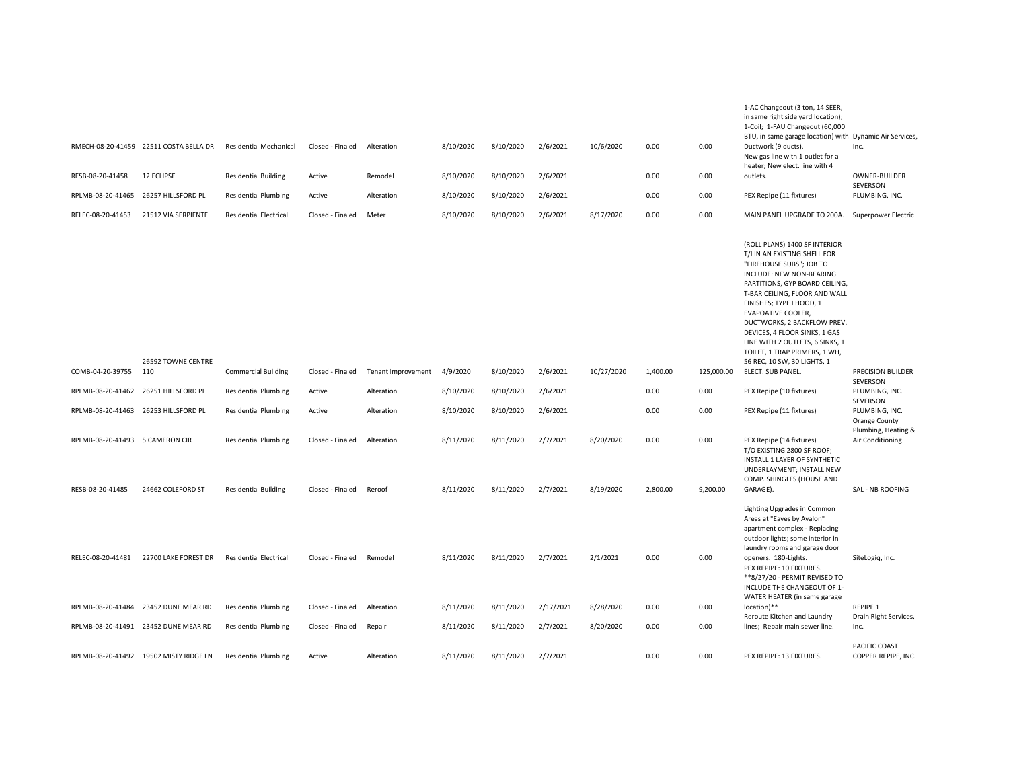|                                 | RMECH-08-20-41459 22511 COSTA BELLA DR | <b>Residential Mechanical</b> | Closed - Finaled | Alteration         | 8/10/2020 | 8/10/2020 | 2/6/2021  | 10/6/2020  | 0.00     | 0.00       | in same right side yard location);<br>1-Coil; 1-FAU Changeout (60,000<br>BTU, in same garage location) with Dynamic Air Services,<br>Ductwork (9 ducts).<br>New gas line with 1 outlet for a<br>heater; New elect. line with 4                                                                                                                                                                                       | Inc.                                                   |
|---------------------------------|----------------------------------------|-------------------------------|------------------|--------------------|-----------|-----------|-----------|------------|----------|------------|----------------------------------------------------------------------------------------------------------------------------------------------------------------------------------------------------------------------------------------------------------------------------------------------------------------------------------------------------------------------------------------------------------------------|--------------------------------------------------------|
| RESB-08-20-41458                | 12 ECLIPSE                             | <b>Residential Building</b>   | Active           | Remodel            | 8/10/2020 | 8/10/2020 | 2/6/2021  |            | 0.00     | 0.00       | outlets.                                                                                                                                                                                                                                                                                                                                                                                                             | OWNER-BUILDER<br>SEVERSON                              |
| RPLMB-08-20-41465               | 26257 HILLSFORD PL                     | <b>Residential Plumbing</b>   | Active           | Alteration         | 8/10/2020 | 8/10/2020 | 2/6/2021  |            | 0.00     | 0.00       | PEX Repipe (11 fixtures)                                                                                                                                                                                                                                                                                                                                                                                             | PLUMBING, INC.                                         |
| RELEC-08-20-41453               | 21512 VIA SERPIENTE                    | <b>Residential Electrical</b> | Closed - Finaled | Meter              | 8/10/2020 | 8/10/2020 | 2/6/2021  | 8/17/2020  | 0.00     | 0.00       | MAIN PANEL UPGRADE TO 200A.                                                                                                                                                                                                                                                                                                                                                                                          | Superpower Electric                                    |
|                                 | 26592 TOWNE CENTRE                     |                               |                  |                    |           |           |           |            |          |            | (ROLL PLANS) 1400 SF INTERIOR<br>T/I IN AN EXISTING SHELL FOR<br>"FIREHOUSE SUBS"; JOB TO<br>INCLUDE: NEW NON-BEARING<br>PARTITIONS, GYP BOARD CEILING,<br>T-BAR CEILING, FLOOR AND WALL<br>FINISHES; TYPE I HOOD, 1<br><b>EVAPOATIVE COOLER,</b><br>DUCTWORKS, 2 BACKFLOW PREV.<br>DEVICES, 4 FLOOR SINKS, 1 GAS<br>LINE WITH 2 OUTLETS, 6 SINKS, 1<br>TOILET, 1 TRAP PRIMERS, 1 WH,<br>56 REC, 10 SW, 30 LIGHTS, 1 |                                                        |
| COMB-04-20-39755                | 110                                    | <b>Commercial Building</b>    | Closed - Finaled | Tenant Improvement | 4/9/2020  | 8/10/2020 | 2/6/2021  | 10/27/2020 | 1,400.00 | 125,000.00 | ELECT. SUB PANEL.                                                                                                                                                                                                                                                                                                                                                                                                    | PRECISION BUILDER<br>SEVERSON                          |
|                                 | RPLMB-08-20-41462 26251 HILLSFORD PL   | <b>Residential Plumbing</b>   | Active           | Alteration         | 8/10/2020 | 8/10/2020 | 2/6/2021  |            | 0.00     | 0.00       | PEX Repipe (10 fixtures)                                                                                                                                                                                                                                                                                                                                                                                             | PLUMBING, INC.<br>SEVERSON                             |
|                                 | RPLMB-08-20-41463 26253 HILLSFORD PL   | <b>Residential Plumbing</b>   | Active           | Alteration         | 8/10/2020 | 8/10/2020 | 2/6/2021  |            | 0.00     | 0.00       | PEX Repipe (11 fixtures)                                                                                                                                                                                                                                                                                                                                                                                             | PLUMBING, INC.<br>Orange County<br>Plumbing, Heating & |
| RPLMB-08-20-41493 5 CAMERON CIR |                                        | <b>Residential Plumbing</b>   | Closed - Finaled | Alteration         | 8/11/2020 | 8/11/2020 | 2/7/2021  | 8/20/2020  | 0.00     | 0.00       | PEX Repipe (14 fixtures)<br>T/O EXISTING 2800 SF ROOF;<br>INSTALL 1 LAYER OF SYNTHETIC<br>UNDERLAYMENT; INSTALL NEW<br>COMP. SHINGLES (HOUSE AND                                                                                                                                                                                                                                                                     | Air Conditioning                                       |
| RESB-08-20-41485                | 24662 COLEFORD ST                      | <b>Residential Building</b>   | Closed - Finaled | Reroof             | 8/11/2020 | 8/11/2020 | 2/7/2021  | 8/19/2020  | 2,800.00 | 9,200.00   | GARAGE).                                                                                                                                                                                                                                                                                                                                                                                                             | SAL - NB ROOFING                                       |
| RELEC-08-20-41481               | 22700 LAKE FOREST DR                   | <b>Residential Electrical</b> | Closed - Finaled | Remodel            | 8/11/2020 | 8/11/2020 | 2/7/2021  | 2/1/2021   | 0.00     | 0.00       | Lighting Upgrades in Common<br>Areas at "Eaves by Avalon"<br>apartment complex - Replacing<br>outdoor lights; some interior in<br>laundry rooms and garage door<br>openers. 180-Lights.<br>PEX REPIPE: 10 FIXTURES.<br>**8/27/20 - PERMIT REVISED TO<br>INCLUDE THE CHANGEOUT OF 1-<br>WATER HEATER (in same garage                                                                                                  | SiteLogiq, Inc.                                        |
|                                 | RPLMB-08-20-41484 23452 DUNE MEAR RD   | <b>Residential Plumbing</b>   | Closed - Finaled | Alteration         | 8/11/2020 | 8/11/2020 | 2/17/2021 | 8/28/2020  | 0.00     | 0.00       | location)**<br>Reroute Kitchen and Laundry                                                                                                                                                                                                                                                                                                                                                                           | <b>REPIPE 1</b><br>Drain Right Services,               |
|                                 | RPLMB-08-20-41491 23452 DUNE MEAR RD   | <b>Residential Plumbing</b>   | Closed - Finaled | Repair             | 8/11/2020 | 8/11/2020 | 2/7/2021  | 8/20/2020  | 0.00     | 0.00       | lines; Repair main sewer line.                                                                                                                                                                                                                                                                                                                                                                                       | Inc.                                                   |
|                                 | RPLMB-08-20-41492 19502 MISTY RIDGE LN | <b>Residential Plumbing</b>   | Active           | Alteration         | 8/11/2020 | 8/11/2020 | 2/7/2021  |            | 0.00     | 0.00       | PEX REPIPE: 13 FIXTURES.                                                                                                                                                                                                                                                                                                                                                                                             | PACIFIC COAST<br>COPPER REPIPE, INC.                   |

1-AC Changeout (3 ton, 14 SEER,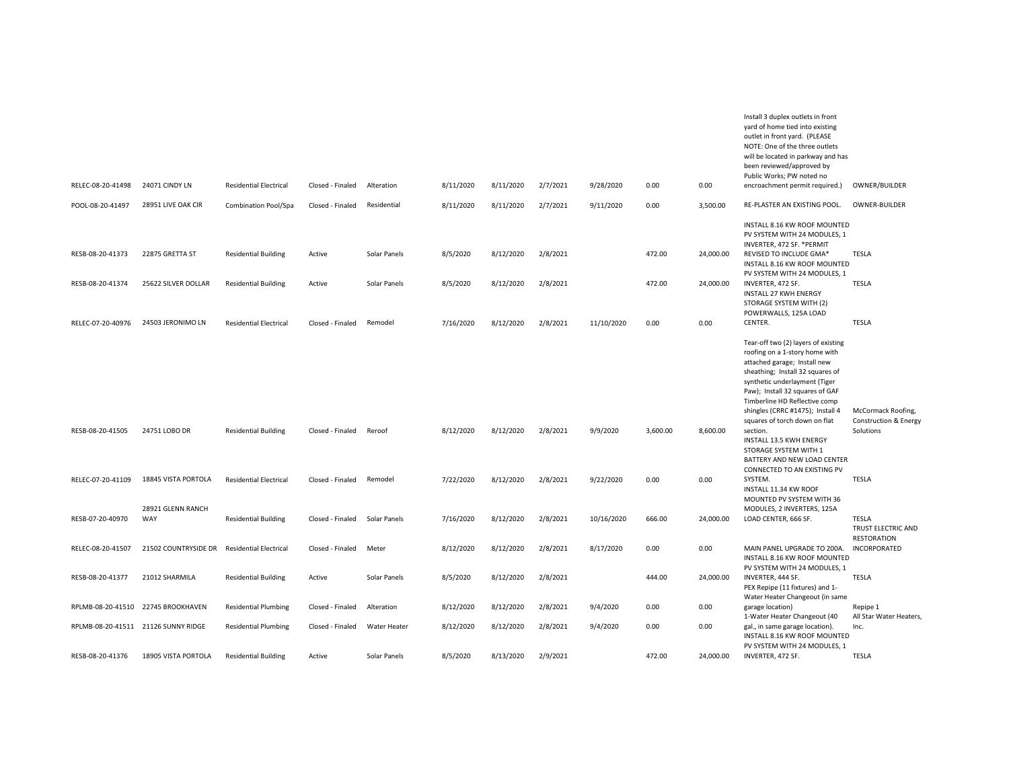|                                     |                          |                               |                  |              |           |           |          |            |          |           | Install 3 duplex outlets in front<br>yard of home tied into existing<br>outlet in front yard. (PLEASE<br>NOTE: One of the three outlets<br>will be located in parkway and has<br>been reviewed/approved by                                                                         |                                     |
|-------------------------------------|--------------------------|-------------------------------|------------------|--------------|-----------|-----------|----------|------------|----------|-----------|------------------------------------------------------------------------------------------------------------------------------------------------------------------------------------------------------------------------------------------------------------------------------------|-------------------------------------|
| RELEC-08-20-41498                   | 24071 CINDY LN           | <b>Residential Electrical</b> | Closed - Finaled | Alteration   | 8/11/2020 | 8/11/2020 | 2/7/2021 | 9/28/2020  | 0.00     | 0.00      | Public Works; PW noted no<br>encroachment permit required.)                                                                                                                                                                                                                        | OWNER/BUILDER                       |
| POOL-08-20-41497                    | 28951 LIVE OAK CIR       | <b>Combination Pool/Spa</b>   | Closed - Finaled | Residential  | 8/11/2020 | 8/11/2020 | 2/7/2021 | 9/11/2020  | 0.00     | 3,500.00  | RE-PLASTER AN EXISTING POOL.                                                                                                                                                                                                                                                       | <b>OWNER-BUILDER</b>                |
| RESB-08-20-41373                    | 22875 GRETTA ST          | <b>Residential Building</b>   | Active           | Solar Panels | 8/5/2020  | 8/12/2020 | 2/8/2021 |            | 472.00   | 24,000.00 | INSTALL 8.16 KW ROOF MOUNTED<br>PV SYSTEM WITH 24 MODULES, 1<br>INVERTER, 472 SF. * PERMIT<br>REVISED TO INCLUDE GMA*                                                                                                                                                              | TESLA                               |
| RESB-08-20-41374                    | 25622 SILVER DOLLAR      | <b>Residential Building</b>   | Active           | Solar Panels | 8/5/2020  | 8/12/2020 | 2/8/2021 |            | 472.00   | 24,000.00 | INSTALL 8.16 KW ROOF MOUNTED<br>PV SYSTEM WITH 24 MODULES, 1<br>INVERTER, 472 SF.<br><b>INSTALL 27 KWH ENERGY</b>                                                                                                                                                                  | TESLA                               |
| RELEC-07-20-40976                   | 24503 JERONIMO LN        | <b>Residential Electrical</b> | Closed - Finaled | Remodel      | 7/16/2020 | 8/12/2020 | 2/8/2021 | 11/10/2020 | 0.00     | 0.00      | STORAGE SYSTEM WITH (2)<br>POWERWALLS, 125A LOAD<br>CENTER.                                                                                                                                                                                                                        | TESLA                               |
|                                     |                          |                               |                  |              |           |           |          |            |          |           | Tear-off two (2) layers of existing<br>roofing on a 1-story home with<br>attached garage; Install new<br>sheathing; Install 32 squares of<br>synthetic underlayment (Tiger<br>Paw); Install 32 squares of GAF<br>Timberline HD Reflective comp<br>shingles (CRRC #1475); Install 4 | McCormack Roofing,                  |
| RESB-08-20-41505                    | 24751 LOBO DR            | <b>Residential Building</b>   | Closed - Finaled | Reroof       | 8/12/2020 | 8/12/2020 | 2/8/2021 | 9/9/2020   | 3,600.00 | 8,600.00  | squares of torch down on flat<br>section.<br>INSTALL 13.5 KWH ENERGY<br>STORAGE SYSTEM WITH 1<br>BATTERY AND NEW LOAD CENTER<br>CONNECTED TO AN EXISTING PV                                                                                                                        | Construction & Energy<br>Solutions  |
| RELEC-07-20-41109                   | 18845 VISTA PORTOLA      | <b>Residential Electrical</b> | Closed - Finaled | Remodel      | 7/22/2020 | 8/12/2020 | 2/8/2021 | 9/22/2020  | 0.00     | 0.00      | SYSTEM.<br>INSTALL 11.34 KW ROOF<br>MOUNTED PV SYSTEM WITH 36                                                                                                                                                                                                                      | TESLA                               |
| RESB-07-20-40970                    | 28921 GLENN RANCH<br>WAY | <b>Residential Building</b>   | Closed - Finaled | Solar Panels | 7/16/2020 | 8/12/2020 | 2/8/2021 | 10/16/2020 | 666.00   | 24,000.00 | MODULES, 2 INVERTERS, 125A<br>LOAD CENTER, 666 SF.                                                                                                                                                                                                                                 | TESLA<br>TRUST ELECTRIC AND         |
| RELEC-08-20-41507                   | 21502 COUNTRYSIDE DR     | <b>Residential Electrical</b> | Closed - Finaled | Meter        | 8/12/2020 | 8/12/2020 | 2/8/2021 | 8/17/2020  | 0.00     | 0.00      | MAIN PANEL UPGRADE TO 200A.<br>INSTALL 8.16 KW ROOF MOUNTED<br>PV SYSTEM WITH 24 MODULES, 1                                                                                                                                                                                        | <b>RESTORATION</b><br>INCORPORATED  |
| RESB-08-20-41377                    | 21012 SHARMILA           | <b>Residential Building</b>   | Active           | Solar Panels | 8/5/2020  | 8/12/2020 | 2/8/2021 |            | 444.00   | 24,000.00 | INVERTER, 444 SF.<br>PEX Repipe (11 fixtures) and 1-<br>Water Heater Changeout (in same                                                                                                                                                                                            | <b>TESLA</b>                        |
| RPLMB-08-20-41510 22745 BROOKHAVEN  |                          | <b>Residential Plumbing</b>   | Closed - Finaled | Alteration   | 8/12/2020 | 8/12/2020 | 2/8/2021 | 9/4/2020   | 0.00     | 0.00      | garage location)<br>1-Water Heater Changeout (40                                                                                                                                                                                                                                   | Repipe 1<br>All Star Water Heaters, |
| RPLMB-08-20-41511 21126 SUNNY RIDGE |                          | <b>Residential Plumbing</b>   | Closed - Finaled | Water Heater | 8/12/2020 | 8/12/2020 | 2/8/2021 | 9/4/2020   | 0.00     | 0.00      | gal., in same garage location).<br>INSTALL 8.16 KW ROOF MOUNTED<br>PV SYSTEM WITH 24 MODULES, 1                                                                                                                                                                                    | Inc.                                |
| RESB-08-20-41376                    | 18905 VISTA PORTOLA      | <b>Residential Building</b>   | Active           | Solar Panels | 8/5/2020  | 8/13/2020 | 2/9/2021 |            | 472.00   | 24,000.00 | INVERTER, 472 SF.                                                                                                                                                                                                                                                                  | TESLA                               |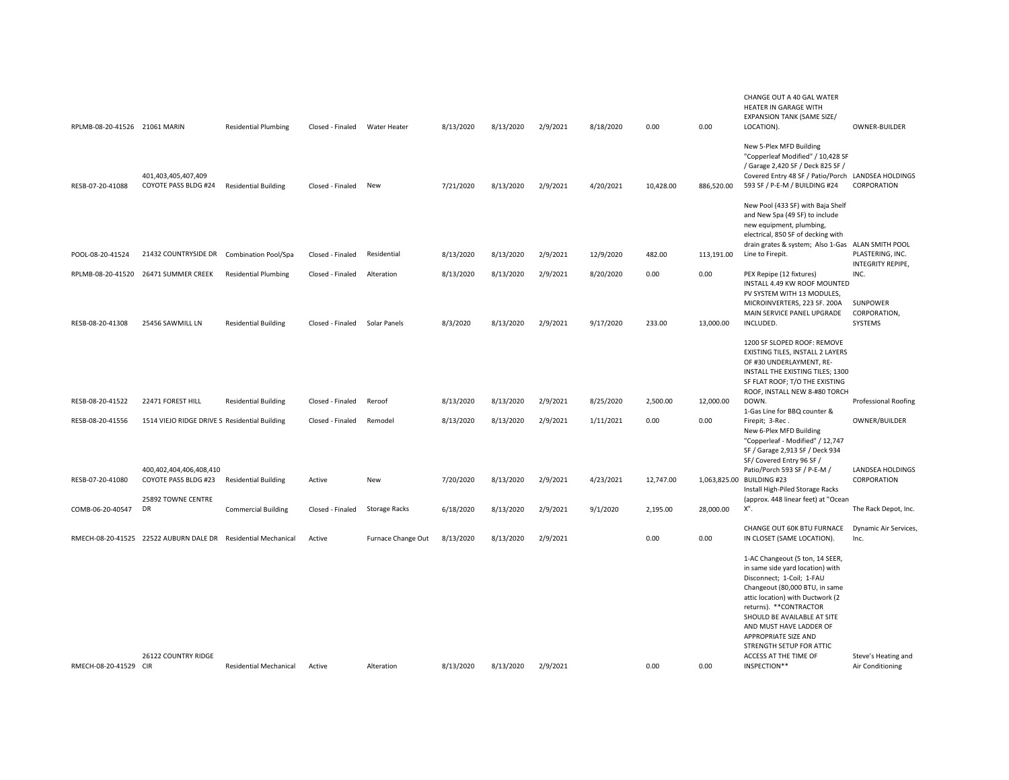| RPLMB-08-20-41526 21061 MARIN |                                                               | <b>Residential Plumbing</b>   | Closed - Finaled | Water Heater         | 8/13/2020 | 8/13/2020 | 2/9/2021 | 8/18/2020 | 0.00      | 0.00       | CHANGE OUT A 40 GAL WATER<br>HEATER IN GARAGE WITH<br><b>EXPANSION TANK (SAME SIZE/</b><br>LOCATION).                                                                                                                                                                                                                                                    | OWNER-BUILDER                              |
|-------------------------------|---------------------------------------------------------------|-------------------------------|------------------|----------------------|-----------|-----------|----------|-----------|-----------|------------|----------------------------------------------------------------------------------------------------------------------------------------------------------------------------------------------------------------------------------------------------------------------------------------------------------------------------------------------------------|--------------------------------------------|
| RESB-07-20-41088              | 401,403,405,407,409<br>COYOTE PASS BLDG #24                   | <b>Residential Building</b>   | Closed - Finaled | New                  | 7/21/2020 | 8/13/2020 | 2/9/2021 | 4/20/2021 | 10,428.00 | 886,520.00 | New 5-Plex MFD Building<br>"Copperleaf Modified" / 10,428 SF<br>/ Garage 2,420 SF / Deck 825 SF /<br>Covered Entry 48 SF / Patio/Porch LANDSEA HOLDINGS<br>593 SF / P-E-M / BUILDING #24                                                                                                                                                                 | CORPORATION                                |
|                               |                                                               |                               |                  |                      |           |           |          |           |           |            | New Pool (433 SF) with Baja Shelf<br>and New Spa (49 SF) to include<br>new equipment, plumbing,<br>electrical, 850 SF of decking with<br>drain grates & system; Also 1-Gas ALAN SMITH POOL                                                                                                                                                               |                                            |
| POOL-08-20-41524              | 21432 COUNTRYSIDE DR Combination Pool/Spa                     |                               | Closed - Finaled | Residential          | 8/13/2020 | 8/13/2020 | 2/9/2021 | 12/9/2020 | 482.00    | 113,191.00 | Line to Firepit.                                                                                                                                                                                                                                                                                                                                         | PLASTERING, INC.<br>INTEGRITY REPIPE,      |
| RPLMB-08-20-41520             | 26471 SUMMER CREEK                                            | <b>Residential Plumbing</b>   | Closed - Finaled | Alteration           | 8/13/2020 | 8/13/2020 | 2/9/2021 | 8/20/2020 | 0.00      | 0.00       | PEX Repipe (12 fixtures)<br>INSTALL 4.49 KW ROOF MOUNTED<br>PV SYSTEM WITH 13 MODULES,                                                                                                                                                                                                                                                                   | INC.                                       |
| RESB-08-20-41308              | 25456 SAWMILL LN                                              | <b>Residential Building</b>   | Closed - Finaled | Solar Panels         | 8/3/2020  | 8/13/2020 | 2/9/2021 | 9/17/2020 | 233.00    | 13,000.00  | MICROINVERTERS, 223 SF. 200A<br>MAIN SERVICE PANEL UPGRADE<br>INCLUDED.                                                                                                                                                                                                                                                                                  | <b>SUNPOWER</b><br>CORPORATION,<br>SYSTEMS |
|                               |                                                               |                               |                  |                      |           |           |          |           |           |            | 1200 SF SLOPED ROOF: REMOVE<br>EXISTING TILES, INSTALL 2 LAYERS<br>OF #30 UNDERLAYMENT, RE-<br>INSTALL THE EXISTING TILES; 1300<br>SF FLAT ROOF; T/O THE EXISTING<br>ROOF, INSTALL NEW 8-#80 TORCH                                                                                                                                                       |                                            |
| RESB-08-20-41522              | 22471 FOREST HILL                                             | <b>Residential Building</b>   | Closed - Finaled | Reroof               | 8/13/2020 | 8/13/2020 | 2/9/2021 | 8/25/2020 | 2,500.00  | 12,000.00  | DOWN.<br>1-Gas Line for BBQ counter &                                                                                                                                                                                                                                                                                                                    | <b>Professional Roofing</b>                |
| RESB-08-20-41556              | 1514 VIEJO RIDGE DRIVE S Residential Building                 |                               | Closed - Finaled | Remodel              | 8/13/2020 | 8/13/2020 | 2/9/2021 | 1/11/2021 | 0.00      | 0.00       | Firepit; 3-Rec.<br>New 6-Plex MFD Building<br>"Copperleaf - Modified" / 12,747<br>SF / Garage 2,913 SF / Deck 934<br>SF/ Covered Entry 96 SF /                                                                                                                                                                                                           | OWNER/BUILDER                              |
| RESB-07-20-41080              | 400,402,404,406,408,410<br>COYOTE PASS BLDG #23               | <b>Residential Building</b>   | Active           | New                  | 7/20/2020 | 8/13/2020 | 2/9/2021 | 4/23/2021 | 12,747.00 |            | Patio/Porch 593 SF / P-E-M /<br>1,063,825.00 BUILDING #23<br>Install High-Piled Storage Racks                                                                                                                                                                                                                                                            | LANDSEA HOLDINGS<br>CORPORATION            |
| COMB-06-20-40547              | 25892 TOWNE CENTRE<br>DR                                      | <b>Commercial Building</b>    | Closed - Finaled | <b>Storage Racks</b> | 6/18/2020 | 8/13/2020 | 2/9/2021 | 9/1/2020  | 2,195.00  | 28,000.00  | (approx. 448 linear feet) at "Ocean<br>Х".                                                                                                                                                                                                                                                                                                               | The Rack Depot, Inc.                       |
|                               | RMECH-08-20-41525 22522 AUBURN DALE DR Residential Mechanical |                               | Active           | Furnace Change Out   | 8/13/2020 | 8/13/2020 | 2/9/2021 |           | 0.00      | 0.00       | CHANGE OUT 60K BTU FURNACE<br>IN CLOSET (SAME LOCATION)                                                                                                                                                                                                                                                                                                  | Dynamic Air Services,<br>Inc.              |
| RMECH-08-20-41529 CIR         | 26122 COUNTRY RIDGE                                           | <b>Residential Mechanical</b> | Active           | Alteration           | 8/13/2020 | 8/13/2020 | 2/9/2021 |           | 0.00      | 0.00       | 1-AC Changeout (5 ton, 14 SEER,<br>in same side yard location) with<br>Disconnect; 1-Coil; 1-FAU<br>Changeout (80,000 BTU, in same<br>attic location) with Ductwork (2<br>returns). ** CONTRACTOR<br>SHOULD BE AVAILABLE AT SITE<br>AND MUST HAVE LADDER OF<br>APPROPRIATE SIZE AND<br>STRENGTH SETUP FOR ATTIC<br>ACCESS AT THE TIME OF<br>INSPECTION** | Steve's Heating and<br>Air Conditioning    |
|                               |                                                               |                               |                  |                      |           |           |          |           |           |            |                                                                                                                                                                                                                                                                                                                                                          |                                            |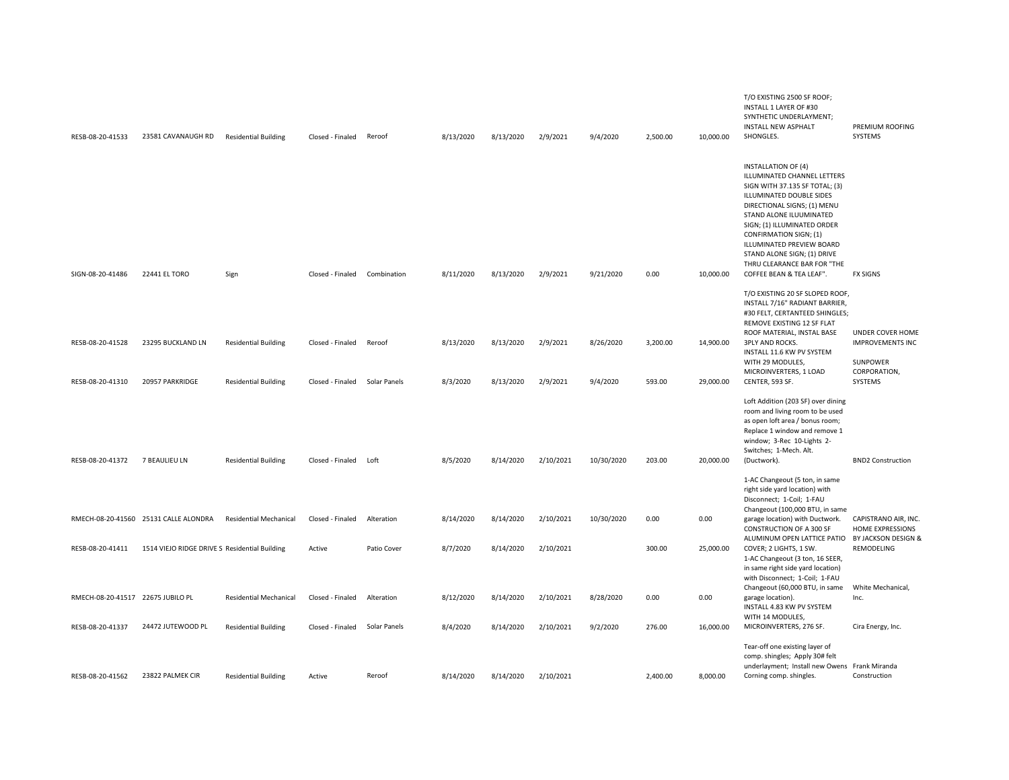| RESB-08-20-41533                  | 23581 CAVANAUGH RD                            | <b>Residential Building</b>   | Closed - Finaled | Reroof       | 8/13/2020 | 8/13/2020 | 2/9/2021  | 9/4/2020   | 2,500.00 | 10,000.00 | T/O EXISTING 2500 SF ROOF;<br>INSTALL 1 LAYER OF #30<br>SYNTHETIC UNDERLAYMENT;<br>INSTALL NEW ASPHALT<br>SHONGLES.                                                                                                                                                                                                                                               | PREMIUM ROOFING<br>SYSTEMS                          |
|-----------------------------------|-----------------------------------------------|-------------------------------|------------------|--------------|-----------|-----------|-----------|------------|----------|-----------|-------------------------------------------------------------------------------------------------------------------------------------------------------------------------------------------------------------------------------------------------------------------------------------------------------------------------------------------------------------------|-----------------------------------------------------|
| SIGN-08-20-41486                  | 22441 EL TORO                                 | Sign                          | Closed - Finaled | Combination  | 8/11/2020 | 8/13/2020 | 2/9/2021  | 9/21/2020  | 0.00     | 10,000.00 | <b>INSTALLATION OF (4)</b><br>ILLUMINATED CHANNEL LETTERS<br>SIGN WITH 37.135 SF TOTAL; (3)<br>ILLUMINATED DOUBLE SIDES<br>DIRECTIONAL SIGNS; (1) MENU<br>STAND ALONE ILUUMINATED<br>SIGN; (1) ILLUMINATED ORDER<br>CONFIRMATION SIGN; (1)<br>ILLUMINATED PREVIEW BOARD<br>STAND ALONE SIGN; (1) DRIVE<br>THRU CLEARANCE BAR FOR "THE<br>COFFEE BEAN & TEA LEAF". | <b>FX SIGNS</b>                                     |
|                                   |                                               |                               |                  |              |           |           |           |            |          |           | T/O EXISTING 20 SF SLOPED ROOF,<br>INSTALL 7/16" RADIANT BARRIER,<br>#30 FELT, CERTANTEED SHINGLES;<br>REMOVE EXISTING 12 SF FLAT<br>ROOF MATERIAL, INSTAL BASE                                                                                                                                                                                                   | UNDER COVER HOME                                    |
| RESB-08-20-41528                  | 23295 BUCKLAND LN                             | <b>Residential Building</b>   | Closed - Finaled | Reroof       | 8/13/2020 | 8/13/2020 | 2/9/2021  | 8/26/2020  | 3,200.00 | 14,900.00 | <b>3PLY AND ROCKS.</b><br>INSTALL 11.6 KW PV SYSTEM<br>WITH 29 MODULES,<br>MICROINVERTERS, 1 LOAD                                                                                                                                                                                                                                                                 | <b>IMPROVEMENTS INC</b><br>SUNPOWER<br>CORPORATION, |
| RESB-08-20-41310                  | 20957 PARKRIDGE                               | <b>Residential Building</b>   | Closed - Finaled | Solar Panels | 8/3/2020  | 8/13/2020 | 2/9/2021  | 9/4/2020   | 593.00   | 29,000.00 | CENTER, 593 SF.                                                                                                                                                                                                                                                                                                                                                   | SYSTEMS                                             |
| RESB-08-20-41372                  | 7 BEAULIEU LN                                 | <b>Residential Building</b>   | Closed - Finaled | Loft         | 8/5/2020  | 8/14/2020 | 2/10/2021 | 10/30/2020 | 203.00   | 20,000.00 | Loft Addition (203 SF) over dining<br>room and living room to be used<br>as open loft area / bonus room;<br>Replace 1 window and remove 1<br>window; 3-Rec 10-Lights 2-<br>Switches; 1-Mech. Alt.<br>(Ductwork).                                                                                                                                                  | <b>BND2 Construction</b>                            |
|                                   |                                               |                               |                  |              |           |           |           |            |          |           | 1-AC Changeout (5 ton, in same<br>right side yard location) with<br>Disconnect; 1-Coil; 1-FAU                                                                                                                                                                                                                                                                     |                                                     |
|                                   | RMECH-08-20-41560 25131 CALLE ALONDRA         | <b>Residential Mechanical</b> | Closed - Finaled | Alteration   | 8/14/2020 | 8/14/2020 | 2/10/2021 | 10/30/2020 | 0.00     | 0.00      | Changeout (100,000 BTU, in same<br>garage location) with Ductwork.<br>CONSTRUCTION OF A 300 SF                                                                                                                                                                                                                                                                    | CAPISTRANO AIR, INC.<br>HOME EXPRESSIONS            |
| RESB-08-20-41411                  | 1514 VIEJO RIDGE DRIVE S Residential Building |                               | Active           | Patio Cover  | 8/7/2020  | 8/14/2020 | 2/10/2021 |            | 300.00   | 25,000.00 | ALUMINUM OPEN LATTICE PATIO BY JACKSON DESIGN &<br>COVER; 2 LIGHTS, 1 SW.<br>1-AC Changeout (3 ton, 16 SEER,<br>in same right side yard location)                                                                                                                                                                                                                 | REMODELING                                          |
| RMECH-08-20-41517 22675 JUBILO PL |                                               | <b>Residential Mechanical</b> | Closed - Finaled | Alteration   | 8/12/2020 | 8/14/2020 | 2/10/2021 | 8/28/2020  | 0.00     | 0.00      | with Disconnect; 1-Coil; 1-FAU<br>Changeout (60,000 BTU, in same<br>garage location).<br>INSTALL 4.83 KW PV SYSTEM<br>WITH 14 MODULES,                                                                                                                                                                                                                            | White Mechanical,<br>Inc.                           |
| RESB-08-20-41337                  | 24472 JUTEWOOD PL                             | <b>Residential Building</b>   | Closed - Finaled | Solar Panels | 8/4/2020  | 8/14/2020 | 2/10/2021 | 9/2/2020   | 276.00   | 16,000.00 | MICROINVERTERS, 276 SF.                                                                                                                                                                                                                                                                                                                                           | Cira Energy, Inc.                                   |
| RESB-08-20-41562                  | 23822 PALMEK CIR                              | <b>Residential Building</b>   | Active           | Reroof       | 8/14/2020 | 8/14/2020 | 2/10/2021 |            | 2,400.00 | 8,000.00  | Tear-off one existing layer of<br>comp. shingles; Apply 30# felt<br>underlayment; Install new Owens Frank Miranda<br>Corning comp. shingles.                                                                                                                                                                                                                      | Construction                                        |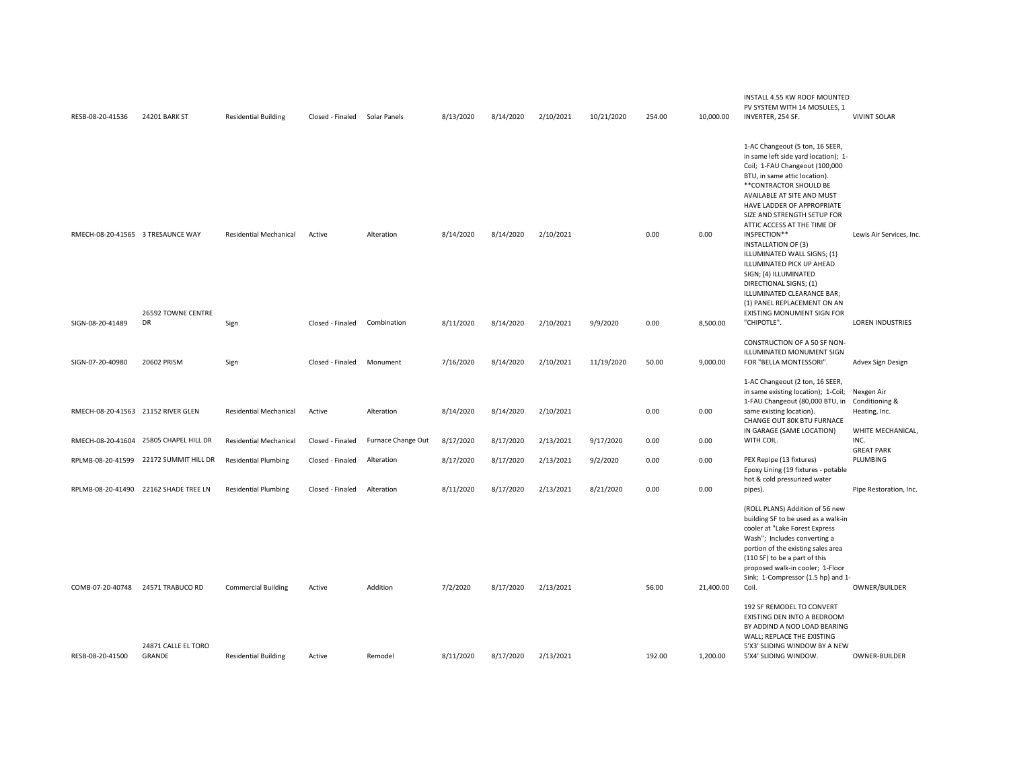| RESB-08-20-41536                   | 24201 BARK ST                          | <b>Residential Building</b>   | Closed - Finaled Solar Panels |                    | 8/13/2020 | 8/14/2020 | 2/10/2021 | 10/21/2020 | 254.00 | 10,000.00 | INSTALL 4.55 KW ROOF MOUNTED<br>PV SYSTEM WITH 14 MOSULES, 1<br>INVERTER, 254 SF.                                                                                                                                                                                                                                                                                                                                                                                                                                                                              | <b>VIVINT SOLAR</b>                                                |
|------------------------------------|----------------------------------------|-------------------------------|-------------------------------|--------------------|-----------|-----------|-----------|------------|--------|-----------|----------------------------------------------------------------------------------------------------------------------------------------------------------------------------------------------------------------------------------------------------------------------------------------------------------------------------------------------------------------------------------------------------------------------------------------------------------------------------------------------------------------------------------------------------------------|--------------------------------------------------------------------|
| RMECH-08-20-41565 3 TRESAUNCE WAY  | 26592 TOWNE CENTRE                     | <b>Residential Mechanical</b> | Active                        | Alteration         | 8/14/2020 | 8/14/2020 | 2/10/2021 |            | 0.00   | 0.00      | 1-AC Changeout (5 ton, 16 SEER,<br>in same left side yard location); 1-<br>Coil; 1-FAU Changeout (100,000<br>BTU, in same attic location).<br>** CONTRACTOR SHOULD BE<br>AVAILABLE AT SITE AND MUST<br>HAVE LADDER OF APPROPRIATE<br>SIZE AND STRENGTH SETUP FOR<br>ATTIC ACCESS AT THE TIME OF<br>INSPECTION**<br><b>INSTALLATION OF (3)</b><br>ILLUMINATED WALL SIGNS; (1)<br>ILLUMINATED PICK UP AHEAD<br>SIGN; (4) ILLUMINATED<br>DIRECTIONAL SIGNS; (1)<br>ILLUMINATED CLEARANCE BAR;<br>(1) PANEL REPLACEMENT ON AN<br><b>EXISTING MONUMENT SIGN FOR</b> | Lewis Air Services, Inc.                                           |
| SIGN-08-20-41489                   | DR                                     | Sign                          | Closed - Finaled              | Combination        | 8/11/2020 | 8/14/2020 | 2/10/2021 | 9/9/2020   | 0.00   | 8,500.00  | "CHIPOTLE".                                                                                                                                                                                                                                                                                                                                                                                                                                                                                                                                                    | <b>LOREN INDUSTRIES</b>                                            |
| SIGN-07-20-40980                   | 20602 PRISM                            | Sign                          | Closed - Finaled              | Monument           | 7/16/2020 | 8/14/2020 | 2/10/2021 | 11/19/2020 | 50.00  | 9,000.00  | CONSTRUCTION OF A 50 SF NON-<br>ILLUMINATED MONUMENT SIGN<br>FOR "BELLA MONTESSORI".                                                                                                                                                                                                                                                                                                                                                                                                                                                                           | Advex Sign Design                                                  |
| RMECH-08-20-41563 21152 RIVER GLEN |                                        | <b>Residential Mechanical</b> | Active                        | Alteration         | 8/14/2020 | 8/14/2020 | 2/10/2021 |            | 0.00   | 0.00      | 1-AC Changeout (2 ton, 16 SEER,<br>in same existing location); 1-Coil;<br>1-FAU Changeout (80,000 BTU, in<br>same existing location).<br>CHANGE OUT 80K BTU FURNACE<br>IN GARAGE (SAME LOCATION)                                                                                                                                                                                                                                                                                                                                                               | Nexgen Air<br>Conditioning &<br>Heating, Inc.<br>WHITE MECHANICAL, |
|                                    | RMECH-08-20-41604 25805 CHAPEL HILL DR | <b>Residential Mechanical</b> | Closed - Finaled              | Furnace Change Out | 8/17/2020 | 8/17/2020 | 2/13/2021 | 9/17/2020  | 0.00   | 0.00      | WITH COIL.                                                                                                                                                                                                                                                                                                                                                                                                                                                                                                                                                     | INC.<br><b>GREAT PARK</b>                                          |
|                                    | RPLMB-08-20-41599 22172 SUMMIT HILL DR | <b>Residential Plumbing</b>   | Closed - Finaled              | Alteration         | 8/17/2020 | 8/17/2020 | 2/13/2021 | 9/2/2020   | 0.00   | 0.00      | PEX Repipe (13 fixtures)<br>Epoxy Lining (19 fixtures - potable<br>hot & cold pressurized water                                                                                                                                                                                                                                                                                                                                                                                                                                                                | PLUMBING                                                           |
|                                    | RPLMB-08-20-41490 22162 SHADE TREE LN  | <b>Residential Plumbing</b>   | Closed - Finaled              | Alteration         | 8/11/2020 | 8/17/2020 | 2/13/2021 | 8/21/2020  | 0.00   | 0.00      | pipes).                                                                                                                                                                                                                                                                                                                                                                                                                                                                                                                                                        | Pipe Restoration, Inc.                                             |
|                                    |                                        |                               |                               |                    |           |           |           |            |        |           | (ROLL PLANS) Addition of 56 new<br>building SF to be used as a walk-in<br>cooler at "Lake Forest Express<br>Wash"; Includes converting a<br>portion of the existing sales area<br>(110 SF) to be a part of this<br>proposed walk-in cooler; 1-Floor<br>Sink; 1-Compressor (1.5 hp) and 1-                                                                                                                                                                                                                                                                      |                                                                    |
| COMB-07-20-40748                   | 24571 TRABUCO RD                       | <b>Commercial Building</b>    | Active                        | Addition           | 7/2/2020  | 8/17/2020 | 2/13/2021 |            | 56.00  | 21,400.00 | Coil.<br>192 SF REMODEL TO CONVERT<br>EXISTING DEN INTO A BEDROOM<br>BY ADDIND A NOD LOAD BEARING<br>WALL; REPLACE THE EXISTING                                                                                                                                                                                                                                                                                                                                                                                                                                | OWNER/BUILDER                                                      |
| RESB-08-20-41500                   | 24871 CALLE EL TORO<br>GRANDE          | <b>Residential Building</b>   | Active                        | Remodel            | 8/11/2020 | 8/17/2020 | 2/13/2021 |            | 192.00 | 1,200.00  | 5'X3' SLIDING WINDOW BY A NEW<br>5'X4' SLIDING WINDOW.                                                                                                                                                                                                                                                                                                                                                                                                                                                                                                         | OWNER-BUILDER                                                      |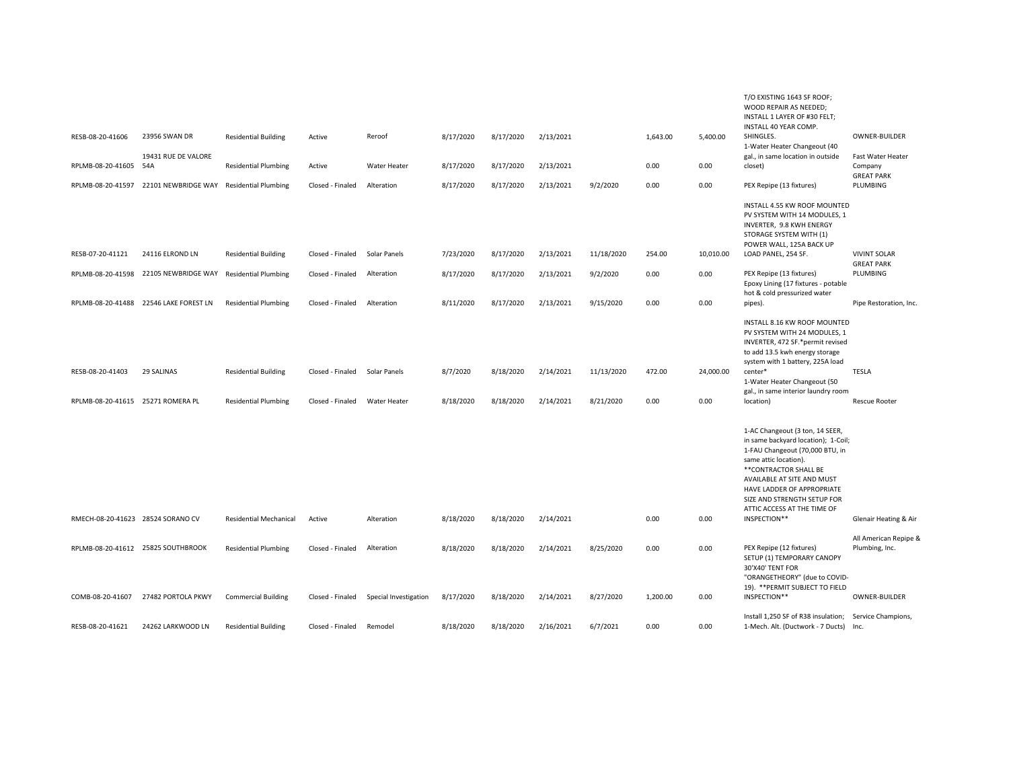| RESB-08-20-41606<br>RPLMB-08-20-41605<br>RPLMB-08-20-41597 | 23956 SWAN DR<br>19431 RUE DE VALORE<br>54A<br>22101 NEWBRIDGE WAY | <b>Residential Building</b><br><b>Residential Plumbing</b><br><b>Residential Plumbing</b> | Active<br>Active<br>Closed - Finaled | Reroof<br>Water Heater<br>Alteration | 8/17/2020<br>8/17/2020<br>8/17/2020 | 8/17/2020<br>8/17/2020<br>8/17/2020 | 2/13/2021<br>2/13/2021<br>2/13/2021 | 9/2/2020                | 1,643.00<br>0.00<br>0.00 | 5,400.00<br>0.00<br>0.00 | T/O EXISTING 1643 SF ROOF;<br>WOOD REPAIR AS NEEDED;<br>INSTALL 1 LAYER OF #30 FELT;<br>INSTALL 40 YEAR COMP.<br>SHINGLES.<br>1-Water Heater Changeout (40<br>gal., in same location in outside<br>closet)<br>PEX Repipe (13 fixtures)                                                                 | OWNER-BUILDER<br>Fast Water Heater<br>Company<br><b>GREAT PARK</b><br>PLUMBING |
|------------------------------------------------------------|--------------------------------------------------------------------|-------------------------------------------------------------------------------------------|--------------------------------------|--------------------------------------|-------------------------------------|-------------------------------------|-------------------------------------|-------------------------|--------------------------|--------------------------|--------------------------------------------------------------------------------------------------------------------------------------------------------------------------------------------------------------------------------------------------------------------------------------------------------|--------------------------------------------------------------------------------|
|                                                            |                                                                    |                                                                                           |                                      |                                      |                                     |                                     |                                     |                         |                          |                          | INSTALL 4.55 KW ROOF MOUNTED<br>PV SYSTEM WITH 14 MODULES, 1<br>INVERTER, 9.8 KWH ENERGY<br>STORAGE SYSTEM WITH (1)                                                                                                                                                                                    |                                                                                |
| RESB-07-20-41121                                           | 24116 ELROND LN                                                    | <b>Residential Building</b>                                                               | Closed - Finaled                     | Solar Panels                         | 7/23/2020                           | 8/17/2020                           | 2/13/2021                           | 11/18/2020              | 254.00                   | 10,010.00                | POWER WALL, 125A BACK UP<br>LOAD PANEL, 254 SF.                                                                                                                                                                                                                                                        | <b>VIVINT SOLAR</b><br><b>GREAT PARK</b>                                       |
|                                                            | RPLMB-08-20-41598 22105 NEWBRIDGE WAY                              | <b>Residential Plumbing</b>                                                               | Closed - Finaled                     | Alteration                           | 8/17/2020                           | 8/17/2020                           | 2/13/2021                           | 9/2/2020                | 0.00                     | 0.00                     | PEX Repipe (13 fixtures)<br>Epoxy Lining (17 fixtures - potable<br>hot & cold pressurized water                                                                                                                                                                                                        | PLUMBING                                                                       |
|                                                            | RPLMB-08-20-41488 22546 LAKE FOREST LN                             | <b>Residential Plumbing</b>                                                               | Closed - Finaled                     | Alteration                           | 8/11/2020                           | 8/17/2020                           | 2/13/2021                           | 9/15/2020               | 0.00                     | 0.00                     | pipes).                                                                                                                                                                                                                                                                                                | Pipe Restoration, Inc.                                                         |
| RESB-08-20-41403<br>RPLMB-08-20-41615 25271 ROMERA PL      | 29 SALINAS                                                         | <b>Residential Building</b><br><b>Residential Plumbing</b>                                | Closed - Finaled<br>Closed - Finaled | Solar Panels<br>Water Heater         | 8/7/2020<br>8/18/2020               | 8/18/2020<br>8/18/2020              | 2/14/2021<br>2/14/2021              | 11/13/2020<br>8/21/2020 | 472.00<br>0.00           | 24,000.00<br>0.00        | INSTALL 8.16 KW ROOF MOUNTED<br>PV SYSTEM WITH 24 MODULES. 1<br>INVERTER, 472 SF.*permit revised<br>to add 13.5 kwh energy storage<br>system with 1 battery, 225A load<br>center*<br>1-Water Heater Changeout (50<br>gal., in same interior laundry room<br>location)                                  | TESLA<br><b>Rescue Rooter</b>                                                  |
| RMECH-08-20-41623 28524 SORANO CV                          |                                                                    | <b>Residential Mechanical</b>                                                             | Active                               | Alteration                           | 8/18/2020                           | 8/18/2020                           | 2/14/2021                           |                         | 0.00                     | 0.00                     | 1-AC Changeout (3 ton, 14 SEER,<br>in same backyard location); 1-Coil;<br>1-FAU Changeout (70,000 BTU, in<br>same attic location).<br>** CONTRACTOR SHALL BE<br>AVAILABLE AT SITE AND MUST<br>HAVE LADDER OF APPROPRIATE<br>SIZE AND STRENGTH SETUP FOR<br>ATTIC ACCESS AT THE TIME OF<br>INSPECTION** | <b>Glenair Heating &amp; Air</b>                                               |
|                                                            | RPLMB-08-20-41612 25825 SOUTHBROOK                                 | <b>Residential Plumbing</b>                                                               | Closed - Finaled                     | Alteration                           | 8/18/2020                           | 8/18/2020                           | 2/14/2021                           | 8/25/2020               | 0.00                     | 0.00                     | PEX Repipe (12 fixtures)<br>SETUP (1) TEMPORARY CANOPY<br>30'X40' TENT FOR<br>"ORANGETHEORY" (due to COVID-                                                                                                                                                                                            | All American Repipe &<br>Plumbing, Inc.                                        |
| COMB-08-20-41607                                           | 27482 PORTOLA PKWY                                                 | <b>Commercial Building</b>                                                                | Closed - Finaled                     | Special Investigation                | 8/17/2020                           | 8/18/2020                           | 2/14/2021                           | 8/27/2020               | 1,200.00                 | 0.00                     | 19). ** PERMIT SUBJECT TO FIELD<br>INSPECTION**                                                                                                                                                                                                                                                        | <b>OWNER-BUILDER</b>                                                           |
| RESB-08-20-41621                                           | 24262 LARKWOOD LN                                                  | <b>Residential Building</b>                                                               | Closed - Finaled                     | Remodel                              | 8/18/2020                           | 8/18/2020                           | 2/16/2021                           | 6/7/2021                | 0.00                     | 0.00                     | Install 1,250 SF of R38 insulation;<br>1-Mech. Alt. (Ductwork - 7 Ducts)                                                                                                                                                                                                                               | Service Champions,<br>Inc.                                                     |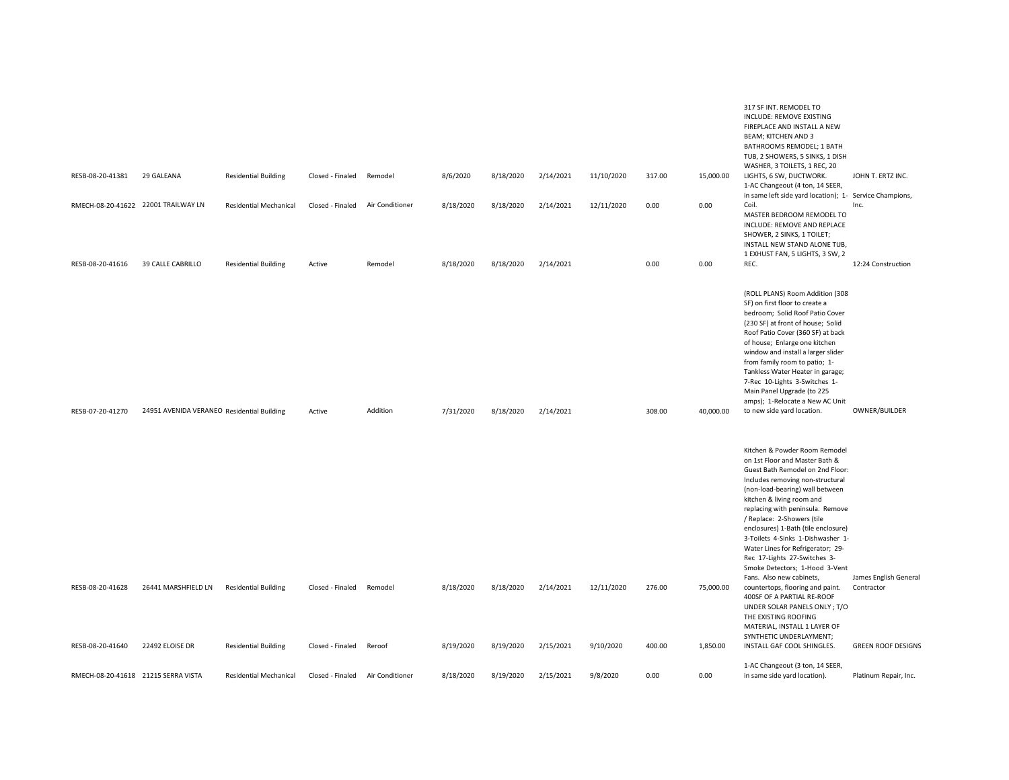| RESB-08-20-41381                     | 29 GALEANA                                 | <b>Residential Building</b>                                | Closed - Finaled                     | Remodel           | 8/6/2020               | 8/18/2020              | 2/14/2021              | 11/10/2020              | 317.00           | 15,000.00             | 317 SF INT. REMODEL TO<br>INCLUDE: REMOVE EXISTING<br>FIREPLACE AND INSTALL A NEW<br>BEAM; KITCHEN AND 3<br>BATHROOMS REMODEL; 1 BATH<br>TUB, 2 SHOWERS, 5 SINKS, 1 DISH<br>WASHER, 3 TOILETS, 1 REC, 20<br>LIGHTS, 6 SW, DUCTWORK.<br>1-AC Changeout (4 ton, 14 SEER,                                                                                                                                                                                                                                                                                                                                                                                                                                      | JOHN T. ERTZ INC.                                                |
|--------------------------------------|--------------------------------------------|------------------------------------------------------------|--------------------------------------|-------------------|------------------------|------------------------|------------------------|-------------------------|------------------|-----------------------|-------------------------------------------------------------------------------------------------------------------------------------------------------------------------------------------------------------------------------------------------------------------------------------------------------------------------------------------------------------------------------------------------------------------------------------------------------------------------------------------------------------------------------------------------------------------------------------------------------------------------------------------------------------------------------------------------------------|------------------------------------------------------------------|
|                                      | RMECH-08-20-41622 22001 TRAILWAY LN        | <b>Residential Mechanical</b>                              | Closed - Finaled                     | Air Conditioner   | 8/18/2020              | 8/18/2020              | 2/14/2021              | 12/11/2020              | 0.00             | 0.00                  | in same left side yard location); 1- Service Champions,<br>Coil.<br>MASTER BEDROOM REMODEL TO<br>INCLUDE: REMOVE AND REPLACE<br>SHOWER, 2 SINKS, 1 TOILET;<br>INSTALL NEW STAND ALONE TUB,<br>1 EXHUST FAN, 5 LIGHTS, 3 SW, 2                                                                                                                                                                                                                                                                                                                                                                                                                                                                               | Inc.                                                             |
| RESB-08-20-41616                     | 39 CALLE CABRILLO                          | <b>Residential Building</b>                                | Active                               | Remodel           | 8/18/2020              | 8/18/2020              | 2/14/2021              |                         | 0.00             | 0.00                  | REC.                                                                                                                                                                                                                                                                                                                                                                                                                                                                                                                                                                                                                                                                                                        | 12:24 Construction                                               |
| RESB-07-20-41270                     | 24951 AVENIDA VERANEO Residential Building |                                                            | Active                               | Addition          | 7/31/2020              | 8/18/2020              | 2/14/2021              |                         | 308.00           | 40,000.00             | (ROLL PLANS) Room Addition (308<br>SF) on first floor to create a<br>bedroom; Solid Roof Patio Cover<br>(230 SF) at front of house; Solid<br>Roof Patio Cover (360 SF) at back<br>of house; Enlarge one kitchen<br>window and install a larger slider<br>from family room to patio; 1-<br>Tankless Water Heater in garage;<br>7-Rec 10-Lights 3-Switches 1-<br>Main Panel Upgrade (to 225<br>amps); 1-Relocate a New AC Unit<br>to new side yard location.                                                                                                                                                                                                                                                  | OWNER/BUILDER                                                    |
| RESB-08-20-41628<br>RESB-08-20-41640 | 26441 MARSHFIELD LN<br>22492 ELOISE DR     | <b>Residential Building</b><br><b>Residential Building</b> | Closed - Finaled<br>Closed - Finaled | Remodel<br>Reroof | 8/18/2020<br>8/19/2020 | 8/18/2020<br>8/19/2020 | 2/14/2021<br>2/15/2021 | 12/11/2020<br>9/10/2020 | 276.00<br>400.00 | 75,000.00<br>1,850.00 | Kitchen & Powder Room Remodel<br>on 1st Floor and Master Bath &<br>Guest Bath Remodel on 2nd Floor:<br>Includes removing non-structural<br>(non-load-bearing) wall between<br>kitchen & living room and<br>replacing with peninsula. Remove<br>/ Replace: 2-Showers (tile<br>enclosures) 1-Bath (tile enclosure)<br>3-Toilets 4-Sinks 1-Dishwasher 1-<br>Water Lines for Refrigerator; 29-<br>Rec 17-Lights 27-Switches 3-<br>Smoke Detectors; 1-Hood 3-Vent<br>Fans. Also new cabinets,<br>countertops, flooring and paint.<br>400SF OF A PARTIAL RE-ROOF<br>UNDER SOLAR PANELS ONLY; T/O<br>THE EXISTING ROOFING<br>MATERIAL, INSTALL 1 LAYER OF<br>SYNTHETIC UNDERLAYMENT;<br>INSTALL GAF COOL SHINGLES. | James English General<br>Contractor<br><b>GREEN ROOF DESIGNS</b> |
|                                      |                                            |                                                            |                                      |                   |                        |                        |                        |                         |                  |                       | 1-AC Changeout (3 ton, 14 SEER,                                                                                                                                                                                                                                                                                                                                                                                                                                                                                                                                                                                                                                                                             |                                                                  |
| RMECH-08-20-41618 21215 SERRA VISTA  |                                            | <b>Residential Mechanical</b>                              | Closed - Finaled                     | Air Conditioner   | 8/18/2020              | 8/19/2020              | 2/15/2021              | 9/8/2020                | 0.00             | 0.00                  | in same side yard location).                                                                                                                                                                                                                                                                                                                                                                                                                                                                                                                                                                                                                                                                                | Platinum Repair, Inc.                                            |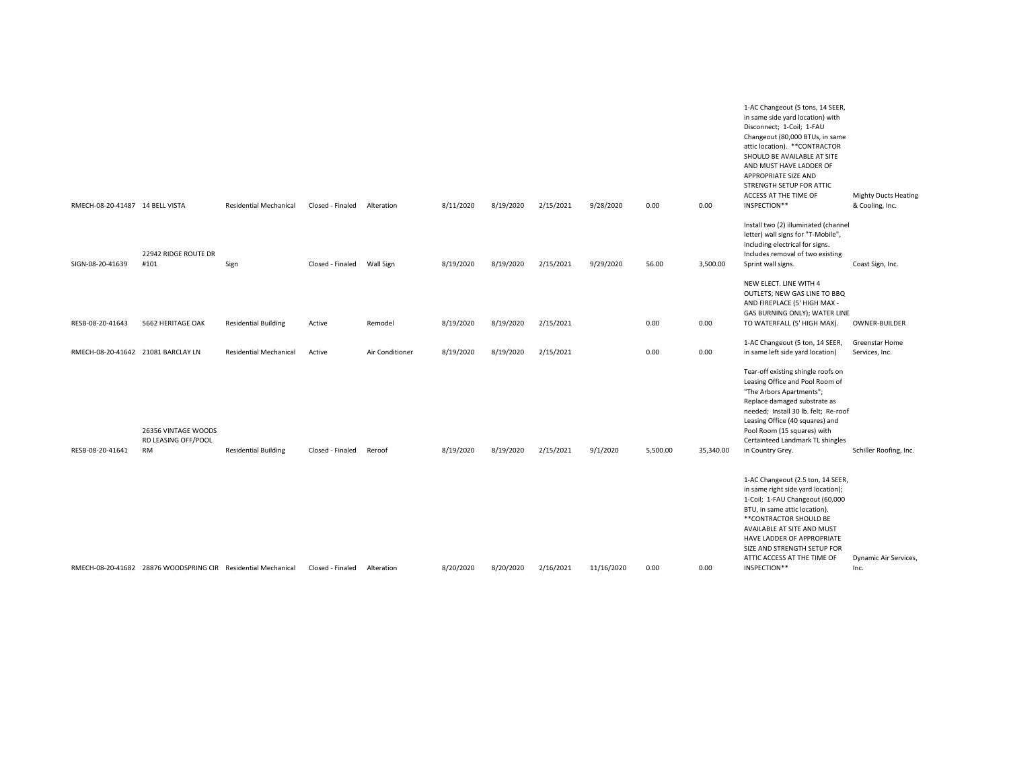| RMECH-08-20-41487 14 BELL VISTA    |                                                               | <b>Residential Mechanical</b> | Closed - Finaled | Alteration      | 8/11/2020 | 8/19/2020 | 2/15/2021 | 9/28/2020  | 0.00     | 0.00      | 1-AC Changeout (5 tons, 14 SEER,<br>in same side yard location) with<br>Disconnect; 1-Coil; 1-FAU<br>Changeout (80,000 BTUs, in same<br>attic location). ** CONTRACTOR<br>SHOULD BE AVAILABLE AT SITE<br>AND MUST HAVE LADDER OF<br>APPROPRIATE SIZE AND<br>STRENGTH SETUP FOR ATTIC<br>ACCESS AT THE TIME OF<br>INSPECTION** | <b>Mighty Ducts Heating</b><br>& Cooling, Inc. |
|------------------------------------|---------------------------------------------------------------|-------------------------------|------------------|-----------------|-----------|-----------|-----------|------------|----------|-----------|-------------------------------------------------------------------------------------------------------------------------------------------------------------------------------------------------------------------------------------------------------------------------------------------------------------------------------|------------------------------------------------|
| SIGN-08-20-41639                   | 22942 RIDGE ROUTE DR<br>#101                                  | Sign                          | Closed - Finaled | Wall Sign       | 8/19/2020 | 8/19/2020 | 2/15/2021 | 9/29/2020  | 56.00    | 3,500.00  | Install two (2) illuminated (channel<br>letter) wall signs for "T-Mobile",<br>including electrical for signs.<br>Includes removal of two existing<br>Sprint wall signs.                                                                                                                                                       | Coast Sign, Inc.                               |
| RESB-08-20-41643                   | 5662 HERITAGE OAK                                             | <b>Residential Building</b>   | Active           | Remodel         | 8/19/2020 | 8/19/2020 | 2/15/2021 |            | 0.00     | 0.00      | NEW ELECT. LINE WITH 4<br>OUTLETS; NEW GAS LINE TO BBQ<br>AND FIREPLACE (5' HIGH MAX -<br>GAS BURNING ONLY); WATER LINE<br>TO WATERFALL (5' HIGH MAX).                                                                                                                                                                        | OWNER-BUILDER                                  |
| RMECH-08-20-41642 21081 BARCLAY LN |                                                               | <b>Residential Mechanical</b> | Active           | Air Conditioner | 8/19/2020 | 8/19/2020 | 2/15/2021 |            | 0.00     | 0.00      | 1-AC Changeout (5 ton, 14 SEER,<br>in same left side yard location)                                                                                                                                                                                                                                                           | Greenstar Home<br>Services, Inc.               |
| RESB-08-20-41641                   | 26356 VINTAGE WOODS<br>RD LEASING OFF/POOL<br><b>RM</b>       | <b>Residential Building</b>   | Closed - Finaled | Reroof          | 8/19/2020 | 8/19/2020 | 2/15/2021 | 9/1/2020   | 5,500.00 | 35,340.00 | Tear-off existing shingle roofs on<br>Leasing Office and Pool Room of<br>"The Arbors Apartments";<br>Replace damaged substrate as<br>needed; Install 30 lb. felt; Re-roof<br>Leasing Office (40 squares) and<br>Pool Room (15 squares) with<br>Certainteed Landmark TL shingles<br>in Country Grey.                           | Schiller Roofing, Inc.                         |
|                                    | RMECH-08-20-41682 28876 WOODSPRING CIR Residential Mechanical |                               | Closed - Finaled | Alteration      | 8/20/2020 | 8/20/2020 | 2/16/2021 | 11/16/2020 | 0.00     | 0.00      | 1-AC Changeout (2.5 ton, 14 SEER,<br>in same right side yard location);<br>1-Coil; 1-FAU Changeout (60,000<br>BTU, in same attic location).<br>**CONTRACTOR SHOULD BE<br>AVAILABLE AT SITE AND MUST<br>HAVE LADDER OF APPROPRIATE<br>SIZE AND STRENGTH SETUP FOR<br>ATTIC ACCESS AT THE TIME OF<br>INSPECTION**               | Dynamic Air Services,<br>Inc.                  |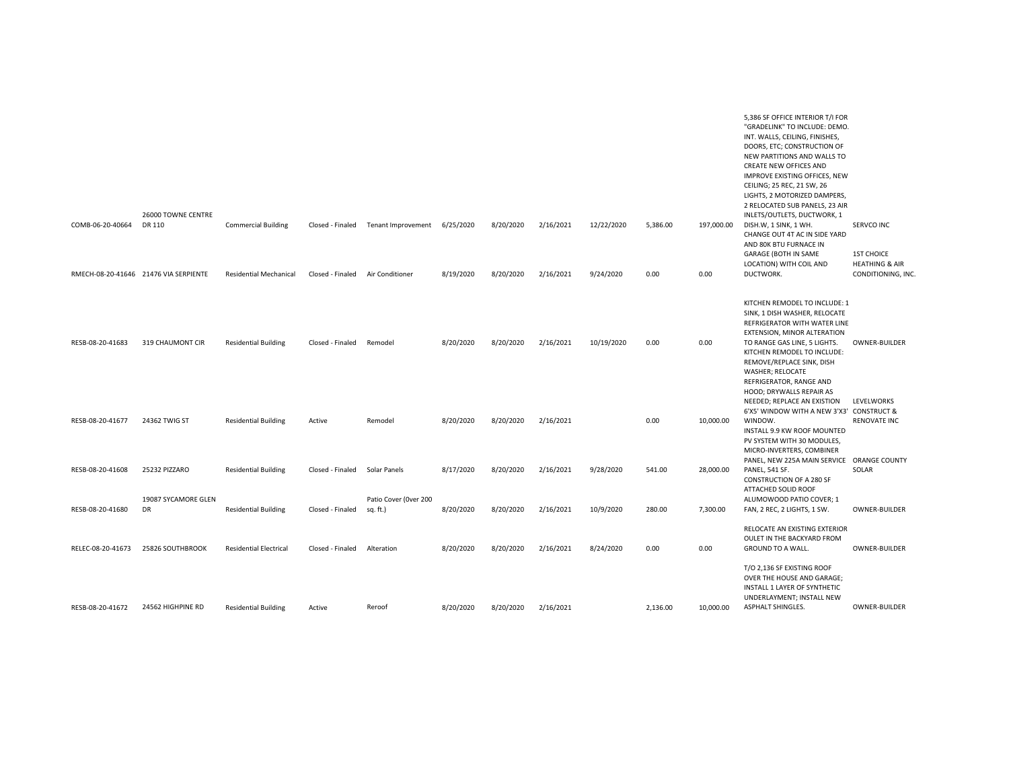| COMB-06-20-40664  | 26000 TOWNE CENTRE<br>DR 110<br>RMECH-08-20-41646 21476 VIA SERPIENTE | <b>Commercial Building</b><br><b>Residential Mechanical</b> | Closed - Finaled<br>Closed - Finaled | Tenant Improvement<br>Air Conditioner | 6/25/2020<br>8/19/2020 | 8/20/2020<br>8/20/2020 | 2/16/2021<br>2/16/2021 | 12/22/2020<br>9/24/2020 | 5,386.00<br>0.00 | 197,000.00<br>0.00 | 5,386 SF OFFICE INTERIOR T/I FOR<br>"GRADELINK" TO INCLUDE: DEMO.<br>INT. WALLS, CEILING, FINISHES,<br>DOORS, ETC; CONSTRUCTION OF<br>NEW PARTITIONS AND WALLS TO<br>CREATE NEW OFFICES AND<br>IMPROVE EXISTING OFFICES, NEW<br>CEILING; 25 REC, 21 SW, 26<br>LIGHTS, 2 MOTORIZED DAMPERS,<br>2 RELOCATED SUB PANELS, 23 AIR<br>INLETS/OUTLETS, DUCTWORK, 1<br>DISH.W, 1 SINK, 1 WH.<br>CHANGE OUT 4T AC IN SIDE YARD<br>AND 80K BTU FURNACE IN<br>GARAGE (BOTH IN SAME<br>LOCATION) WITH COIL AND<br>DUCTWORK. | SERVCO INC<br><b>1ST CHOICE</b><br><b>HEATHING &amp; AIR</b><br>CONDITIONING, INC. |
|-------------------|-----------------------------------------------------------------------|-------------------------------------------------------------|--------------------------------------|---------------------------------------|------------------------|------------------------|------------------------|-------------------------|------------------|--------------------|-----------------------------------------------------------------------------------------------------------------------------------------------------------------------------------------------------------------------------------------------------------------------------------------------------------------------------------------------------------------------------------------------------------------------------------------------------------------------------------------------------------------|------------------------------------------------------------------------------------|
|                   |                                                                       |                                                             |                                      |                                       |                        |                        |                        |                         |                  |                    |                                                                                                                                                                                                                                                                                                                                                                                                                                                                                                                 |                                                                                    |
| RESB-08-20-41683  | 319 CHAUMONT CIR                                                      | <b>Residential Building</b>                                 | Closed - Finaled                     | Remodel                               | 8/20/2020              | 8/20/2020              | 2/16/2021              | 10/19/2020              | 0.00             | 0.00               | KITCHEN REMODEL TO INCLUDE: 1<br>SINK, 1 DISH WASHER, RELOCATE<br>REFRIGERATOR WITH WATER LINE<br>EXTENSION, MINOR ALTERATION<br>TO RANGE GAS LINE, 5 LIGHTS.<br>KITCHEN REMODEL TO INCLUDE:<br>REMOVE/REPLACE SINK, DISH<br>WASHER; RELOCATE<br>REFRIGERATOR, RANGE AND                                                                                                                                                                                                                                        | <b>OWNER-BUILDER</b>                                                               |
| RESB-08-20-41677  | 24362 TWIG ST                                                         | <b>Residential Building</b>                                 | Active                               | Remodel                               | 8/20/2020              | 8/20/2020              | 2/16/2021              |                         | 0.00             | 10,000.00          | HOOD; DRYWALLS REPAIR AS<br>NEEDED; REPLACE AN EXISTION<br>6'X5' WINDOW WITH A NEW 3'X3' CONSTRUCT &<br>WINDOW.<br>INSTALL 9.9 KW ROOF MOUNTED<br>PV SYSTEM WITH 30 MODULES,<br>MICRO-INVERTERS, COMBINER                                                                                                                                                                                                                                                                                                       | LEVELWORKS<br><b>RENOVATE INC</b>                                                  |
| RESB-08-20-41608  | 25232 PIZZARO                                                         | <b>Residential Building</b>                                 | Closed - Finaled                     | Solar Panels                          | 8/17/2020              | 8/20/2020              | 2/16/2021              | 9/28/2020               | 541.00           | 28,000.00          | PANEL, NEW 225A MAIN SERVICE ORANGE COUNTY<br><b>PANEL, 541 SF.</b>                                                                                                                                                                                                                                                                                                                                                                                                                                             | SOLAR                                                                              |
| RESB-08-20-41680  | 19087 SYCAMORE GLEN<br><b>DR</b>                                      | <b>Residential Building</b>                                 | Closed - Finaled                     | Patio Cover (Over 200<br>sq. ft.)     | 8/20/2020              | 8/20/2020              | 2/16/2021              | 10/9/2020               | 280.00           | 7,300.00           | CONSTRUCTION OF A 280 SF<br>ATTACHED SOLID ROOF<br>ALUMOWOOD PATIO COVER; 1<br>FAN, 2 REC, 2 LIGHTS, 1 SW.                                                                                                                                                                                                                                                                                                                                                                                                      | <b>OWNER-BUILDER</b>                                                               |
| RELEC-08-20-41673 | 25826 SOUTHBROOK                                                      | <b>Residential Electrical</b>                               | Closed - Finaled                     | Alteration                            | 8/20/2020              | 8/20/2020              | 2/16/2021              | 8/24/2020               | 0.00             | 0.00               | RELOCATE AN EXISTING EXTERIOR<br>OULET IN THE BACKYARD FROM<br>GROUND TO A WALL.                                                                                                                                                                                                                                                                                                                                                                                                                                | OWNER-BUILDER                                                                      |
| RESB-08-20-41672  | 24562 HIGHPINE RD                                                     | <b>Residential Building</b>                                 | Active                               | Reroof                                | 8/20/2020              | 8/20/2020              | 2/16/2021              |                         | 2,136.00         | 10,000.00          | T/O 2,136 SF EXISTING ROOF<br>OVER THE HOUSE AND GARAGE;<br>INSTALL 1 LAYER OF SYNTHETIC<br>UNDERLAYMENT; INSTALL NEW<br>ASPHALT SHINGLES.                                                                                                                                                                                                                                                                                                                                                                      | OWNER-BUILDER                                                                      |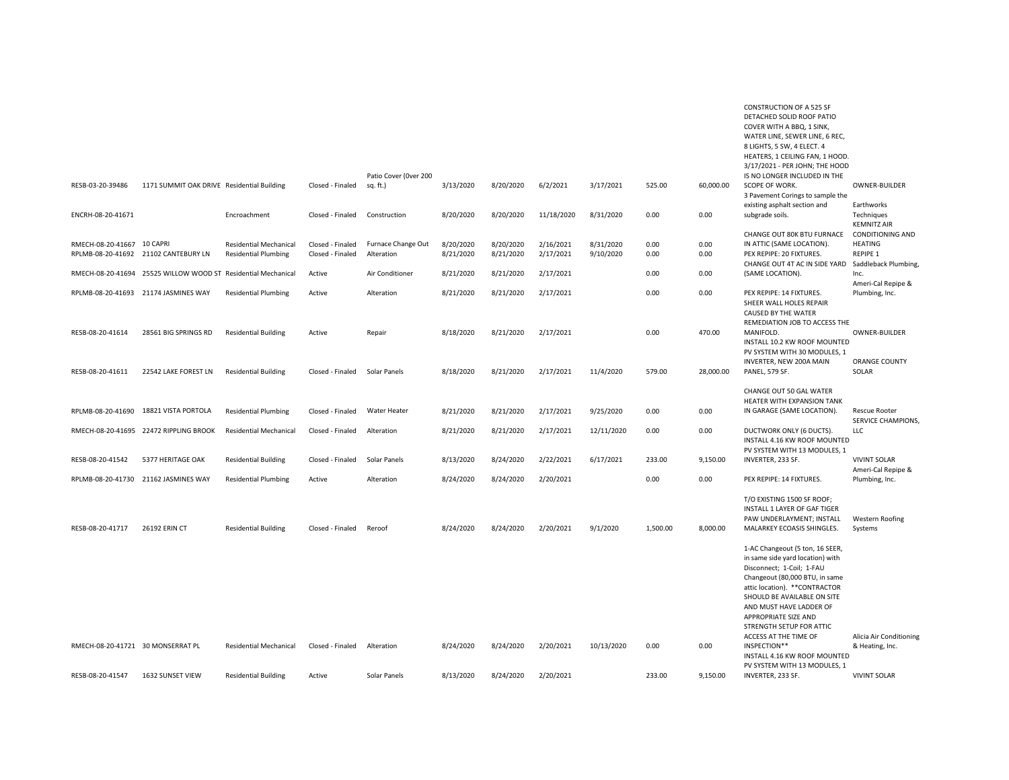|                                   |                                                               |                               |                  | Patio Cover (Over 200 |           |           |            |            |          |           | WATER LINE, SEWER LINE, 6 REC,<br>8 LIGHTS, 5 SW, 4 ELECT. 4<br>HEATERS, 1 CEILING FAN, 1 HOOD.<br>3/17/2021 - PER JOHN; THE HOOD<br>IS NO LONGER INCLUDED IN THE                                                                                                                                           |                                           |
|-----------------------------------|---------------------------------------------------------------|-------------------------------|------------------|-----------------------|-----------|-----------|------------|------------|----------|-----------|-------------------------------------------------------------------------------------------------------------------------------------------------------------------------------------------------------------------------------------------------------------------------------------------------------------|-------------------------------------------|
| RESB-03-20-39486                  | 1171 SUMMIT OAK DRIVE Residential Building                    |                               | Closed - Finaled | sq. ft.)              | 3/13/2020 | 8/20/2020 | 6/2/2021   | 3/17/2021  | 525.00   | 60,000.00 | SCOPE OF WORK.<br>3 Pavement Corings to sample the                                                                                                                                                                                                                                                          | <b>OWNER-BUILDER</b>                      |
|                                   |                                                               |                               |                  |                       |           |           |            |            |          |           | existing asphalt section and                                                                                                                                                                                                                                                                                | Earthworks                                |
| ENCRH-08-20-41671                 |                                                               | Encroachment                  | Closed - Finaled | Construction          | 8/20/2020 | 8/20/2020 | 11/18/2020 | 8/31/2020  | 0.00     | 0.00      | subgrade soils.                                                                                                                                                                                                                                                                                             | Techniques<br><b>KEMNITZ AIR</b>          |
|                                   |                                                               |                               |                  |                       |           |           |            |            |          |           | CHANGE OUT 80K BTU FURNACE                                                                                                                                                                                                                                                                                  | <b>CONDITIONING AND</b>                   |
| RMECH-08-20-41667 10 CAPRI        |                                                               | <b>Residential Mechanical</b> | Closed - Finaled | Furnace Change Out    | 8/20/2020 | 8/20/2020 | 2/16/2021  | 8/31/2020  | 0.00     | 0.00      | IN ATTIC (SAME LOCATION).                                                                                                                                                                                                                                                                                   | <b>HEATING</b>                            |
| RPLMB-08-20-41692                 | 21102 CANTEBURY LN                                            | <b>Residential Plumbing</b>   | Closed - Finaled | Alteration            | 8/21/2020 | 8/21/2020 | 2/17/2021  | 9/10/2020  | 0.00     | 0.00      | PEX REPIPE: 20 FIXTURES.<br>CHANGE OUT 4T AC IN SIDE YARD                                                                                                                                                                                                                                                   | REPIPE 1<br>Saddleback Plumbing,          |
|                                   | RMECH-08-20-41694 25525 WILLOW WOOD ST Residential Mechanical |                               | Active           | Air Conditioner       | 8/21/2020 | 8/21/2020 | 2/17/2021  |            | 0.00     | 0.00      | (SAME LOCATION).                                                                                                                                                                                                                                                                                            | Inc.                                      |
|                                   |                                                               |                               |                  |                       |           |           |            |            |          |           |                                                                                                                                                                                                                                                                                                             | Ameri-Cal Repipe &                        |
|                                   | RPLMB-08-20-41693 21174 JASMINES WAY                          | <b>Residential Plumbing</b>   | Active           | Alteration            | 8/21/2020 | 8/21/2020 | 2/17/2021  |            | 0.00     | 0.00      | PEX REPIPE: 14 FIXTURES.<br>SHEER WALL HOLES REPAIR<br><b>CAUSED BY THE WATER</b>                                                                                                                                                                                                                           | Plumbing, Inc.                            |
| RESB-08-20-41614                  | 28561 BIG SPRINGS RD                                          | <b>Residential Building</b>   | Active           | Repair                | 8/18/2020 | 8/21/2020 | 2/17/2021  |            | 0.00     | 470.00    | REMEDIATION JOB TO ACCESS THE<br>MANIFOLD.                                                                                                                                                                                                                                                                  | <b>OWNER-BUILDER</b>                      |
|                                   |                                                               |                               |                  |                       |           |           |            |            |          |           | INSTALL 10.2 KW ROOF MOUNTED<br>PV SYSTEM WITH 30 MODULES. 1<br>INVERTER, NEW 200A MAIN                                                                                                                                                                                                                     | <b>ORANGE COUNTY</b>                      |
| RESB-08-20-41611                  | 22542 LAKE FOREST LN                                          | <b>Residential Building</b>   | Closed - Finaled | Solar Panels          | 8/18/2020 | 8/21/2020 | 2/17/2021  | 11/4/2020  | 579.00   | 28,000.00 | PANEL, 579 SF.                                                                                                                                                                                                                                                                                              | SOLAR                                     |
|                                   |                                                               |                               |                  |                       |           |           |            |            |          |           | CHANGE OUT 50 GAL WATER<br>HEATER WITH EXPANSION TANK                                                                                                                                                                                                                                                       |                                           |
| RPLMB-08-20-41690                 | 18821 VISTA PORTOLA                                           | <b>Residential Plumbing</b>   | Closed - Finaled | <b>Water Heater</b>   | 8/21/2020 | 8/21/2020 | 2/17/2021  | 9/25/2020  | 0.00     | 0.00      | IN GARAGE (SAME LOCATION).                                                                                                                                                                                                                                                                                  | <b>Rescue Rooter</b>                      |
|                                   | RMECH-08-20-41695 22472 RIPPLING BROOK                        | <b>Residential Mechanical</b> | Closed - Finaled | Alteration            | 8/21/2020 | 8/21/2020 | 2/17/2021  | 12/11/2020 | 0.00     | 0.00      | DUCTWORK ONLY (6 DUCTS).<br>INSTALL 4.16 KW ROOF MOUNTED                                                                                                                                                                                                                                                    | <b>SERVICE CHAMPIONS,</b><br>LLC          |
|                                   |                                                               |                               |                  |                       |           |           |            |            |          |           | PV SYSTEM WITH 13 MODULES, 1                                                                                                                                                                                                                                                                                |                                           |
| RESB-08-20-41542                  | 5377 HERITAGE OAK                                             | <b>Residential Building</b>   | Closed - Finaled | Solar Panels          | 8/13/2020 | 8/24/2020 | 2/22/2021  | 6/17/2021  | 233.00   | 9,150.00  | INVERTER, 233 SF.                                                                                                                                                                                                                                                                                           | <b>VIVINT SOLAR</b><br>Ameri-Cal Repipe & |
|                                   | RPLMB-08-20-41730 21162 JASMINES WAY                          | <b>Residential Plumbing</b>   | Active           | Alteration            | 8/24/2020 | 8/24/2020 | 2/20/2021  |            | 0.00     | 0.00      | PEX REPIPE: 14 FIXTURES.                                                                                                                                                                                                                                                                                    | Plumbing, Inc.                            |
| RESB-08-20-41717                  | 26192 ERIN CT                                                 |                               | Closed - Finaled |                       |           |           |            |            | 1,500.00 | 8,000.00  | T/O EXISTING 1500 SF ROOF;<br>INSTALL 1 LAYER OF GAF TIGER<br>PAW UNDERLAYMENT; INSTALL<br>MALARKEY ECOASIS SHINGLES.                                                                                                                                                                                       | <b>Western Roofing</b>                    |
|                                   |                                                               | <b>Residential Building</b>   |                  | Reroof                | 8/24/2020 | 8/24/2020 | 2/20/2021  | 9/1/2020   |          |           |                                                                                                                                                                                                                                                                                                             | Systems                                   |
|                                   |                                                               |                               |                  |                       |           |           |            |            |          |           | 1-AC Changeout (5 ton, 16 SEER,<br>in same side yard location) with<br>Disconnect; 1-Coil; 1-FAU<br>Changeout (80,000 BTU, in same<br>attic location). ** CONTRACTOR<br>SHOULD BE AVAILABLE ON SITE<br>AND MUST HAVE LADDER OF<br>APPROPRIATE SIZE AND<br>STRENGTH SETUP FOR ATTIC<br>ACCESS AT THE TIME OF | Alicia Air Conditioning                   |
| RMECH-08-20-41721 30 MONSERRAT PL |                                                               | <b>Residential Mechanical</b> | Closed - Finaled | Alteration            | 8/24/2020 | 8/24/2020 | 2/20/2021  | 10/13/2020 | 0.00     | 0.00      | INSPECTION**<br>INSTALL 4.16 KW ROOF MOUNTED<br>PV SYSTEM WITH 13 MODULES, 1                                                                                                                                                                                                                                | & Heating, Inc.                           |
| RESB-08-20-41547                  | 1632 SUNSET VIEW                                              | <b>Residential Building</b>   | Active           | Solar Panels          | 8/13/2020 | 8/24/2020 | 2/20/2021  |            | 233.00   | 9,150.00  | INVERTER, 233 SF.                                                                                                                                                                                                                                                                                           | <b>VIVINT SOLAR</b>                       |

CONSTRUCTION OF A 525 SF DETACHED SOLID ROOF PATIO COVER WITH A BBQ, 1 SINK,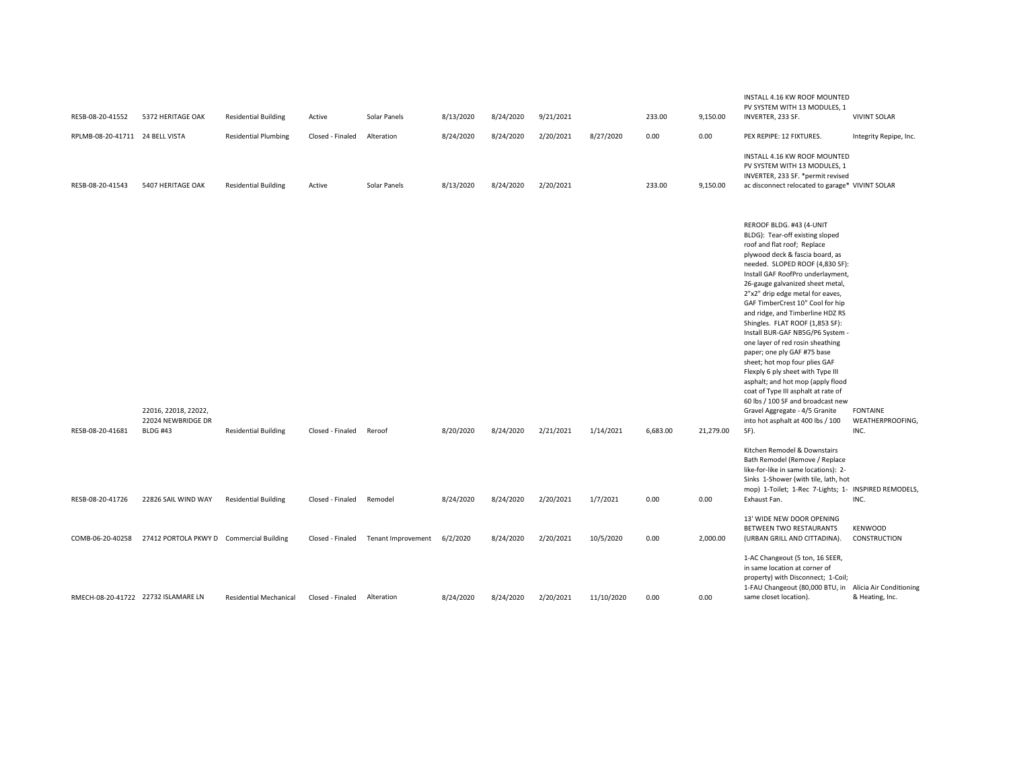| RESB-08-20-41552                    | 5372 HERITAGE OAK                                             | <b>Residential Building</b>   | Active           | Solar Panels       | 8/13/2020 | 8/24/2020 | 9/21/2021 |            | 233.00   | 9,150.00  | INSTALL 4.16 KW ROOF MOUNTED<br>PV SYSTEM WITH 13 MODULES, 1<br>INVERTER, 233 SF.                                                                                                                                                                                                                                                                                                                                                                                                                                                                                                                                                                                                                                                                                     | <b>VIVINT SOLAR</b>                         |
|-------------------------------------|---------------------------------------------------------------|-------------------------------|------------------|--------------------|-----------|-----------|-----------|------------|----------|-----------|-----------------------------------------------------------------------------------------------------------------------------------------------------------------------------------------------------------------------------------------------------------------------------------------------------------------------------------------------------------------------------------------------------------------------------------------------------------------------------------------------------------------------------------------------------------------------------------------------------------------------------------------------------------------------------------------------------------------------------------------------------------------------|---------------------------------------------|
| RPLMB-08-20-41711 24 BELL VISTA     |                                                               | <b>Residential Plumbing</b>   | Closed - Finaled | Alteration         | 8/24/2020 | 8/24/2020 | 2/20/2021 | 8/27/2020  | 0.00     | 0.00      | PEX REPIPE: 12 FIXTURES.                                                                                                                                                                                                                                                                                                                                                                                                                                                                                                                                                                                                                                                                                                                                              | Integrity Repipe, Inc.                      |
| RESB-08-20-41543                    | 5407 HERITAGE OAK                                             | <b>Residential Building</b>   | Active           | Solar Panels       | 8/13/2020 | 8/24/2020 | 2/20/2021 |            | 233.00   | 9,150.00  | INSTALL 4.16 KW ROOF MOUNTED<br>PV SYSTEM WITH 13 MODULES, 1<br>INVERTER, 233 SF. *permit revised<br>ac disconnect relocated to garage* VIVINT SOLAR                                                                                                                                                                                                                                                                                                                                                                                                                                                                                                                                                                                                                  |                                             |
| RESB-08-20-41681                    | 22016, 22018, 22022,<br>22024 NEWBRIDGE DR<br><b>BLDG #43</b> | <b>Residential Building</b>   | Closed - Finaled | Reroof             | 8/20/2020 | 8/24/2020 | 2/21/2021 | 1/14/2021  | 6,683.00 | 21,279.00 | REROOF BLDG. #43 (4-UNIT<br>BLDG): Tear-off existing sloped<br>roof and flat roof; Replace<br>plywood deck & fascia board, as<br>needed. SLOPED ROOF (4,830 SF):<br>Install GAF RoofPro underlayment,<br>26-gauge galvanized sheet metal,<br>2"x2" drip edge metal for eaves,<br>GAF TimberCrest 10" Cool for hip<br>and ridge, and Timberline HDZ RS<br>Shingles. FLAT ROOF (1,853 SF):<br>Install BUR-GAF NB5G/P6 System -<br>one layer of red rosin sheathing<br>paper; one ply GAF #75 base<br>sheet; hot mop four plies GAF<br>Flexply 6 ply sheet with Type III<br>asphalt; and hot mop (apply flood<br>coat of Type III asphalt at rate of<br>60 lbs / 100 SF and broadcast new<br>Gravel Aggregate - 4/5 Granite<br>into hot asphalt at 400 lbs / 100<br>SF). | <b>FONTAINE</b><br>WEATHERPROOFING,<br>INC. |
|                                     | 22826 SAIL WIND WAY                                           |                               |                  | Remodel            |           |           |           |            |          |           | Kitchen Remodel & Downstairs<br>Bath Remodel (Remove / Replace<br>like-for-like in same locations): 2-<br>Sinks 1-Shower (with tile, lath, hot<br>mop) 1-Toilet; 1-Rec 7-Lights; 1- INSPIRED REMODELS,<br>Exhaust Fan.                                                                                                                                                                                                                                                                                                                                                                                                                                                                                                                                                | INC.                                        |
| RESB-08-20-41726                    |                                                               | <b>Residential Building</b>   | Closed - Finaled |                    | 8/24/2020 | 8/24/2020 | 2/20/2021 | 1/7/2021   | 0.00     | 0.00      |                                                                                                                                                                                                                                                                                                                                                                                                                                                                                                                                                                                                                                                                                                                                                                       |                                             |
|                                     | COMB-06-20-40258 27412 PORTOLA PKWY D Commercial Building     |                               | Closed - Finaled | Tenant Improvement | 6/2/2020  | 8/24/2020 | 2/20/2021 | 10/5/2020  | 0.00     | 2,000.00  | 13' WIDE NEW DOOR OPENING<br>BETWEEN TWO RESTAURANTS<br>(URBAN GRILL AND CITTADINA).                                                                                                                                                                                                                                                                                                                                                                                                                                                                                                                                                                                                                                                                                  | <b>KENWOOD</b><br>CONSTRUCTION              |
| RMECH-08-20-41722 22732 ISLAMARE LN |                                                               | <b>Residential Mechanical</b> | Closed - Finaled | Alteration         | 8/24/2020 | 8/24/2020 | 2/20/2021 | 11/10/2020 | 0.00     | 0.00      | 1-AC Changeout (5 ton, 16 SEER,<br>in same location at corner of<br>property) with Disconnect; 1-Coil;<br>1-FAU Changeout (80,000 BTU, in Alicia Air Conditioning<br>same closet location).                                                                                                                                                                                                                                                                                                                                                                                                                                                                                                                                                                           | & Heating, Inc.                             |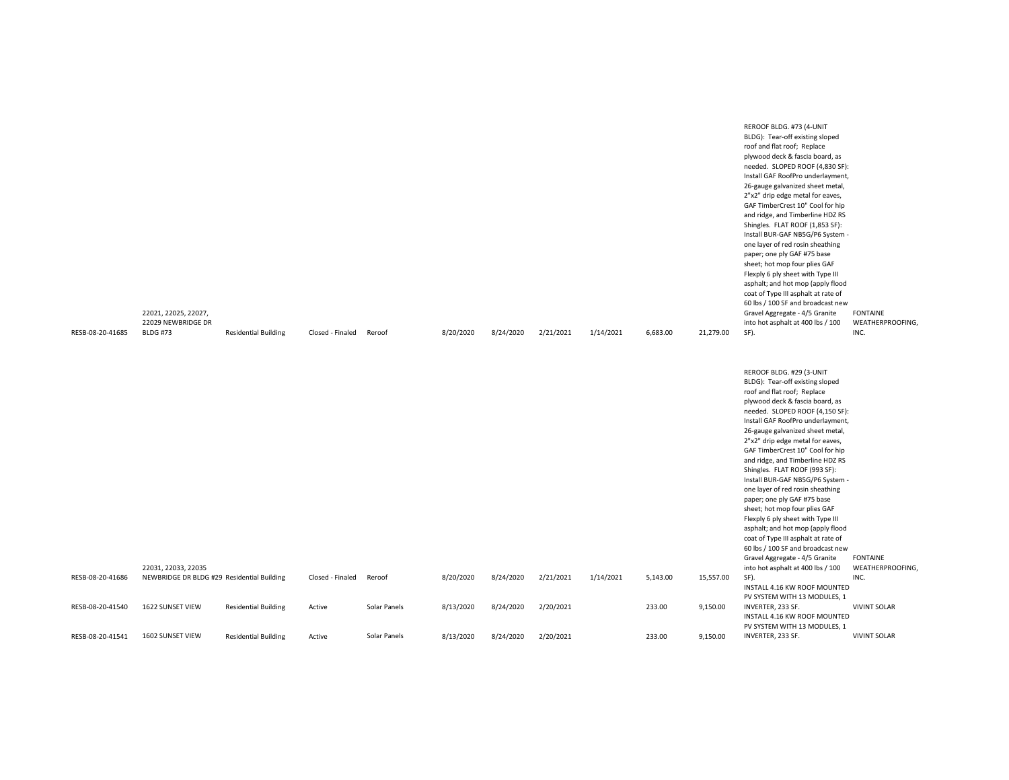| RESB-08-20-41685 | 22021, 22025, 22027,<br>22029 NEWBRIDGE DR<br><b>BLDG #73</b>     | <b>Residential Building</b> | Closed - Finaled | Reroof       | 8/20/2020 | 8/24/2020 | 2/21/2021 | 1/14/2021 | 6,683.00 | 21,279.00 | Install BUR-GAF NB5G/P6 System -<br>one layer of red rosin sheathing<br>paper; one ply GAF #75 base<br>sheet; hot mop four plies GAF<br>Flexply 6 ply sheet with Type III<br>asphalt; and hot mop (apply flood<br>coat of Type III asphalt at rate of<br>60 lbs / 100 SF and broadcast new<br>Gravel Aggregate - 4/5 Granite<br>into hot asphalt at 400 lbs / 100<br>SF).                                                                                                                                                                                                                                                                                                            | <b>FONTAINE</b><br>WEATHERPROOFING,<br>INC. |
|------------------|-------------------------------------------------------------------|-----------------------------|------------------|--------------|-----------|-----------|-----------|-----------|----------|-----------|--------------------------------------------------------------------------------------------------------------------------------------------------------------------------------------------------------------------------------------------------------------------------------------------------------------------------------------------------------------------------------------------------------------------------------------------------------------------------------------------------------------------------------------------------------------------------------------------------------------------------------------------------------------------------------------|---------------------------------------------|
|                  |                                                                   |                             |                  |              |           |           |           |           |          |           | REROOF BLDG. #29 (3-UNIT<br>BLDG): Tear-off existing sloped<br>roof and flat roof; Replace<br>plywood deck & fascia board, as<br>needed. SLOPED ROOF (4,150 SF):<br>Install GAF RoofPro underlayment,<br>26-gauge galvanized sheet metal,<br>2"x2" drip edge metal for eaves,<br>GAF TimberCrest 10" Cool for hip<br>and ridge, and Timberline HDZ RS<br>Shingles. FLAT ROOF (993 SF):<br>Install BUR-GAF NB5G/P6 System -<br>one layer of red rosin sheathing<br>paper; one ply GAF #75 base<br>sheet; hot mop four plies GAF<br>Flexply 6 ply sheet with Type III<br>asphalt; and hot mop (apply flood<br>coat of Type III asphalt at rate of<br>60 lbs / 100 SF and broadcast new |                                             |
| RESB-08-20-41686 | 22031, 22033, 22035<br>NEWBRIDGE DR BLDG #29 Residential Building |                             | Closed - Finaled | Reroof       | 8/20/2020 | 8/24/2020 | 2/21/2021 | 1/14/2021 | 5,143.00 | 15,557.00 | Gravel Aggregate - 4/5 Granite<br>into hot asphalt at 400 lbs / 100<br>SF).<br>INSTALL 4.16 KW ROOF MOUNTED                                                                                                                                                                                                                                                                                                                                                                                                                                                                                                                                                                          | <b>FONTAINE</b><br>WEATHERPROOFING,<br>INC. |
| RESB-08-20-41540 | 1622 SUNSET VIEW                                                  | <b>Residential Building</b> | Active           | Solar Panels | 8/13/2020 | 8/24/2020 | 2/20/2021 |           | 233.00   | 9,150.00  | PV SYSTEM WITH 13 MODULES, 1<br>INVERTER, 233 SF.<br>INSTALL 4.16 KW ROOF MOUNTED                                                                                                                                                                                                                                                                                                                                                                                                                                                                                                                                                                                                    | <b>VIVINT SOLAR</b>                         |
| RESB-08-20-41541 | 1602 SUNSET VIEW                                                  | <b>Residential Building</b> | Active           | Solar Panels | 8/13/2020 | 8/24/2020 | 2/20/2021 |           | 233.00   | 9,150.00  | PV SYSTEM WITH 13 MODULES, 1<br>INVERTER, 233 SF.                                                                                                                                                                                                                                                                                                                                                                                                                                                                                                                                                                                                                                    | <b>VIVINT SOLAR</b>                         |

REROOF BLDG. #73 (4-UNIT BLDG): Tear-off existing sloped roof and flat roof; Replace plywood deck & fascia board, as needed. SLOPED ROOF (4,830 SF): Install GAF RoofPro underlayment, 26-gauge galvanized sheet metal, 2"x2" drip edge metal for eaves, GAF TimberCrest 10" Cool for hip and ridge, and Timberline HDZ RS Shingles. FLAT ROOF (1,853 SF):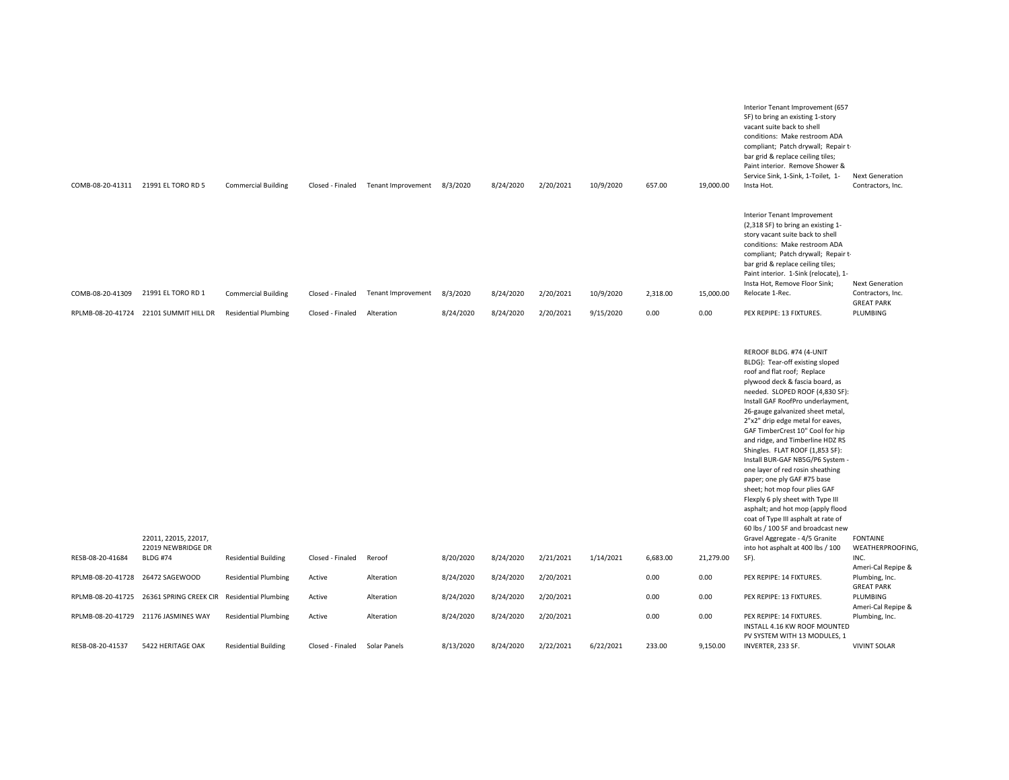|                   | COMB-08-20-41311 21991 EL TORO RD 5                           | <b>Commercial Building</b>  | Closed - Finaled | Tenant Improvement 8/3/2020 |           | 8/24/2020 | 2/20/2021 | 10/9/2020 | 657.00   | 19,000.00 | Interior Tenant Improvement (657<br>SF) to bring an existing 1-story<br>vacant suite back to shell<br>conditions: Make restroom ADA<br>compliant; Patch drywall; Repair t-<br>bar grid & replace ceiling tiles;<br>Paint interior. Remove Shower &<br>Service Sink, 1-Sink, 1-Toilet, 1-<br>Insta Hot.                                                                                                                                                                                                                                                                                                                                                                                 | <b>Next Generation</b><br>Contractors, Inc.                      |
|-------------------|---------------------------------------------------------------|-----------------------------|------------------|-----------------------------|-----------|-----------|-----------|-----------|----------|-----------|----------------------------------------------------------------------------------------------------------------------------------------------------------------------------------------------------------------------------------------------------------------------------------------------------------------------------------------------------------------------------------------------------------------------------------------------------------------------------------------------------------------------------------------------------------------------------------------------------------------------------------------------------------------------------------------|------------------------------------------------------------------|
| COMB-08-20-41309  | 21991 EL TORO RD 1                                            | <b>Commercial Building</b>  | Closed - Finaled | Tenant Improvement          | 8/3/2020  | 8/24/2020 | 2/20/2021 | 10/9/2020 | 2,318.00 | 15,000.00 | <b>Interior Tenant Improvement</b><br>(2,318 SF) to bring an existing 1-<br>story vacant suite back to shell<br>conditions: Make restroom ADA<br>compliant; Patch drywall; Repair t-<br>bar grid & replace ceiling tiles;<br>Paint interior. 1-Sink (relocate), 1-<br>Insta Hot, Remove Floor Sink;<br>Relocate 1-Rec.                                                                                                                                                                                                                                                                                                                                                                 | <b>Next Generation</b><br>Contractors, Inc.<br><b>GREAT PARK</b> |
|                   | RPLMB-08-20-41724 22101 SUMMIT HILL DR                        | <b>Residential Plumbing</b> | Closed - Finaled | Alteration                  | 8/24/2020 | 8/24/2020 | 2/20/2021 | 9/15/2020 | 0.00     | 0.00      | PEX REPIPE: 13 FIXTURES.                                                                                                                                                                                                                                                                                                                                                                                                                                                                                                                                                                                                                                                               | PLUMBING                                                         |
|                   |                                                               |                             |                  |                             |           |           |           |           |          |           | REROOF BLDG. #74 (4-UNIT<br>BLDG): Tear-off existing sloped<br>roof and flat roof; Replace<br>plywood deck & fascia board, as<br>needed. SLOPED ROOF (4,830 SF):<br>Install GAF RoofPro underlayment,<br>26-gauge galvanized sheet metal,<br>2"x2" drip edge metal for eaves,<br>GAF TimberCrest 10" Cool for hip<br>and ridge, and Timberline HDZ RS<br>Shingles. FLAT ROOF (1,853 SF):<br>Install BUR-GAF NB5G/P6 System -<br>one layer of red rosin sheathing<br>paper; one ply GAF #75 base<br>sheet; hot mop four plies GAF<br>Flexply 6 ply sheet with Type III<br>asphalt; and hot mop (apply flood<br>coat of Type III asphalt at rate of<br>60 lbs / 100 SF and broadcast new |                                                                  |
| RESB-08-20-41684  | 22011, 22015, 22017,<br>22019 NEWBRIDGE DR<br><b>BLDG #74</b> | <b>Residential Building</b> | Closed - Finaled | Reroof                      | 8/20/2020 | 8/24/2020 | 2/21/2021 | 1/14/2021 | 6,683.00 | 21,279.00 | Gravel Aggregate - 4/5 Granite<br>into hot asphalt at 400 lbs / 100<br>SF).                                                                                                                                                                                                                                                                                                                                                                                                                                                                                                                                                                                                            | <b>FONTAINE</b><br>WEATHERPROOFING,<br>INC.                      |
| RPLMB-08-20-41728 | 26472 SAGEWOOD                                                | <b>Residential Plumbing</b> | Active           | Alteration                  | 8/24/2020 | 8/24/2020 | 2/20/2021 |           | 0.00     | 0.00      | PEX REPIPE: 14 FIXTURES.                                                                                                                                                                                                                                                                                                                                                                                                                                                                                                                                                                                                                                                               | Ameri-Cal Repipe &<br>Plumbing, Inc.<br><b>GREAT PARK</b>        |
| RPLMB-08-20-41725 | 26361 SPRING CREEK CIR Residential Plumbing                   |                             | Active           | Alteration                  | 8/24/2020 | 8/24/2020 | 2/20/2021 |           | 0.00     | 0.00      | PEX REPIPE: 13 FIXTURES.                                                                                                                                                                                                                                                                                                                                                                                                                                                                                                                                                                                                                                                               | PLUMBING<br>Ameri-Cal Repipe &                                   |
|                   | RPLMB-08-20-41729 21176 JASMINES WAY                          | <b>Residential Plumbing</b> | Active           | Alteration                  | 8/24/2020 | 8/24/2020 | 2/20/2021 |           | 0.00     | 0.00      | PEX REPIPE: 14 FIXTURES.<br>INSTALL 4.16 KW ROOF MOUNTED                                                                                                                                                                                                                                                                                                                                                                                                                                                                                                                                                                                                                               | Plumbing, Inc.                                                   |
| RESB-08-20-41537  | 5422 HERITAGE OAK                                             | <b>Residential Building</b> | Closed - Finaled | Solar Panels                | 8/13/2020 | 8/24/2020 | 2/22/2021 | 6/22/2021 | 233.00   | 9,150.00  | PV SYSTEM WITH 13 MODULES, 1<br>INVERTER, 233 SF.                                                                                                                                                                                                                                                                                                                                                                                                                                                                                                                                                                                                                                      | <b>VIVINT SOLAR</b>                                              |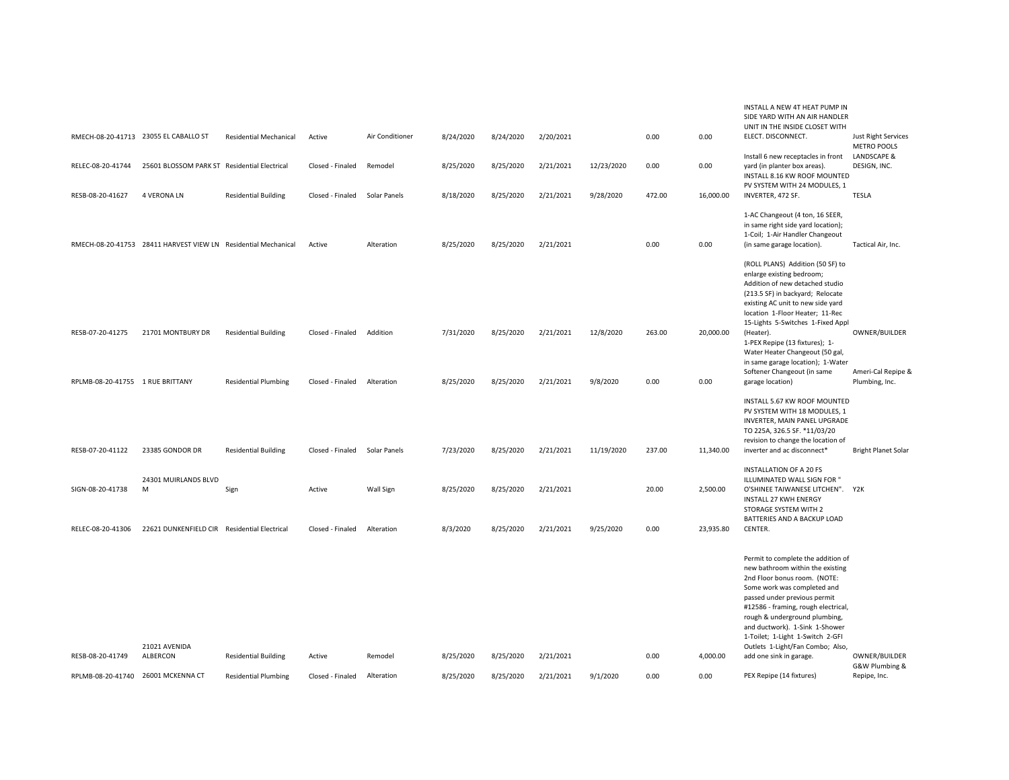|                                                        |                                                                |                                                            |                            |                       |                        |                        |                        |            |              |                  | INSTALL A NEW 4T HEAT PUMP IN<br>SIDE YARD WITH AN AIR HANDLER<br>UNIT IN THE INSIDE CLOSET WITH                                                                                                                                                                                                                                                        |                                                  |
|--------------------------------------------------------|----------------------------------------------------------------|------------------------------------------------------------|----------------------------|-----------------------|------------------------|------------------------|------------------------|------------|--------------|------------------|---------------------------------------------------------------------------------------------------------------------------------------------------------------------------------------------------------------------------------------------------------------------------------------------------------------------------------------------------------|--------------------------------------------------|
| RMECH-08-20-41713 23055 EL CABALLO ST                  |                                                                | <b>Residential Mechanical</b>                              | Active                     | Air Conditioner       | 8/24/2020              | 8/24/2020              | 2/20/2021              |            | 0.00         | 0.00             | ELECT. DISCONNECT.                                                                                                                                                                                                                                                                                                                                      | <b>Just Right Services</b><br><b>METRO POOLS</b> |
| RELEC-08-20-41744                                      | 25601 BLOSSOM PARK ST Residential Electrical                   |                                                            | Closed - Finaled           | Remodel               | 8/25/2020              | 8/25/2020              | 2/21/2021              | 12/23/2020 | 0.00         | 0.00             | Install 6 new receptacles in front<br>yard (in planter box areas).<br>INSTALL 8.16 KW ROOF MOUNTED<br>PV SYSTEM WITH 24 MODULES, 1                                                                                                                                                                                                                      | LANDSCAPE &<br>DESIGN, INC.                      |
| RESB-08-20-41627                                       | <b>4 VERONA LN</b>                                             | <b>Residential Building</b>                                | Closed - Finaled           | Solar Panels          | 8/18/2020              | 8/25/2020              | 2/21/2021              | 9/28/2020  | 472.00       | 16,000.00        | INVERTER, 472 SF.                                                                                                                                                                                                                                                                                                                                       | <b>TESLA</b>                                     |
|                                                        | RMECH-08-20-41753 28411 HARVEST VIEW LN Residential Mechanical |                                                            | Active                     | Alteration            | 8/25/2020              | 8/25/2020              | 2/21/2021              |            | 0.00         | 0.00             | 1-AC Changeout (4 ton, 16 SEER,<br>in same right side yard location);<br>1-Coil; 1-Air Handler Changeout<br>(in same garage location).                                                                                                                                                                                                                  | Tactical Air, Inc.                               |
|                                                        |                                                                |                                                            |                            |                       |                        |                        |                        |            |              |                  | (ROLL PLANS) Addition (50 SF) to<br>enlarge existing bedroom;<br>Addition of new detached studio<br>(213.5 SF) in backyard; Relocate<br>existing AC unit to new side yard<br>location 1-Floor Heater; 11-Rec<br>15-Lights 5-Switches 1-Fixed Appl                                                                                                       |                                                  |
| RESB-07-20-41275                                       | 21701 MONTBURY DR                                              | <b>Residential Building</b>                                | Closed - Finaled           | Addition              | 7/31/2020              | 8/25/2020              | 2/21/2021              | 12/8/2020  | 263.00       | 20,000.00        | (Heater).<br>1-PEX Repipe (13 fixtures); 1-<br>Water Heater Changeout (50 gal,<br>in same garage location); 1-Water                                                                                                                                                                                                                                     | OWNER/BUILDER                                    |
| RPLMB-08-20-41755 1 RUE BRITTANY                       |                                                                | <b>Residential Plumbing</b>                                | Closed - Finaled           | Alteration            | 8/25/2020              | 8/25/2020              | 2/21/2021              | 9/8/2020   | 0.00         | 0.00             | Softener Changeout (in same<br>garage location)                                                                                                                                                                                                                                                                                                         | Ameri-Cal Repipe &<br>Plumbing, Inc.             |
|                                                        |                                                                |                                                            |                            |                       |                        |                        |                        |            |              |                  | INSTALL 5.67 KW ROOF MOUNTED<br>PV SYSTEM WITH 18 MODULES, 1<br>INVERTER, MAIN PANEL UPGRADE<br>TO 225A, 326.5 SF. *11/03/20<br>revision to change the location of                                                                                                                                                                                      |                                                  |
| RESB-07-20-41122                                       | 23385 GONDOR DR                                                | <b>Residential Building</b>                                | Closed - Finaled           | Solar Panels          | 7/23/2020              | 8/25/2020              | 2/21/2021              | 11/19/2020 | 237.00       | 11,340.00        | inverter and ac disconnect*                                                                                                                                                                                                                                                                                                                             | <b>Bright Planet Solar</b>                       |
| SIGN-08-20-41738                                       | 24301 MUIRLANDS BLVD<br>M                                      | Sign                                                       | Active                     | Wall Sign             | 8/25/2020              | 8/25/2020              | 2/21/2021              |            | 20.00        | 2,500.00         | <b>INSTALLATION OF A 20 FS</b><br>ILLUMINATED WALL SIGN FOR "<br>O'SHINEE TAIWANESE LITCHEN". Y2K<br><b>INSTALL 27 KWH ENERGY</b><br>STORAGE SYSTEM WITH 2<br>BATTERIES AND A BACKUP LOAD                                                                                                                                                               |                                                  |
| RELEC-08-20-41306                                      | 22621 DUNKENFIELD CIR Residential Electrical                   |                                                            | Closed - Finaled           | Alteration            | 8/3/2020               | 8/25/2020              | 2/21/2021              | 9/25/2020  | 0.00         | 23,935.80        | CENTER.                                                                                                                                                                                                                                                                                                                                                 |                                                  |
|                                                        | 21021 AVENIDA<br>ALBERCON                                      |                                                            |                            |                       |                        |                        |                        |            |              |                  | Permit to complete the addition of<br>new bathroom within the existing<br>2nd Floor bonus room. (NOTE:<br>Some work was completed and<br>passed under previous permit<br>#12586 - framing, rough electrical,<br>rough & underground plumbing,<br>and ductwork). 1-Sink 1-Shower<br>1-Toilet; 1-Light 1-Switch 2-GFI<br>Outlets 1-Light/Fan Combo; Also, | OWNER/BUILDER                                    |
| RESB-08-20-41749<br>RPLMB-08-20-41740 26001 MCKENNA CT |                                                                | <b>Residential Building</b><br><b>Residential Plumbing</b> | Active<br>Closed - Finaled | Remodel<br>Alteration | 8/25/2020<br>8/25/2020 | 8/25/2020<br>8/25/2020 | 2/21/2021<br>2/21/2021 | 9/1/2020   | 0.00<br>0.00 | 4,000.00<br>0.00 | add one sink in garage.<br>PEX Repipe (14 fixtures)                                                                                                                                                                                                                                                                                                     | G&W Plumbing &<br>Repipe, Inc.                   |
|                                                        |                                                                |                                                            |                            |                       |                        |                        |                        |            |              |                  |                                                                                                                                                                                                                                                                                                                                                         |                                                  |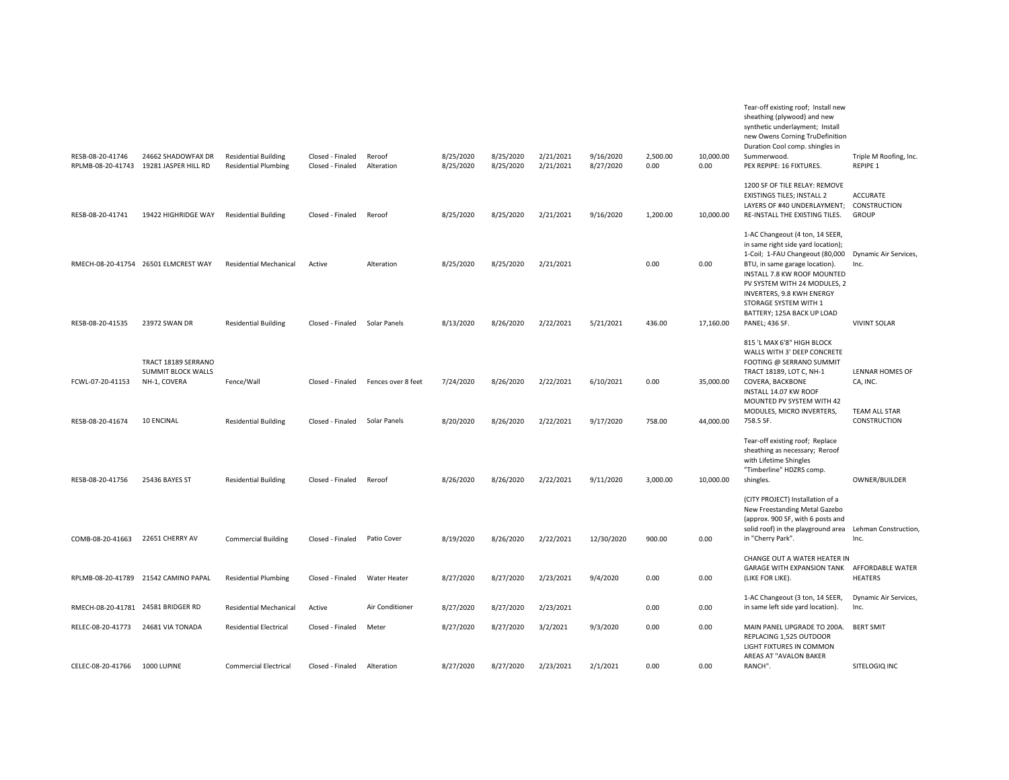| RESB-08-20-41746<br>RPLMB-08-20-41743 | 24662 SHADOWFAX DR<br>19281 JASPER HILL RD                                     | <b>Residential Building</b><br><b>Residential Plumbing</b> | Closed - Finaled<br>Closed - Finaled | Reroof<br>Alteration               | 8/25/2020<br>8/25/2020 | 8/25/2020<br>8/25/2020 | 2/21/2021<br>2/21/2021 | 9/16/2020<br>8/27/2020 | 2,500.00<br>0.00 | 10,000.00<br>0.00      | Tear-off existing roof; Install new<br>sheathing (plywood) and new<br>synthetic underlayment; Install<br>new Owens Corning TruDefinition<br>Duration Cool comp. shingles in<br>Summerwood.<br>PEX REPIPE: 16 FIXTURES.                                                                | Triple M Roofing, Inc.<br>REPIPE 1                                         |
|---------------------------------------|--------------------------------------------------------------------------------|------------------------------------------------------------|--------------------------------------|------------------------------------|------------------------|------------------------|------------------------|------------------------|------------------|------------------------|---------------------------------------------------------------------------------------------------------------------------------------------------------------------------------------------------------------------------------------------------------------------------------------|----------------------------------------------------------------------------|
| RESB-08-20-41741                      | 19422 HIGHRIDGE WAY                                                            | <b>Residential Building</b>                                | Closed - Finaled                     | Reroof                             | 8/25/2020              | 8/25/2020              | 2/21/2021              | 9/16/2020              | 1,200.00         | 10,000.00              | 1200 SF OF TILE RELAY: REMOVE<br>EXISTINGS TILES; INSTALL 2<br>LAYERS OF #40 UNDERLAYMENT; CONSTRUCTION<br>RE-INSTALL THE EXISTING TILES.                                                                                                                                             | <b>ACCURATE</b><br><b>GROUP</b>                                            |
|                                       | RMECH-08-20-41754 26501 ELMCREST WAY                                           | <b>Residential Mechanical</b>                              | Active                               | Alteration                         | 8/25/2020              | 8/25/2020              | 2/21/2021              |                        | 0.00             | 0.00                   | 1-AC Changeout (4 ton, 14 SEER,<br>in same right side yard location);<br>1-Coil; 1-FAU Changeout (80,000 Dynamic Air Services,<br>BTU, in same garage location).<br>INSTALL 7.8 KW ROOF MOUNTED<br>PV SYSTEM WITH 24 MODULES, 2<br>INVERTERS, 9.8 KWH ENERGY<br>STORAGE SYSTEM WITH 1 | Inc.                                                                       |
| RESB-08-20-41535                      | 23972 SWAN DR                                                                  | <b>Residential Building</b>                                | Closed - Finaled                     | Solar Panels                       | 8/13/2020              | 8/26/2020              | 2/22/2021              | 5/21/2021              | 436.00           | 17,160.00              | BATTERY; 125A BACK UP LOAD<br>PANEL; 436 SF.                                                                                                                                                                                                                                          | <b>VIVINT SOLAR</b>                                                        |
| FCWL-07-20-41153<br>RESB-08-20-41674  | TRACT 18189 SERRANO<br><b>SUMMIT BLOCK WALLS</b><br>NH-1, COVERA<br>10 ENCINAL | Fence/Wall<br><b>Residential Building</b>                  | Closed - Finaled<br>Closed - Finaled | Fences over 8 feet<br>Solar Panels | 7/24/2020<br>8/20/2020 | 8/26/2020<br>8/26/2020 | 2/22/2021<br>2/22/2021 | 6/10/2021<br>9/17/2020 | 0.00<br>758.00   | 35,000.00<br>44,000.00 | 815 'L MAX 6'8" HIGH BLOCK<br>WALLS WITH 3' DEEP CONCRETE<br>FOOTING @ SERRANO SUMMIT<br>TRACT 18189, LOT C, NH-1<br>COVERA, BACKBONE<br>INSTALL 14.07 KW ROOF<br>MOUNTED PV SYSTEM WITH 42<br>MODULES, MICRO INVERTERS,<br>758.5 SF.                                                 | <b>LENNAR HOMES OF</b><br>CA, INC.<br><b>TEAM ALL STAR</b><br>CONSTRUCTION |
| RESB-08-20-41756                      | 25436 BAYES ST                                                                 | <b>Residential Building</b>                                | Closed - Finaled                     | Reroof                             | 8/26/2020              | 8/26/2020              | 2/22/2021              | 9/11/2020              | 3,000.00         | 10,000.00              | Tear-off existing roof; Replace<br>sheathing as necessary; Reroof<br>with Lifetime Shingles<br>"Timberline" HDZRS comp.<br>shingles.<br>(CITY PROJECT) Installation of a<br>New Freestanding Metal Gazebo                                                                             | OWNER/BUILDER                                                              |
| COMB-08-20-41663                      | 22651 CHERRY AV                                                                | <b>Commercial Building</b>                                 | Closed - Finaled                     | Patio Cover                        | 8/19/2020              | 8/26/2020              | 2/22/2021              | 12/30/2020             | 900.00           | 0.00                   | (approx. 900 SF, with 6 posts and<br>solid roof) in the playground area<br>in "Cherry Park".                                                                                                                                                                                          | Lehman Construction,<br>Inc.                                               |
|                                       | RPLMB-08-20-41789 21542 CAMINO PAPAL                                           | <b>Residential Plumbing</b>                                | Closed - Finaled                     | Water Heater                       | 8/27/2020              | 8/27/2020              | 2/23/2021              | 9/4/2020               | 0.00             | 0.00                   | CHANGE OUT A WATER HEATER IN<br>GARAGE WITH EXPANSION TANK AFFORDABLE WATER<br>(LIKE FOR LIKE).                                                                                                                                                                                       | <b>HEATERS</b>                                                             |
| RMECH-08-20-41781 24581 BRIDGER RD    |                                                                                | <b>Residential Mechanical</b>                              | Active                               | Air Conditioner                    | 8/27/2020              | 8/27/2020              | 2/23/2021              |                        | 0.00             | 0.00                   | 1-AC Changeout (3 ton, 14 SEER,<br>in same left side yard location).                                                                                                                                                                                                                  | Dynamic Air Services,<br>Inc.                                              |
| RELEC-08-20-41773                     | 24681 VIA TONADA                                                               | <b>Residential Electrical</b>                              | Closed - Finaled                     | Meter                              | 8/27/2020              | 8/27/2020              | 3/2/2021               | 9/3/2020               | 0.00             | 0.00                   | MAIN PANEL UPGRADE TO 200A.<br>REPLACING 1,525 OUTDOOR<br>LIGHT FIXTURES IN COMMON<br>AREAS AT "AVALON BAKER                                                                                                                                                                          | <b>BERT SMIT</b>                                                           |
| CELEC-08-20-41766                     | 1000 LUPINE                                                                    | <b>Commercial Electrical</b>                               | Closed - Finaled                     | Alteration                         | 8/27/2020              | 8/27/2020              | 2/23/2021              | 2/1/2021               | 0.00             | 0.00                   | RANCH".                                                                                                                                                                                                                                                                               | SITELOGIQ INC                                                              |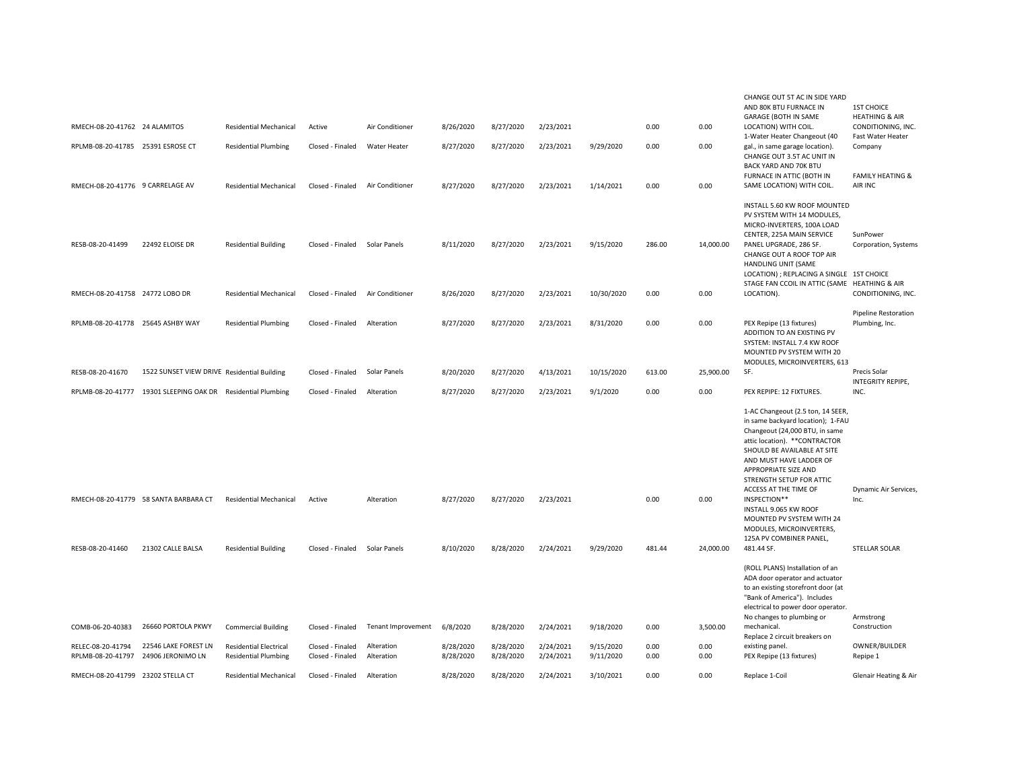|                                        |                                             |                                                              |                                      |                           |                        |                        |                        |                        |              |              | CHANGE OUT 5T AC IN SIDE YARD                                                                                                                                                                                                                                                     |                                                |
|----------------------------------------|---------------------------------------------|--------------------------------------------------------------|--------------------------------------|---------------------------|------------------------|------------------------|------------------------|------------------------|--------------|--------------|-----------------------------------------------------------------------------------------------------------------------------------------------------------------------------------------------------------------------------------------------------------------------------------|------------------------------------------------|
|                                        |                                             |                                                              |                                      |                           |                        |                        |                        |                        |              |              | AND 80K BTU FURNACE IN<br>GARAGE (BOTH IN SAME                                                                                                                                                                                                                                    | <b>1ST CHOICE</b><br><b>HEATHING &amp; AIR</b> |
| RMECH-08-20-41762 24 ALAMITOS          |                                             | <b>Residential Mechanical</b>                                | Active                               | Air Conditioner           | 8/26/2020              | 8/27/2020              | 2/23/2021              |                        | 0.00         | 0.00         | LOCATION) WITH COIL.<br>1-Water Heater Changeout (40                                                                                                                                                                                                                              | CONDITIONING, INC.<br>Fast Water Heater        |
| RPLMB-08-20-41785 25391 ESROSE CT      |                                             | <b>Residential Plumbing</b>                                  | Closed - Finaled                     | Water Heater              | 8/27/2020              | 8/27/2020              | 2/23/2021              | 9/29/2020              | 0.00         | 0.00         | gal., in same garage location).<br>CHANGE OUT 3.5T AC UNIT IN<br>BACK YARD AND 70K BTU                                                                                                                                                                                            | Company                                        |
| RMECH-08-20-41776 9 CARRELAGE AV       |                                             | Residential Mechanical                                       | Closed - Finaled                     | Air Conditioner           | 8/27/2020              | 8/27/2020              | 2/23/2021              | 1/14/2021              | 0.00         | 0.00         | FURNACE IN ATTIC (BOTH IN<br>SAME LOCATION) WITH COIL.                                                                                                                                                                                                                            | <b>FAMILY HEATING &amp;</b><br>AIR INC         |
|                                        |                                             |                                                              |                                      |                           |                        |                        |                        |                        |              |              | INSTALL 5.60 KW ROOF MOUNTED<br>PV SYSTEM WITH 14 MODULES,<br>MICRO-INVERTERS, 100A LOAD<br>CENTER, 225A MAIN SERVICE                                                                                                                                                             | SunPower                                       |
| RESB-08-20-41499                       | 22492 ELOISE DR                             | <b>Residential Building</b>                                  | Closed - Finaled                     | Solar Panels              | 8/11/2020              | 8/27/2020              | 2/23/2021              | 9/15/2020              | 286.00       | 14,000.00    | PANEL UPGRADE, 286 SF.<br>CHANGE OUT A ROOF TOP AIR<br>HANDLING UNIT (SAME<br>LOCATION) ; REPLACING A SINGLE 1ST CHOICE                                                                                                                                                           | Corporation, Systems                           |
| RMECH-08-20-41758 24772 LOBO DR        |                                             | <b>Residential Mechanical</b>                                | Closed - Finaled                     | Air Conditioner           | 8/26/2020              | 8/27/2020              | 2/23/2021              | 10/30/2020             | 0.00         | 0.00         | STAGE FAN CCOIL IN ATTIC (SAME HEATHING & AIR<br>LOCATION).                                                                                                                                                                                                                       | CONDITIONING, INC.                             |
|                                        |                                             |                                                              |                                      |                           |                        |                        |                        |                        |              |              |                                                                                                                                                                                                                                                                                   | <b>Pipeline Restoration</b>                    |
| RPLMB-08-20-41778 25645 ASHBY WAY      |                                             | <b>Residential Plumbing</b>                                  | Closed - Finaled                     | Alteration                | 8/27/2020              | 8/27/2020              | 2/23/2021              | 8/31/2020              | 0.00         | 0.00         | PEX Repipe (13 fixtures)<br>ADDITION TO AN EXISTING PV<br>SYSTEM: INSTALL 7.4 KW ROOF<br>MOUNTED PV SYSTEM WITH 20<br>MODULES, MICROINVERTERS, 613                                                                                                                                | Plumbing, Inc.                                 |
| RESB-08-20-41670                       | 1522 SUNSET VIEW DRIVE Residential Building |                                                              | Closed - Finaled                     | Solar Panels              | 8/20/2020              | 8/27/2020              | 4/13/2021              | 10/15/2020             | 613.00       | 25,900.00    | SF.                                                                                                                                                                                                                                                                               | Precis Solar<br>INTEGRITY REPIPE,              |
| RPLMB-08-20-41777                      | 19301 SLEEPING OAK DR Residential Plumbing  |                                                              | Closed - Finaled                     | Alteration                | 8/27/2020              | 8/27/2020              | 2/23/2021              | 9/1/2020               | 0.00         | 0.00         | PEX REPIPE: 12 FIXTURES.                                                                                                                                                                                                                                                          | INC.                                           |
|                                        |                                             |                                                              |                                      |                           |                        |                        |                        |                        |              |              | 1-AC Changeout (2.5 ton, 14 SEER,<br>in same backyard location); 1-FAU<br>Changeout (24,000 BTU, in same<br>attic location). ** CONTRACTOR<br>SHOULD BE AVAILABLE AT SITE<br>AND MUST HAVE LADDER OF<br>APPROPRIATE SIZE AND<br>STRENGTH SETUP FOR ATTIC<br>ACCESS AT THE TIME OF | Dynamic Air Services,                          |
|                                        | RMECH-08-20-41779 58 SANTA BARBARA CT       | <b>Residential Mechanical</b>                                | Active                               | Alteration                | 8/27/2020              | 8/27/2020              | 2/23/2021              |                        | 0.00         | 0.00         | INSPECTION**<br>INSTALL 9.065 KW ROOF<br>MOUNTED PV SYSTEM WITH 24<br>MODULES, MICROINVERTERS,<br>125A PV COMBINER PANEL,                                                                                                                                                         | Inc.                                           |
| RESB-08-20-41460                       | 21302 CALLE BALSA                           | <b>Residential Building</b>                                  | Closed - Finaled                     | Solar Panels              | 8/10/2020              | 8/28/2020              | 2/24/2021              | 9/29/2020              | 481.44       | 24,000.00    | 481.44 SF.                                                                                                                                                                                                                                                                        | STELLAR SOLAR                                  |
|                                        |                                             |                                                              |                                      |                           |                        |                        |                        |                        |              |              | (ROLL PLANS) Installation of an<br>ADA door operator and actuator<br>to an existing storefront door (at<br>"Bank of America"). Includes<br>electrical to power door operator.<br>No changes to plumbing or                                                                        | Armstrong                                      |
| COMB-06-20-40383                       | 26660 PORTOLA PKWY                          | <b>Commercial Building</b>                                   | Closed - Finaled                     | <b>Tenant Improvement</b> | 6/8/2020               | 8/28/2020              | 2/24/2021              | 9/18/2020              | 0.00         | 3,500.00     | mechanical.<br>Replace 2 circuit breakers on                                                                                                                                                                                                                                      | Construction                                   |
| RELEC-08-20-41794<br>RPLMB-08-20-41797 | 22546 LAKE FOREST LN<br>24906 JERONIMO LN   | <b>Residential Electrical</b><br><b>Residential Plumbing</b> | Closed - Finaled<br>Closed - Finaled | Alteration<br>Alteration  | 8/28/2020<br>8/28/2020 | 8/28/2020<br>8/28/2020 | 2/24/2021<br>2/24/2021 | 9/15/2020<br>9/11/2020 | 0.00<br>0.00 | 0.00<br>0.00 | existing panel.<br>PEX Repipe (13 fixtures)                                                                                                                                                                                                                                       | OWNER/BUILDER<br>Repipe 1                      |
| RMECH-08-20-41799 23202 STELLA CT      |                                             | <b>Residential Mechanical</b>                                | Closed - Finaled                     | Alteration                | 8/28/2020              | 8/28/2020              | 2/24/2021              | 3/10/2021              | 0.00         | 0.00         | Replace 1-Coil                                                                                                                                                                                                                                                                    | Glenair Heating & Air                          |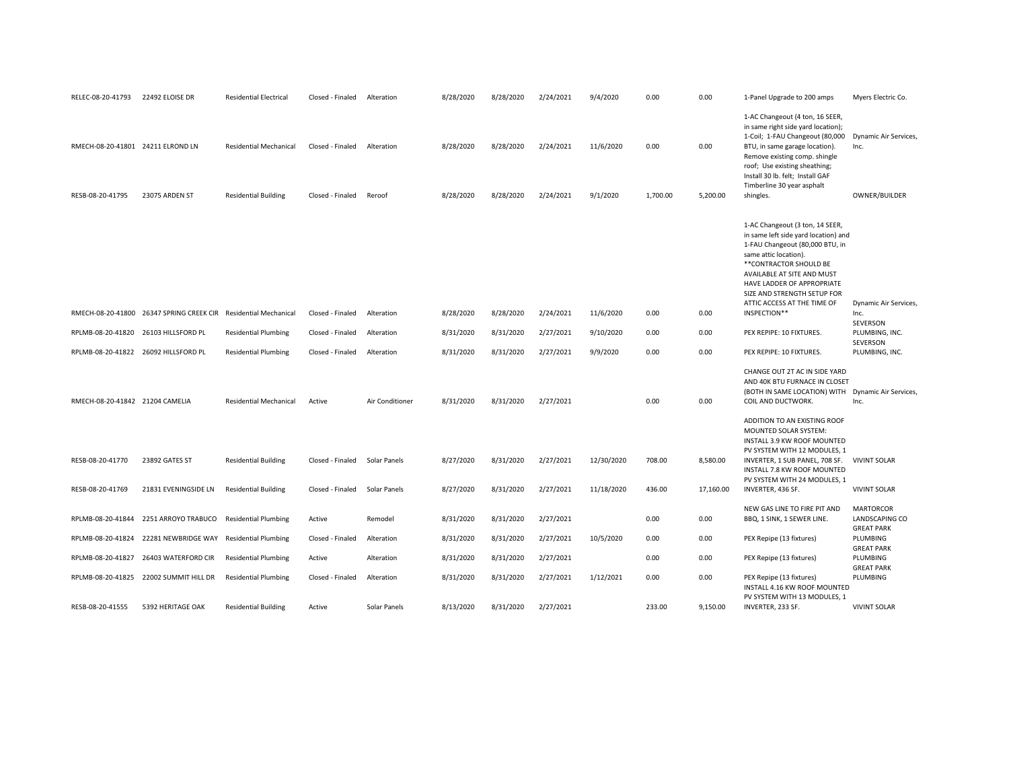| RELEC-08-20-41793                    | 22492 ELOISE DR                          | <b>Residential Electrical</b> | Closed - Finaled | Alteration      | 8/28/2020 | 8/28/2020 | 2/24/2021 | 9/4/2020   | 0.00     | 0.00      | 1-Panel Upgrade to 200 amps                                                                                                                                                                                                                                                                              | Myers Electric Co.                                      |
|--------------------------------------|------------------------------------------|-------------------------------|------------------|-----------------|-----------|-----------|-----------|------------|----------|-----------|----------------------------------------------------------------------------------------------------------------------------------------------------------------------------------------------------------------------------------------------------------------------------------------------------------|---------------------------------------------------------|
| RMECH-08-20-41801 24211 ELROND LN    |                                          | <b>Residential Mechanical</b> | Closed - Finaled | Alteration      | 8/28/2020 | 8/28/2020 | 2/24/2021 | 11/6/2020  | 0.00     | 0.00      | 1-AC Changeout (4 ton, 16 SEER,<br>in same right side yard location);<br>1-Coil; 1-FAU Changeout (80,000 Dynamic Air Services,<br>BTU, in same garage location).<br>Remove existing comp. shingle<br>roof; Use existing sheathing;<br>Install 30 lb. felt; Install GAF                                   | Inc.                                                    |
| RESB-08-20-41795                     | 23075 ARDEN ST                           | <b>Residential Building</b>   | Closed - Finaled | Reroof          | 8/28/2020 | 8/28/2020 | 2/24/2021 | 9/1/2020   | 1,700.00 | 5,200.00  | Timberline 30 year asphalt<br>shingles.                                                                                                                                                                                                                                                                  | OWNER/BUILDER                                           |
|                                      | RMECH-08-20-41800 26347 SPRING CREEK CIR | <b>Residential Mechanical</b> | Closed - Finaled | Alteration      | 8/28/2020 | 8/28/2020 | 2/24/2021 | 11/6/2020  | 0.00     | 0.00      | 1-AC Changeout (3 ton, 14 SEER,<br>in same left side yard location) and<br>1-FAU Changeout (80,000 BTU, in<br>same attic location).<br>** CONTRACTOR SHOULD BE<br>AVAILABLE AT SITE AND MUST<br>HAVE LADDER OF APPROPRIATE<br>SIZE AND STRENGTH SETUP FOR<br>ATTIC ACCESS AT THE TIME OF<br>INSPECTION** | Dynamic Air Services,<br>Inc.                           |
| RPLMB-08-20-41820 26103 HILLSFORD PL |                                          | <b>Residential Plumbing</b>   | Closed - Finaled | Alteration      | 8/31/2020 | 8/31/2020 | 2/27/2021 | 9/10/2020  | 0.00     | 0.00      | PEX REPIPE: 10 FIXTURES.                                                                                                                                                                                                                                                                                 | SEVERSON<br>PLUMBING, INC.                              |
|                                      |                                          |                               |                  |                 |           |           |           |            |          |           |                                                                                                                                                                                                                                                                                                          | SEVERSON                                                |
| RPLMB-08-20-41822 26092 HILLSFORD PL |                                          | <b>Residential Plumbing</b>   | Closed - Finaled | Alteration      | 8/31/2020 | 8/31/2020 | 2/27/2021 | 9/9/2020   | 0.00     | 0.00      | PEX REPIPE: 10 FIXTURES.                                                                                                                                                                                                                                                                                 | PLUMBING, INC.                                          |
| RMECH-08-20-41842 21204 CAMELIA      |                                          | <b>Residential Mechanical</b> | Active           | Air Conditioner | 8/31/2020 | 8/31/2020 | 2/27/2021 |            | 0.00     | 0.00      | CHANGE OUT 2T AC IN SIDE YARD<br>AND 40K BTU FURNACE IN CLOSET<br>(BOTH IN SAME LOCATION) WITH<br>COIL AND DUCTWORK.<br>ADDITION TO AN EXISTING ROOF<br>MOUNTED SOLAR SYSTEM:<br>INSTALL 3.9 KW ROOF MOUNTED                                                                                             | Dynamic Air Services,<br>Inc.                           |
| RESB-08-20-41770                     | 23892 GATES ST                           | <b>Residential Building</b>   | Closed - Finaled | Solar Panels    | 8/27/2020 | 8/31/2020 | 2/27/2021 | 12/30/2020 | 708.00   | 8,580.00  | PV SYSTEM WITH 12 MODULES, 1<br>INVERTER, 1 SUB PANEL, 708 SF. VIVINT SOLAR<br>INSTALL 7.8 KW ROOF MOUNTED                                                                                                                                                                                               |                                                         |
| RESB-08-20-41769                     | 21831 EVENINGSIDE LN                     | <b>Residential Building</b>   | Closed - Finaled | Solar Panels    | 8/27/2020 | 8/31/2020 | 2/27/2021 | 11/18/2020 | 436.00   | 17,160.00 | PV SYSTEM WITH 24 MODULES, 1<br>INVERTER, 436 SF.                                                                                                                                                                                                                                                        | <b>VIVINT SOLAR</b>                                     |
| RPLMB-08-20-41844                    | 2251 ARROYO TRABUCO                      | <b>Residential Plumbing</b>   | Active           | Remodel         | 8/31/2020 | 8/31/2020 | 2/27/2021 |            | 0.00     | 0.00      | NEW GAS LINE TO FIRE PIT AND<br>BBQ, 1 SINK, 1 SEWER LINE.                                                                                                                                                                                                                                               | <b>MARTORCOR</b><br>LANDSCAPING CO<br><b>GREAT PARK</b> |
| RPLMB-08-20-41824                    | 22281 NEWBRIDGE WAY                      | <b>Residential Plumbing</b>   | Closed - Finaled | Alteration      | 8/31/2020 | 8/31/2020 | 2/27/2021 | 10/5/2020  | 0.00     | 0.00      | PEX Repipe (13 fixtures)                                                                                                                                                                                                                                                                                 | PLUMBING<br><b>GREAT PARK</b>                           |
| RPLMB-08-20-41827                    | 26403 WATERFORD CIR                      | <b>Residential Plumbing</b>   | Active           | Alteration      | 8/31/2020 | 8/31/2020 | 2/27/2021 |            | 0.00     | 0.00      | PEX Repipe (13 fixtures)                                                                                                                                                                                                                                                                                 | PLUMBING<br><b>GREAT PARK</b>                           |
|                                      | RPLMB-08-20-41825 22002 SUMMIT HILL DR   | <b>Residential Plumbing</b>   | Closed - Finaled | Alteration      | 8/31/2020 | 8/31/2020 | 2/27/2021 | 1/12/2021  | 0.00     | 0.00      | PEX Repipe (13 fixtures)<br>INSTALL 4.16 KW ROOF MOUNTED<br>PV SYSTEM WITH 13 MODULES, 1                                                                                                                                                                                                                 | PLUMBING                                                |
| RESB-08-20-41555                     | 5392 HERITAGE OAK                        | <b>Residential Building</b>   | Active           | Solar Panels    | 8/13/2020 | 8/31/2020 | 2/27/2021 |            | 233.00   | 9,150.00  | INVERTER, 233 SF.                                                                                                                                                                                                                                                                                        | <b>VIVINT SOLAR</b>                                     |